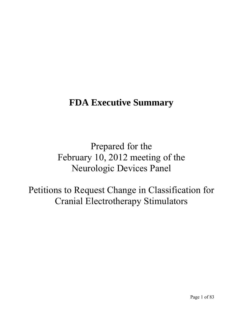# **FDA Executive Summary**

Prepared for the February 10, 2012 meeting of the Neurologic Devices Panel

Petitions to Request Change in Classification for Cranial Electrotherapy Stimulators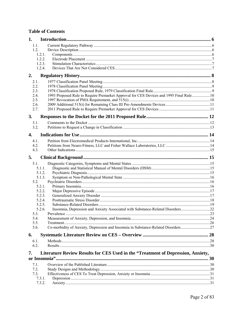### **Table of Contents**

| 1.               |                                                                                         |    |
|------------------|-----------------------------------------------------------------------------------------|----|
| 1.1.             |                                                                                         |    |
| 1.2.             |                                                                                         |    |
| 1.2.1.           |                                                                                         |    |
| 1.2.2.           |                                                                                         |    |
| 1.2.3.           |                                                                                         |    |
| 1.2.4.           |                                                                                         |    |
| 2.               |                                                                                         |    |
| 2.1.             |                                                                                         |    |
| 2.2.             |                                                                                         |    |
| 2.3.             |                                                                                         |    |
| 2.4.             | 1993 Proposed Rule to Require Premarket Approval for CES Devices and 1995 Final Rule 10 |    |
| 2.5.             |                                                                                         |    |
| 2.6.             |                                                                                         |    |
| 2.7.             |                                                                                         |    |
| 3.               |                                                                                         |    |
| 3.1.             |                                                                                         |    |
| 3.2.             |                                                                                         |    |
|                  |                                                                                         |    |
| 4.               |                                                                                         |    |
| 4 1              |                                                                                         |    |
| 4.2.             |                                                                                         |    |
| 4.3.             |                                                                                         |    |
| 5.               |                                                                                         |    |
| 5.1.             |                                                                                         |    |
| 5.1.1.           |                                                                                         |    |
| 5.1.2.           |                                                                                         |    |
| 5.1.3.           |                                                                                         |    |
| 5.2.             |                                                                                         |    |
| 5.2.1.           |                                                                                         |    |
| 5.2.2.           |                                                                                         |    |
| 5.2.3.<br>5.2.4. |                                                                                         |    |
| 5.2.5.           |                                                                                         |    |
| 5.2.6.           | Insomnia, Depression and Anxiety Associated with Substance-Related Disorders22          |    |
| 53               | Prevalence                                                                              | 23 |
| 5.4.             |                                                                                         |    |
| 5.5.             |                                                                                         |    |
| 5.6.             | Co-morbidity of Anxiety, Depression and Insomnia in Substance-Related Disorders27       |    |
| 6.               |                                                                                         |    |
| 6.1.             |                                                                                         |    |
| 6.2.             |                                                                                         |    |
| 7.               | Literature Review Results for CES Used in the "Treatment of Depression, Anxiety,        |    |
|                  |                                                                                         |    |
| 7.1.             |                                                                                         |    |
| 7.2.             |                                                                                         |    |
| 7.3.             |                                                                                         |    |
| 7.3.1.           |                                                                                         |    |
| 7.3.2.           |                                                                                         |    |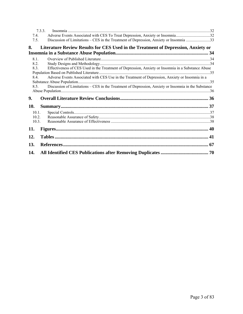|       | 7.3.3.                                                                                               |
|-------|------------------------------------------------------------------------------------------------------|
| 7.4.  | Adverse Events Associated with CES To Treat Depression, Anxiety or Insomnia32                        |
| 7.5.  | Discussion of Limitations – CES in the Treatment of Depression, Anxiety or Insomnia 33               |
| 8.    | Literature Review Results for CES Used in the Treatment of Depression, Anxiety or                    |
|       |                                                                                                      |
| 8.1   |                                                                                                      |
| 8.2.  |                                                                                                      |
| 8.3.  | Effectiveness of CES Used in the Treatment of Depression, Anxiety or Insomnia in a Substance Abuse   |
|       |                                                                                                      |
| 8.4.  | Adverse Events Associated with CES Use in the Treatment of Depression, Anxiety or Insomnia in a      |
| 8.5.  | Discussion of Limitations – CES in the Treatment of Depression, Anxiety or Insomnia in the Substance |
|       |                                                                                                      |
| 9.    |                                                                                                      |
| 10.   |                                                                                                      |
| 10.1. |                                                                                                      |
| 10.2. |                                                                                                      |
| 10.3. |                                                                                                      |
| 11.   |                                                                                                      |
| 12.   |                                                                                                      |
| 13.   |                                                                                                      |
| 14.   |                                                                                                      |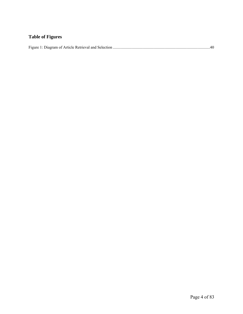# **Table of Figures**

|--|--|--|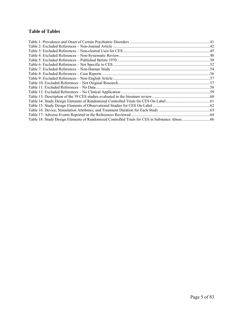### **Table of Tables**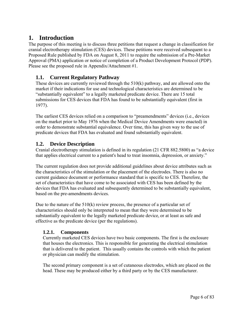# <span id="page-5-0"></span>**1. Introduction**

The purpose of this meeting is to discuss three petitions that request a change in classification for cranial electrotherapy stimulation (CES) devices. These petitions were received subsequent to a Proposed Rule published by FDA on August 8, 2011 to require the submission of a Pre-Market Approval (PMA) application or notice of completion of a Product Development Protocol (PDP). Please see the proposed rule in Appendix/Attachment #1.

# <span id="page-5-1"></span>**1.1. Current Regulatory Pathway**

These devices are currently reviewed through the 510(k) pathway, and are allowed onto the market if their indications for use and technological characteristics are determined to be "substantially equivalent" to a legally marketed predicate device. There are 15 total submissions for CES devices that FDA has found to be substantially equivalent (first in 1977).

The earliest CES devices relied on a comparison to "preamendments" devices (i.e., devices on the market prior to May 1976 when the Medical Device Amendments were enacted) in order to demonstrate substantial equivalence. Over time, this has given way to the use of predicate devices that FDA has evaluated and found substantially equivalent.

# <span id="page-5-2"></span>**1.2. Device Description**

Cranial electrotherapy stimulation is defined in its regulation (21 CFR 882.5800) as "a device that applies electrical current to a patient's head to treat insomnia, depression, or anxiety."

The current regulation does not provide additional guidelines about device attributes such as the characteristics of the stimulation or the placement of the electrodes. There is also no current guidance document or performance standard that is specific to CES. Therefore, the set of characteristics that have come to be associated with CES has been defined by the devices that FDA has evaluated and subsequently determined to be substantially equivalent, based on the pre-amendments devices.

Due to the nature of the 510(k) review process, the presence of a particular set of characteristics should only be interpreted to mean that they were determined to be substantially equivalent to the legally marketed predicate device, or at least as safe and effective as the predicate device (per the regulations).

# <span id="page-5-3"></span>**1.2.1. Components**

Currently marketed CES devices have two basic components. The first is the enclosure that houses the electronics. This is responsible for generating the electrical stimulation that is delivered to the patient. This usually contains the controls with which the patient or physician can modify the stimulation.

The second primary component is a set of cutaneous electrodes, which are placed on the head. These may be produced either by a third party or by the CES manufacturer.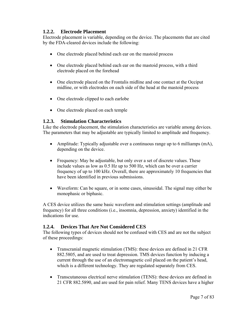#### **1.2.2. Electrode Placement**

<span id="page-6-0"></span>Electrode placement is variable, depending on the device. The placements that are cited by the FDA-cleared devices include the following:

- One electrode placed behind each ear on the mastoid process
- One electrode placed behind each ear on the mastoid process, with a third electrode placed on the forehead
- One electrode placed on the Frontalis midline and one contact at the Occiput midline, or with electrodes on each side of the head at the mastoid process
- One electrode clipped to each earlobe
- One electrode placed on each temple

#### <span id="page-6-1"></span>**1.2.3. Stimulation Characteristics**

Like the electrode placement, the stimulation characteristics are variable among devices. The parameters that may be adjustable are typically limited to amplitude and frequency.

- Amplitude: Typically adjustable over a continuous range up to 6 milliamps (mA), depending on the device.
- Frequency: May be adjustable, but only over a set of discrete values. These include values as low as 0.5 Hz up to 500 Hz, which can be over a carrier frequency of up to 100 kHz. Overall, there are approximately 10 frequencies that have been identified in previous submissions.
- Waveform: Can be square, or in some cases, sinusoidal. The signal may either be monophasic or biphasic.

A CES device utilizes the same basic waveform and stimulation settings (amplitude and frequency) for all three conditions (i.e., insomnia, depression, anxiety) identified in the indications for use.

#### <span id="page-6-2"></span>**1.2.4. Devices That Are Not Considered CES**

The following types of devices should not be confused with CES and are not the subject of these proceedings:

- Transcranial magnetic stimulation (TMS): these devices are defined in 21 CFR 882.5805, and are used to treat depression. TMS devices function by inducing a current through the use of an electromagnetic coil placed on the patient's head, which is a different technology. They are regulated separately from CES.
- Transcutaneous electrical nerve stimulation (TENS): these devices are defined in 21 CFR 882.5890, and are used for pain relief. Many TENS devices have a higher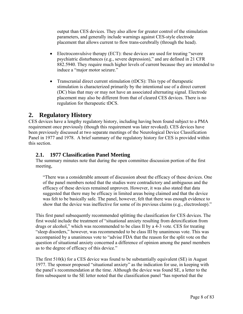output than CES devices. They also allow for greater control of the stimulation parameters, and generally include warnings against CES-style electrode placement that allows current to flow trans-cerebrally (through the head).

- Electroconvulsive therapy (ECT): these devices are used for treating "severe psychiatric disturbances (e.g., severe depression)," and are defined in 21 CFR 882.5940. They require much higher levels of current because they are intended to induce a "major motor seizure."
- Transcranial direct current stimulation (tDCS): This type of the rapeutic stimulation is characterized primarily by the intentional use of a direct current (DC) bias that may or may not have an associated alternating signal. Electrode placement may also be different from that of cleared CES devices. There is no regulation for therapeutic tDCS.

# <span id="page-7-0"></span>**2. Regulatory History**

CES devices have a lengthy regulatory history, including having been found subject to a PMA requirement once previously (though this requirement was later revoked). CES devices have been previously discussed at two separate meetings of the Neurological Device Classification Panel in 1977 and 1978. A brief summary of the regulatory history for CES is provided within this section.

# <span id="page-7-1"></span>**2.1. 1977 Classification Panel Meeting**

The summary minutes note that during the open committee discussion portion of the first meeting,

"There was a considerable amount of discussion about the efficacy of these devices. One of the panel members noted that the studies were contradictory and ambiguous and the efficacy of these devices remained unproven. However, it was also stated that data suggested that there may be efficacy in limited areas being claimed and that the device was felt to be basically safe. The panel, however, felt that there was enough evidence to show that the device was ineffective for some of its previous claims (e.g., electrosleep)."

This first panel subsequently recommended splitting the classification for CES devices. The first would include the treatment of "situational anxiety resulting from detoxification from drugs or alcohol," which was recommended to be class II by a 4-3 vote. CES for treating "sleep disorders," however, was recommended to be class III by unanimous vote. This was accompanied by a unanimous vote to "advise FDA that the reason for the split vote on the question of situational anxiety concerned a difference of opinion among the panel members as to the degree of efficacy of this device."

The first 510(k) for a CES device was found to be substantially equivalent (SE) in August 1977. The sponsor proposed "situational anxiety" as the indication for use, in keeping with the panel's recommendation at the time. Although the device was found SE, a letter to the firm subsequent to the SE letter noted that the classification panel "has reported that the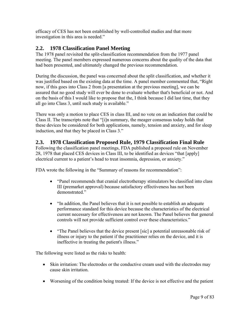efficacy of CES has not been established by well-controlled studies and that more investigation in this area is needed."

# <span id="page-8-0"></span>**2.2. 1978 Classification Panel Meeting**

The 1978 panel revisited the split-classification recommendation from the 1977 panel meeting. The panel members expressed numerous concerns about the quality of the data that had been presented, and ultimately changed the previous recommendation.

During the discussion, the panel was concerned about the split classification, and whether it was justified based on the existing data at the time. A panel member commented that, "Right now, if this goes into Class 2 from [a presentation at the previous meeting], we can be assured that no good study will ever be done to evaluate whether that's beneficial or not. And on the basis of this I would like to propose that the, I think because I did last time, that they all go into Class 3, until such study is available."

There was only a motion to place CES in class III, and no vote on an indication that could be Class II. The transcripts note that "[i]n summary, the meager consensus today holds that these devices be considered for both applications, namely, tension and anxiety, and for sleep induction, and that they be placed in Class 3."

# <span id="page-8-1"></span>**2.3. 1978 Classification Proposed Rule, 1979 Classification Final Rule**

Following the classification panel meetings, FDA published a proposed rule on November 28, 1978 that placed CES devices in Class III, to be identified as devices "that [apply] electrical current to a patient's head to treat insomnia, depression, or anxiety."

FDA wrote the following in the "Summary of reasons for recommendation":

- "Panel recommends that cranial electrotherapy stimulators be classified into class III (premarket approval) because satisfactory effectiveness has not been demonstrated."
- "In addition, the Panel believes that it is not possible to establish an adequate performance standard for this device because the characteristics of the electrical current necessary for effectiveness are not known. The Panel believes that general controls will not provide sufficient control over these characteristics."
- "The Panel believes that the device present [sic] a potential unreasonable risk of illness or injury to the patient if the practitioner relies on the device, and it is ineffective in treating the patient's illness."

The following were listed as the risks to health:

- Skin irritation: The electrodes or the conductive cream used with the electrodes may cause skin irritation.
- Worsening of the condition being treated: If the device is not effective and the patient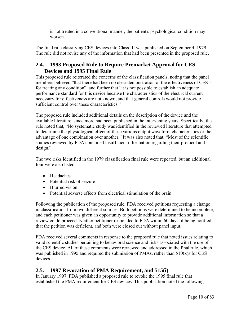is not treated in a conventional manner, the patient's psychological condition may worsen.

The final rule classifying CES devices into Class III was published on September 4, 1979. The rule did not revise any of the information that had been presented in the proposed rule.

# <span id="page-9-0"></span>**2.4. 1993 Proposed Rule to Require Premarket Approval for CES Devices and 1995 Final Rule**

This proposed rule reiterated the concerns of the classification panels, noting that the panel members believed "that there had been no clear demonstration of the effectiveness of CES's for treating any condition", and further that "it is not possible to establish an adequate performance standard for this device because the characteristics of the electrical current necessary for effectiveness are not known, and that general controls would not provide sufficient control over these characteristics."

The proposed rule included additional details on the description of the device and the available literature, since more had been published in the intervening years. Specifically, the rule noted that, "No systematic study was identified in the reviewed literature that attempted to determine the physiological effect of these various output waveform characteristics or the advantage of one combination over another." It was also noted that, "Most of the scientific studies reviewed by FDA contained insufficient information regarding their protocol and design."

The two risks identified in the 1979 classification final rule were repeated, but an additional four were also listed:

- Headaches
- Potential risk of seizure
- Blurred vision
- Potential adverse effects from electrical stimulation of the brain

Following the publication of the proposed rule, FDA received petitions requesting a change in classification from two different sources. Both petitions were determined to be incomplete, and each petitioner was given an opportunity to provide additional information so that a review could proceed. Neither petitioner responded to FDA within 60 days of being notified that the petition was deficient, and both were closed out without panel input.

FDA received several comments in response to the proposed rule that noted issues relating to valid scientific studies pertaining to behavioral science and risks associated with the use of the CES device. All of these comments were reviewed and addressed in the final rule, which was published in 1995 and required the submission of PMAs, rather than 510(k)s for CES devices.

# <span id="page-9-1"></span>**2.5. 1997 Revocation of PMA Requirement, and 515(i)**

In January 1997, FDA published a proposed rule to revoke the 1995 final rule that established the PMA requirement for CES devices. This publication noted the following: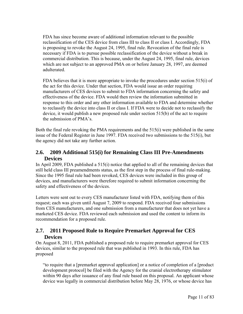FDA has since become aware of additional information relevant to the possible reclassification of the CES device from class III to class II or class I. Accordingly, FDA is proposing to revoke the August 24, 1995, final rule. Revocation of the final rule is necessary if FDA is to pursue possible reclassification of the device without a break in commercial distribution. This is because, under the August 24, 1995, final rule, devices which are not subject to an approved PMA on or before January 28, 1997, are deemed adulterated.

FDA believes that it is more appropriate to invoke the procedures under section 515(i) of the act for this device. Under that section, FDA would issue an order requiring manufacturers of CES devices to submit to FDA information concerning the safety and effectiveness of the device. FDA would then review the information submitted in response to this order and any other information available to FDA and determine whether to reclassify the device into class II or class I. If FDA were to decide not to reclassify the device, it would publish a new proposed rule under section 515(b) of the act to require the submission of PMA's.

Both the final rule revoking the PMA requirements and the 515(i) were published in the same issue of the Federal Register in June 1997. FDA received two submissions to the 515(i), but the agency did not take any further action.

# <span id="page-10-0"></span>**2.6. 2009 Additional 515(i) for Remaining Class III Pre-Amendments Devices**

In April 2009, FDA published a 515(i) notice that applied to all of the remaining devices that still held class III preamendments status, as the first step in the process of final rule-making. Since the 1995 final rule had been revoked, CES devices were included in this group of devices, and manufacturers were therefore required to submit information concerning the safety and effectiveness of the devices.

Letters were sent out to every CES manufacturer listed with FDA, notifying them of this request; each was given until August 7, 2009 to respond. FDA received four submissions from CES manufacturers, and one submission from a manufacturer that does not yet have a marketed CES device. FDA reviewed each submission and used the content to inform its recommendation for a proposed rule.

# <span id="page-10-1"></span>**2.7. 2011 Proposed Rule to Require Premarket Approval for CES Devices**

On August 8, 2011, FDA published a proposed rule to require premarket approval for CES devices, similar to the proposed rule that was published in 1993. In this rule, FDA has proposed

"to require that a [premarket approval application] or a notice of completion of a [product development protocol] be filed with the Agency for the cranial electrotherapy stimulator within 90 days after issuance of any final rule based on this proposal. An applicant whose device was legally in commercial distribution before May 28, 1976, or whose device has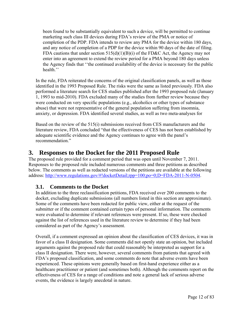been found to be substantially equivalent to such a device, will be permitted to continue marketing such class III devices during FDA's review of the PMA or notice of completion of the PDP. FDA intends to review any PMA for the device within 180 days, and any notice of completion of a PDP for the device within 90 days of the date of filing. FDA cautions that under section 515(d)(1)(B)(i) of the FD&C Act, the Agency may not enter into an agreement to extend the review period for a PMA beyond 180 days unless the Agency finds that ''the continued availability of the device is necessary for the public health.''

In the rule, FDA reiterated the concerns of the original classification panels, as well as those identified in the 1993 Proposed Rule. The risks were the same as listed previously. FDA also performed a literature search for CES studies published after the 1993 proposed rule (January 1, 1993 to mid-2010). FDA excluded many of the studies from further review because they were conducted on very specific populations (e.g., alcoholics or other types of substance abuse) that were not representative of the general population suffering from insomnia, anxiety, or depression. FDA identified several studies, as well as two meta-analyses for

Based on the review of the 515(i) submissions received from CES manufacturers and the literature review, FDA concluded "that the effectiveness of CES has not been established by adequate scientific evidence and the Agency continues to agree with the panel's recommendation."

# <span id="page-11-0"></span>**3. Responses to the Docket for the 2011 Proposed Rule**

The proposed rule provided for a comment period that was open until November 7, 2011. Responses to the proposed rule included numerous comments and three petitions as described below. The comments as well as redacted versions of the petitions are available at the following address:<http://www.regulations.gov/#!docketDetail;rpp=100;po=0;D=FDA-2011-N-0504>.

# <span id="page-11-1"></span>**3.1. Comments to the Docket**

In addition to the three reclassification petitions, FDA received over 200 comments to the docket, excluding duplicate submissions (all numbers listed in this section are approximate). Some of the comments have been redacted for public view, either at the request of the submitter or if the comment contained certain types of personal information. The comments were evaluated to determine if relevant references were present. If so, these were checked against the list of references used in the literature review to determine if they had been considered as part of the Agency's assessment.

Overall, if a comment expressed an opinion about the classification of CES devices, it was in favor of a class II designation. Some comments did not openly state an opinion, but included arguments against the proposed rule that could reasonably be interpreted as support for a class II designation. There were, however, several comments from patients that agreed with FDA's proposed classification, and some comments do note that adverse events have been experienced. These opinions were generally based on first-hand experience either as a healthcare practitioner or patient (and sometimes both). Although the comments report on the effectiveness of CES for a range of conditions and note a general lack of serious adverse events, the evidence is largely anecdotal in nature.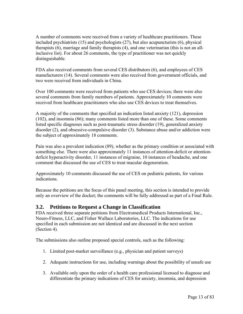A number of comments were received from a variety of healthcare practitioners. These included psychiatrists (15) and psychologists (27), but also acupuncturists (6), physical therapists (6), marriage and family therapists (4), and one veterinarian (this is not an allinclusive list). For about 26 comments, the type of practitioner was not quickly distinguishable.

FDA also received comments from several CES distributors (6), and employees of CES manufacturers (14). Several comments were also received from government officials, and two were received from individuals in China.

Over 100 comments were received from patients who use CES devices; there were also several comments from family members of patients. Approximately 10 comments were received from healthcare practitioners who also use CES devices to treat themselves.

A majority of the comments that specified an indication listed anxiety (121), depression (102), and insomnia (86); many comments listed more than one of these. Some comments listed specific diagnoses such as post-traumatic stress disorder (19), generalized anxiety disorder (2), and obsessive-compulsive disorder (3). Substance abuse and/or addiction were the subject of approximately 18 comments.

Pain was also a prevalent indication (89), whether as the primary condition or associated with something else. There were also approximately 11 instances of attention-deficit or attentiondeficit hyperactivity disorder, 11 instances of migraine, 10 instances of headache, and one comment that discussed the use of CES to treat macular degeneration.

Approximately 10 comments discussed the use of CES on pediatric patients, for various indications.

Because the petitions are the focus of this panel meeting, this section is intended to provide only an overview of the docket; the comments will be fully addressed as part of a Final Rule.

# <span id="page-12-0"></span>**3.2. Petitions to Request a Change in Classification**

FDA received three separate petitions from Electromedical Products International, Inc., Neuro-Fitness, LLC, and Fisher Wallace Laboratories, LLC. The indications for use specified in each submission are not identical and are discussed in the next section (Section 4).

The submissions also outline proposed special controls, such as the following:

- 1. Limited post-market surveillance (e.g., physician and patient surveys)
- 2. Adequate instructions for use, including warnings about the possibility of unsafe use
- 3. Available only upon the order of a health care professional licensed to diagnose and differentiate the primary indications of CES for anxiety, insomnia, and depression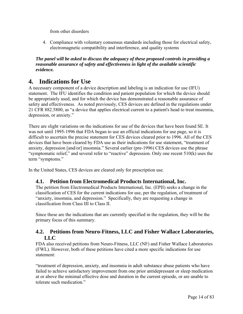from other disorders

4. Compliance with voluntary consensus standards including those for electrical safety, electromagnetic compatibility and interference, and quality systems

*The panel will be asked to discuss the adequacy of these proposed controls in providing a reasonable assurance of safety and effectiveness in light of the available scientific evidence.* 

# <span id="page-13-0"></span>**4. Indications for Use**

A necessary component of a device description and labeling is an indication for use (IFU) statement. The IFU identifies the condition and patient population for which the device should be appropriately used, and for which the device has demonstrated a reasonable assurance of safety and effectiveness. As noted previously, CES devices are defined in the regulations under 21 CFR 882.5800, as "a device that applies electrical current to a patient's head to treat insomnia, depression, or anxiety."

There are slight variations on the indications for use of the devices that have been found SE. It was not until 1995-1996 that FDA began to use an official indications for use page, so it is difficult to ascertain the precise statement for CES devices cleared prior to 1996. All of the CES devices that have been cleared by FDA use as their indications for use statement, "treatment of anxiety, depression [and/or] insomnia." Several earlier (pre-1996) CES devices use the phrase "symptomatic relief," and several refer to "reactive" depression. Only one recent 510(k) uses the term "symptoms."

<span id="page-13-1"></span>In the United States, CES devices are cleared only for prescription use.

# **4.1. Petition from Electromedical Products International, Inc.**

The petition from Electromedical Products International, Inc. (EPII) seeks a change in the classification of CES for the current indications for use, per the regulation, of treatment of "anxiety, insomnia, and depression." Specifically, they are requesting a change in classification from Class III to Class II.

Since these are the indications that are currently specified in the regulation, they will be the primary focus of this summary.

# <span id="page-13-2"></span>**4.2. Petitions from Neuro-Fitness, LLC and Fisher Wallace Laboratories, LLC**

FDA also received petitions from Neuro-Fitness, LLC (NF) and Fisher Wallace Laboratories (FWL). However, both of these petitions have cited a more specific indications for use statement:

"treatment of depression, anxiety, and insomnia in adult substance abuse patients who have failed to achieve satisfactory improvement from one prior antidepressant or sleep medication at or above the minimal effective dose and duration in the current episode, or are unable to tolerate such medication."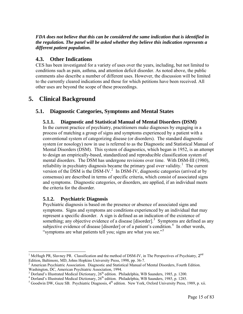*FDA does not believe that this can be considered the same indication that is identified in the regulation. The panel will be asked whether they believe this indication represents a different patient population.* 

### <span id="page-14-0"></span>**4.3. Other Indications**

CES has been investigated for a variety of uses over the years, including, but not limited to conditions such as pain, asthma, and attention deficit disorder. As noted above, the public comments also describe a number of different uses. However, the discussion will be limited to the currently cleared indications and those for which petitions have been received. All other uses are beyond the scope of these proceedings.

# <span id="page-14-3"></span><span id="page-14-2"></span><span id="page-14-1"></span>**5. Clinical Background**

# **5.1. Diagnostic Categories, Symptoms and Mental States**

#### **5.1.1. Diagnostic and Statistical Manual of Mental Disorders (DSM)**

In the current practice of psychiatry, practitioners make diagnoses by engaging in a process of matching a group of signs and symptoms experienced by a patient with a conventional system of categorizing disease (or disorders). The standard diagnostic system (or nosology) now in use is referred to as the Diagnostic and Statistical Manual of Mental Disorders (DSM). This system of diagnostics, which began in 1952, is an attempt to design an empirically-based, standardized and reproducible classification system of mental disorders. The DSM has undergone revisions over time. With DSM-III (1980), reliability in psychiatry diagnosis became the primary goal over validity.<sup>[1](#page-14-5)</sup> The current version of the DSM is the DSM-IV.<sup>[2](#page-14-6)</sup> In DSM-IV, diagnostic categories (arrived at by consensus) are described in terms of specific criteria, which consist of associated signs and symptoms. Diagnostic categories, or disorders, are applied, if an individual meets the criteria for the disorder.

#### <span id="page-14-4"></span>**5.1.2. Psychiatric Diagnosis**

Psychiatric diagnosis is based on the presence or absence of associated signs and symptoms. Signs and symptoms are conditions experienced by an individual that may represent a specific disorder. A sign is defined as an indication of the existence of something; any objective evidence of a disease [disorder].<sup>[3](#page-14-7)</sup> Symptoms are defined as any subjective evidence of disease [disorder] or of a patient's condition. $4$  In other words, "symptoms are what patients tell you; signs are what you see."<sup>[5](#page-14-9)</sup>

<span id="page-14-5"></span> $\overline{a}$ <sup>1</sup> McHugh PR, Slavney PR. Classification and the method of DSM-IV, in The Perspectives of Psychiatry, 2<sup>nd</sup> Edition, Baltimore, MD, Johns Hopkins University Press, 1998, pp. 36-7. 2

<span id="page-14-6"></span><sup>&</sup>lt;sup>2</sup> American Psychiatric Association. Diagnostic and Statistical Manual of Mental Disorders, Fourth Edition. Washington, DC, American Psychiatric Association, 1994.

<span id="page-14-7"></span><sup>&</sup>lt;sup>3</sup> Dorland's Illustrated Medical Dictionary,  $26<sup>th</sup>$  edition. Philadelphia, WB Saunders, 1985, p. 1200.

<span id="page-14-8"></span><sup>&</sup>lt;sup>4</sup> Dorland's Illustrated Medical Dictionary, 26<sup>th</sup> edition. Philadelphia, WB Saunders, 1985, p. 1285.

<span id="page-14-9"></span><sup>&</sup>lt;sup>5</sup> Goodwin DW, Guze SB. Psychiatric Diagnosis, 4<sup>th</sup> edition. New York, Oxford University Press, 1989, p. xii.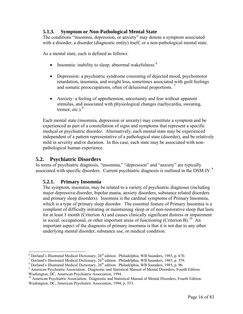#### <span id="page-15-0"></span>**5.1.3. Symptom or Non-Pathological Mental State**

The conditions "insomnia, depression, or anxiety" may denote a symptom associated with a disorder, a disorder (diagnostic entity) itself, or a non-pathological mental state.

As a mental state, each is defined as follows:

- Insomnia: inability to sleep; abnormal wakefulness. $<sup>6</sup>$  $<sup>6</sup>$  $<sup>6</sup>$ </sup>
- Depression: a psychiatric syndrome consisting of dejected mood, psychomotor retardation, insomnia, and weight loss, sometimes associated with guilt feelings and somatic preoccupations, often of delusional proportions.<sup>[7](#page-15-4)</sup>
- Anxiety: a feeling of apprehension, uncertainty and fear without apparent stimulus, and associated with physiological changes (tachycardia, sweating, tremor, etc.). $8$

Each mental state (insomnia, depression or anxiety) may constitute a symptom and be experienced as part of a constellation of signs and symptoms that represent a specific medical or psychiatric disorder. Alternatively, each mental state may be experienced independent of a pattern representative of a pathological state (disorder), and be relatively mild in severity and/or duration. In this case, each state may be associated with nonpathological human experience.

# <span id="page-15-1"></span>**5.2. Psychiatric Disorders**

<span id="page-15-2"></span>In terms of psychiatric diagnosis, "insomnia," "depression" and "anxiety" are typically associated with specific disorders. Current psychiatric diagnosis is outlined in the DSM-IV.<sup>[9](#page-15-6)</sup>

#### **5.2.1. Primary Insomnia**

The symptom, insomnia, may be related to a variety of psychiatric diagnoses (including major depressive disorder, bipolar mania, anxiety disorders, substance related disorders and primary sleep disorders). Insomnia is the cardinal symptoms of Primary Insomnia, which is a type of primary sleep disorder. The essential feature of Primary Insomnia is a complaint of difficulty initiating or maintaining sleep or of non-restorative sleep that lasts for at least 1 month (Criterion A) and causes clinically significant distress or impairment in social, occupational, or other important areas of functioning (Criterion B).<sup>[10](#page-15-7)</sup> An important aspect of the diagnosis of primary insomnia is that it is not due to any other underlying mental disorder, substance use, or medical condition.

<span id="page-15-3"></span><sup>&</sup>lt;sup>6</sup> Dorland's Illustrated Medical Dictionary, 26<sup>th</sup> edition. Philadelphia, WB Saunders, 1985, p. 670.<br><sup>7</sup> Declard's Illustrated Medical Dictionary, 26<sup>th</sup> edition. Philadelphia, WB Saunders, 1985, p. 350.

<sup>&</sup>lt;sup>7</sup> Dorland's Illustrated Medical Dictionary,  $26<sup>th</sup>$  edition. Philadelphia, WB Saunders, 1985, p. 359. 8<br><sup>8</sup> Declard's Illustrated Medical Dictionary,  $26<sup>th</sup>$  edition. Philadelphia, WB Saunders, 1985, p. 96.

<span id="page-15-5"></span><span id="page-15-4"></span><sup>&</sup>lt;sup>8</sup> Dorland's Illustrated Medical Dictionary, 26<sup>th</sup> edition. Philadelphia, WB Saunders, 1985, p. 96.

<span id="page-15-6"></span> $9$  American Psychiatric Association. Diagnostic and Statistical Manual of Mental Disorders, Fourth Edition.<br>Washington, DC, American Psychiatric Association, 1994.

<span id="page-15-7"></span><sup>&</sup>lt;sup>10</sup> American Psychiatric Association. Diagnostic and Statistical Manual of Mental Disorders, Fourth Edition. Washington, DC, American Psychiatric Association, 1994, p. 553.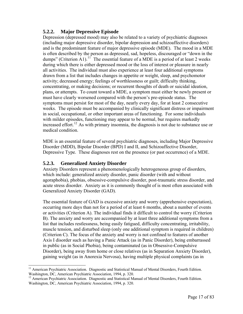#### <span id="page-16-0"></span>**5.2.2. Major Depressive Episode**

Depression (depressed mood) may also be related to a variety of psychiatric diagnoses (including major depressive disorder, bipolar depression and schizoaffective disorders) and is the predominant feature of major depressive episode (MDE). The mood in a MDE is often described by the person as depressed, sad, hopeless, discouraged or "down in the dumps" (Criterion A1).<sup>[11](#page-16-2)</sup> The essential feature of a MDE is a period of at least 2 weeks during which there is either depressed mood or the loss of interest or pleasure in nearly all activities. The individual must also experience at least four additional symptoms drawn from a list that includes changes in appetite or weight, sleep, and psychomotor activity; decreased energy; feelings of worthlessness or guilt; difficulty thinking, concentrating, or making decisions; or recurrent thoughts of death or suicidal ideation, plans, or attempts. To count toward a MDE, a symptom must either be newly present or must have clearly worsened compared with the person's pre-episode status. The symptoms must persist for most of the day, nearly every day, for at least 2 consecutive weeks. The episode must be accompanied by clinically significant distress or impairment in social, occupational, or other important areas of functioning. For some individuals with milder episodes, functioning may appear to be normal, bur requires markedly increased effort.<sup>[12](#page-16-3)</sup> As with primary insomnia, the diagnosis is not due to substance use or medical condition.

MDE is an essential feature of several psychiatric diagnoses, including Major Depressive Disorder (MDD), Bipolar Disorder (BPD) I and II, and Schizoaffective Disorder, Depressive Type. These diagnoses rest on the presence (or past occurrence) of a MDE.

#### <span id="page-16-1"></span>**5.2.3. Generalized Anxiety Disorder**

Anxiety Disorders represent a phenomenologically heterogeneous group of disorders, which include: generalized anxiety disorder, panic disorder (with and without agoraphobia), phobias, obsessive-compulsive disorder, post-traumatic stress disorder, and acute stress disorder. Anxiety as it is commonly thought of is most often associated with Generalized Anxiety Disorder (GAD).

The essential feature of GAD is excessive anxiety and worry (apprehensive expectation), occurring more days than not for a period of at least 6 months, about a number of events or activities (Criterion A). The individual finds it difficult to control the worry (Criterion B). The anxiety and worry are accompanied by at least three additional symptoms from a list that includes restlessness, being easily fatigued, difficulty concentrating, irritability, muscle tension, and disturbed sleep (only one additional symptom is required in children) (Criterion C). The focus of the anxiety and worry is not confined to features of another Axis I disorder such as having a Panic Attack (as in Panic Disorder), being embarrassed in public (as in Social Phobia), being contaminated (as in Obsessive-Compulsive Disorder), being away from home or close relatives (as in Separation Anxiety Disorder), gaining weight (as in Anorexia Nervosa), having multiple physical complaints (as in

<span id="page-16-2"></span> $\overline{a}$ <sup>11</sup> American Psychiatric Association. Diagnostic and Statistical Manual of Mental Disorders, Fourth Edition. Washington, DC, American Psychiatric Association, 1994, p. 320.<br><sup>12</sup> American Psychiatric Association. Diagnostic and Statistical Manual of Mental Disorders, Fourth Edition.

<span id="page-16-3"></span>Washington, DC, American Psychiatric Association, 1994, p. 320.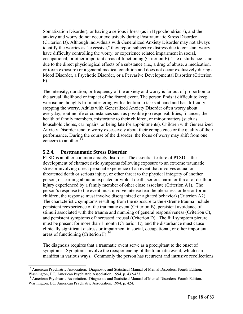Somatization Disorder), or having a serious illness (as in Hypochondriasis), and the anxiety and worry do not occur exclusively during Posttraumatic Stress Disorder (Criterion D). Although individuals with Generalized Anxiety Disorder may not always identify the worries as "excessive," they report subjective distress due to constant worry, have difficulty controlling the worry, or experience related impairment in social, occupational, or other important areas of functioning (Criterion E). The disturbance is not due to the direct physiological effects of a substance (i.e., a drug of abuse, a medication, or toxin exposure) or a general medical condition and does not occur exclusively during a Mood Disorder, a Psychotic Disorder, or a Pervasive Developmental Disorder (Criterion  $F$ ).

The intensity, duration, or frequency of the anxiety and worry is far out of proportion to the actual likelihood or impact of the feared event. The person finds it difficult to keep worrisome thoughts from interfering with attention to tasks at hand and has difficulty stopping the worry. Adults with Generalized Anxiety Disorder often worry about everyday, routine life circumstances such as possible job responsibilities, finances, the health of family members, misfortune to their children, or minor matters (such as household chores, car repairs, or being late for appointments). Children with Generalized Anxiety Disorder tend to worry excessively about their competence or the quality of their performance. During the course of the disorder, the focus of worry may shift from one concern to another. $^{13}$  $^{13}$  $^{13}$ 

#### <span id="page-17-0"></span>**5.2.4. Posttraumatic Stress Disorder**

PTSD is another common anxiety disorder. The essential feature of PTSD is the development of characteristic symptoms following exposure to an extreme traumatic stressor involving direct personal experience of an event that involves actual or threatened death or serious injury, or other threat to the physical integrity of another person; or learning about unexpected or violent death, serious harm, or threat of death or injury experienced by a family member of other close associate (Criterion A1). The person's response to the event must involve intense fear, helplessness, or horror (or in children, the response must involve disorganized or agitated behavior) (Criterion A2). The characteristic symptoms resulting from the exposure to the extreme trauma include persistent reexperience of the traumatic event (Criterion B), persistent avoidance of stimuli associated with the trauma and numbing of general responsiveness (Criterion C), and persistent symptoms of increased arousal (Criterion D). The full symptom picture must be present for more than 1 month (Criterion E), and the disturbance must cause clinically significant distress or impairment in social, occupational, or other important areas of functioning (Criterion F).<sup>[14](#page-17-2)</sup>

The diagnosis requires that a traumatic event serve as a precipitant to the onset of symptoms. Symptoms involve the reexperiencing of the traumatic event, which can manifest in various ways. Commonly the person has recurrent and intrusive recollections

<span id="page-17-1"></span> $\overline{a}$ <sup>13</sup> American Psychiatric Association. Diagnostic and Statistical Manual of Mental Disorders, Fourth Edition. Washington, DC, American Psychiatric Association, 1994, p. 432-433.

<span id="page-17-2"></span><sup>&</sup>lt;sup>14</sup> American Psychiatric Association. Diagnostic and Statistical Manual of Mental Disorders, Fourth Edition. Washington, DC, American Psychiatric Association, 1994, p. 424.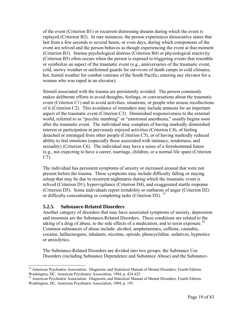of the event (Criterion B1) or recurrent distressing dreams during which the event is replayed (Criterion B2). In rare instances, the person experiences dissociative states that last from a few seconds to several hours, or even days, during which components of the event are relived and the person behaves as though experiencing the event at that moment (Criterion B3). Intense psychological distress (Criterion B4) or physiological reactivity (Criterion B5) often occurs when the person is exposed to triggering events that resemble or symbolize an aspect of the traumatic event (e.g., anniversaries of the traumatic event, cold, snowy weather or uniformed guards for survivors of death camps in cold climates; hot, humid weather for combat veterans of the South Pacific; entering any elevator for a woman who was raped in an elevator).

Stimuli associated with the trauma are persistently avoided. The person commonly makes deliberate efforts to avoid thoughts, feelings, or conversations about the traumatic event (Criterion C1) and to avoid activities, situations, or people who arouse recollections of it (Criterion C2). This avoidance of reminders may include amnesia for an important aspect of the traumatic event (Criterion C3). Diminished responsiveness to the external world, referred to as "psychic numbing" or "emotional anesthesia," usually begins soon after the traumatic event. The individual may complain of having markedly diminished interest or participation in previously enjoyed activities (Criterion C4), of feeling detached or estranged from other people (Criterion C5), or of having markedly reduced ability to feel emotions (especially those associated with intimacy, tenderness, and sexuality) (Criterion C6). The individual may have a sense of a foreshortened future (e.g., not expecting to have a career, marriage, children, or a normal life span) (Criterion C7).

The individual has persistent symptoms of anxiety or increased arousal that were not present before the trauma. These symptoms may include difficulty falling or staying asleep that may be due to recurrent nightmares during which the traumatic event is relived (Criterion D1), hypervigilance (Criterion D4), and exaggerated startle response (Criterion D5). Some individuals report irritability or outbursts of anger (Criterion D2) or difficulty concentrating or completing tasks (Criterion D3).<sup>[15](#page-18-1)</sup>

#### <span id="page-18-0"></span>**5.2.5. Substance-Related Disorders**

Another category of disorders that may have associated symptoms of anxiety, depression and insomnia are the Substance-Related Disorders. These conditions are related to the taking of a drug of abuse, to the side effects of a medication, and to toxin exposure.<sup>[16](#page-18-2)</sup> Common substances of abuse include: alcohol, amphetamines, caffeine, cannabis, cocaine, hallucinogens, inhalants, nicotine, opioids, phencyclidine, sedatives, hypnotics or anxiolytics.

The Substance-Related Disorders are divided into two groups: the Substance Use Disorders (including Substance Dependence and Substance Abuse) and the Substance-

<span id="page-18-1"></span> $\overline{a}$ <sup>15</sup> American Psychiatric Association. Diagnostic and Statistical Manual of Mental Disorders, Fourth Edition. Washington, DC, American Psychiatric Association, 1994, p. 424-425.

<span id="page-18-2"></span><sup>&</sup>lt;sup>16</sup> American Psychiatric Association. Diagnostic and Statistical Manual of Mental Disorders, Fourth Edition. Washington, DC, American Psychiatric Association, 1994, p. 195.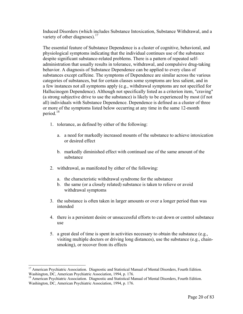Induced Disorders (which includes Substance Intoxication, Substance Withdrawal, and a variety of other diagnoses).  $17$ 

The essential feature of Substance Dependence is a cluster of cognitive, behavioral, and physiological symptoms indicating that the individual continues use of the substance despite significant substance-related problems. There is a pattern of repeated selfadministration that usually results in tolerance, withdrawal, and compulsive drug-taking behavior. A diagnosis of Substance Dependence can be applied to every class of substances except caffeine. The symptoms of Dependence are similar across the various categories of substances, but for certain classes some symptoms are less salient, and in a few instances not all symptoms apply (e.g., withdrawal symptoms are not specified for Hallucinogen Dependence). Although not specifically listed as a criterion item, "craving" (a strong subjective drive to use the substance) is likely to be experienced by most (if not all) individuals with Substance Dependence. Dependence is defined as a cluster of three or more of the symptoms listed below occurring at any time in the same 12-month period.[18](#page-19-1)

- 1. tolerance, as defined by either of the following:
	- a. a need for markedly increased mounts of the substance to achieve intoxication or desired effect
	- b. markedly diminished effect with continued use of the same amount of the substance
- 2. withdrawal, as manifested by either of the following:
	- a. the characteristic withdrawal syndrome for the substance
	- b. the same (or a closely related) substance is taken to relieve or avoid withdrawal symptoms
- 3. the substance is often taken in larger amounts or over a longer period than was intended
- 4. there is a persistent desire or unsuccessful efforts to cut down or control substance use
- 5. a great deal of time is spent in activities necessary to obtain the substance (e.g., visiting multiple doctors or driving long distances), use the substance (e.g., chainsmoking), or recover from its effects

 $\overline{a}$ 

<span id="page-19-0"></span><sup>&</sup>lt;sup>17</sup> American Psychiatric Association. Diagnostic and Statistical Manual of Mental Disorders, Fourth Edition. Washington, DC, American Psychiatric Association, 1994, p. 176.<br><sup>18</sup> American Psychiatric Association. Diagnostic and Statistical Manual of Mental Disorders, Fourth Edition.

<span id="page-19-1"></span>Washington, DC, American Psychiatric Association, 1994, p. 176.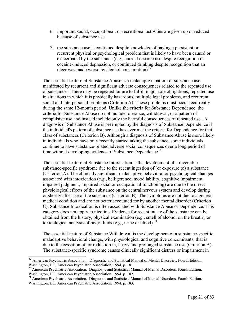- 6. important social, occupational, or recreational activities are given up or reduced because of substance use
- 7. the substance use is continued despite knowledge of having a persistent or recurrent physical or psychological problem that is likely to have been caused or exacerbated by the substance (e.g., current cocaine use despite recognition of cocaine-induced depression, or continued drinking despite recognition that an ulcer was made worse by alcohol consumption) $19$

The essential feature of Substance Abuse is a maladaptive pattern of substance use manifested by recurrent and significant adverse consequences related to the repeated use of substances. There may be repeated failure to fulfill major role obligations, repeated use in situations in which it is physically hazardous, multiple legal problems, and recurrent social and interpersonal problems (Criterion A). These problems must occur recurrently during the same 12-month period. Unlike the criteria for Substance Dependence, the criteria for Substance Abuse do not include tolerance, withdrawal, or a pattern of compulsive use and instead include only the harmful consequences of repeated use. A diagnosis of Substance Abuse is preempted by the diagnosis of Substance Dependence if the individual's pattern of substance use has ever met the criteria for Dependence for that class of substances (Criterion B). Although a diagnosis of Substance Abuse is more likely in individuals who have only recently started taking the substance, some individuals continue to have substance-related adverse social consequences over a long period of time without developing evidence of Substance Dependence.<sup>[20](#page-20-1)</sup>

The essential feature of Substance Intoxication is the development of a reversible substance-specific syndrome due to the recent ingestion of (or exposure to) a substance (Criterion A). The clinically significant maladaptive behavioral or psychological changes associated with intoxication (e.g., belligerence, mood lability, cognitive impairment, impaired judgment, impaired social or occupational functioning) are due to the direct physiological effects of the substance on the central nervous system and develop during or shortly after use of the substance (Criterion B). The symptoms are not due to a general medical condition and are not better accounted for by another mental disorder (Criterion C). Substance Intoxication is often associated with Substance Abuse or Dependence. This category does not apply to nicotine. Evidence for recent intake of the substance can be obtained from the history, physical examination (e.g., smell of alcohol on the breath), or toxicological analysis of body fluids (e.g., urine or blood). $21$ 

The essential feature of Substance Withdrawal is the development of a substance-specific maladaptive behavioral change, with physiological and cognitive concomitants, that is due to the cessation of, or reduction in, heavy and prolonged substance use (Criterion A). The substance-specific syndrome causes clinically significant distress or impairment in

l <sup>19</sup> American Psychiatric Association. Diagnostic and Statistical Manual of Mental Disorders, Fourth Edition.

<span id="page-20-1"></span><span id="page-20-0"></span>Washington, DC, American Psychiatric Association, 1994, p. 181.<br><sup>20</sup> American Psychiatric Association. Diagnostic and Statistical Manual of Mental Disorders, Fourth Edition.<br>Washington, DC, American Psychiatric Association

<span id="page-20-2"></span> $W_{\text{a}}^{21}$  American Psychiatric Association. Diagnostic and Statistical Manual of Mental Disorders, Fourth Edition. Washington, DC, American Psychiatric Association, 1994, p. 183.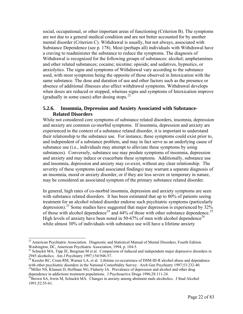social, occupational, or other important areas of functioning (Criterion B). The symptoms are not due to a general medical condition and are not better accounted for by another mental disorder (Criterion C). Withdrawal is usually, but not always, associated with Substance Dependence (see p. 178). Most (perhaps all) individuals with Withdrawal have a craving to readminister the substance to reduce the symptoms. The diagnosis of Withdrawal is recognized for the following groups of substances: alcohol; amphetamines and other related substances; cocaine; nicotine; opioids; and sedatives, hypnotics, or anxiolytics. The signs and symptoms of Withdrawal vary according to the substance used, with most symptoms being the opposite of those observed in Intoxication with the same substance. The dose and duration of use and other factors such as the presence or absence of additional illnesses also affect withdrawal symptoms. Withdrawal develops when doses are reduced or stopped, whereas signs and symptoms of Intoxication improve (gradually in some cases) after dosing stops. $^{22}$  $^{22}$  $^{22}$ 

#### <span id="page-21-0"></span>**5.2.6. Insomnia, Depression and Anxiety Associated with Substance-Related Disorders**

While not considered core symptoms of substance related disorders, insomnia, depression and anxiety are common co-morbid symptoms. If insomnia, depression and anxiety are experienced in the context of a substance related disorder, it is important to understand their relationship to the substance use. For instance, these symptoms could exist prior to, and independent of a substance problem, and may in fact serve as an underlying cause of substance use (i.e., individuals may attempt to alleviate these symptoms by using substances). Conversely, substance use may predate symptoms of insomnia, depression and anxiety and may induce or exacerbate these symptoms. Additionally, substance use and insomnia, depression and anxiety may co-exist, without any clear relationship. The severity of these symptoms (and associated findings) may warrant a separate diagnosis of an insomnia, mood or anxiety disorder, or if they are less severe or temporary in nature, may be considered an associated symptom of the primary substance related disorder.

In general, high rates of co-morbid insomnia, depression and anxiety symptoms are seen with substance related disorders. It has been estimated that up to 80% of patients seeing treatment for an alcohol related disorder endorse such psychiatric symptoms (particularly depression).<sup>[23](#page-21-2)</sup> Some studies have suggested that major depression is experienced by  $32\%$ of those with alcohol dependence<sup>[24](#page-21-3)</sup> and 44% of those with other substance dependence.<sup>[25](#page-21-4)</sup> High levels of anxiety have been noted in 50-67% of men with alcohol dependence<sup>[26](#page-21-5)</sup> while almost 30% of individuals with substance use will have a lifetime anxiety

 $\overline{a}$ 

<span id="page-21-1"></span><sup>&</sup>lt;sup>22</sup> American Psychiatric Association. Diagnostic and Statistical Manual of Mental Disorders, Fourth Edition. Washington, DC, American Psychiatric Association, 1994, p. 184-5.

<span id="page-21-2"></span><sup>&</sup>lt;sup>23</sup> Schuckit MA, Tipp JE, Bergman M et al. Comparison of induced and independent major depressive disorders in 2945 alcoholics. Am J Psychiatry 1997;154:948-57.

<span id="page-21-3"></span><sup>&</sup>lt;sup>24</sup> Kessler RC, Crum RM, Warner LA, et al. Lifetime co-occurrence of DSM-III-R alcohol abuse and dependence with other psychiatric disorders in the National Comorbidity Survey. Arch Gen Psychiatry 1997;53:232-40.

<span id="page-21-4"></span><sup>&</sup>lt;sup>25</sup>Miller NS, Klamen D, Hoffman NG, Flaherty JA. Prevalence of depression and alcohol and other drug dependence in addictions treatment populations. J Psychoactive Drugs 1996;28:111-24.

<span id="page-21-5"></span><sup>&</sup>lt;sup>26</sup>Brown SA, Irwin M, Schuckit MA. Changes in anxiety among abstinent male alcoholics. J Stud Alcohol 1991;52:55-61.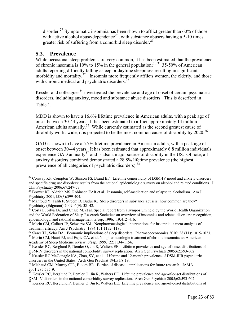disorder.<sup>[27](#page-22-1)</sup> Symptomatic insomnia has been shown to afflict greater than  $60\%$  of those with active alcohol abuse/dependence<sup>[28](#page-22-2)</sup>, with substance abusers having a 5-10 times greater risk of suffering from a comorbid sleep disorder.<sup>[29](#page-22-3)</sup>

# <span id="page-22-0"></span>**5.3. Prevalence**

While occasional sleep problems are very common, it has been estimated that the prevalence of chronic insomnia is  $10\%$  to 15% in the general population;<sup>[30](#page-22-4),[31](#page-22-5)</sup> 35-50% of American adults reporting difficulty falling asleep or daytime sleepiness resulting in significant morbidity and mortality.<sup>[32](#page-22-6)</sup> Insomnia more frequently afflicts women, the elderly, and those with chronic medical and psychiatric disorders.<sup>[33](#page-22-7)</sup>

Kessler and colleagues<sup>[34](#page-22-8)</sup> investigated the prevalence and age of onset of certain psychiatric disorders, including anxiety, mood and substance abuse disorders. This is described in Table [1.](#page-40-1)

MDD is shown to have a 16.6% lifetime prevalence in American adults, with a peak age of onset between 30-44 years. It has been estimated to afflict approximately 14 million American adults annually.<sup>[35](#page-22-9)</sup> While currently estimated as the second greatest cause of disability world-wide, it is projected to be the most common cause of disability by 2020.<sup>[36](#page-22-10)</sup>

GAD is shown to have a 5.7% lifetime prevalence in American adults, with a peak age of onset between 30-44 years. It has been estimated that approximately 6.8 million individuals experience GAD annually $3^7$  and is also a major source of disability in the US. Of note, all anxiety disorders combined demonstrated a 28.8% lifetime prevalence (the highest prevalence of all categories of psychiatric disorders).<sup>[38](#page-22-12)</sup>

<span id="page-22-1"></span> $\overline{a}$  $^{27}$  Conway KP, Compton W, Stinson FS, Brand BF. Lifetime comorvidity of DSM-IV mood and anxiety disorders and specific drug use disorders: results from the national epidemiologic survery on alcohol and related conditions. J Clin Psychiatry 2006;67:247-57.

<span id="page-22-2"></span><sup>&</sup>lt;sup>28</sup> Brower KJ, Aldrich MS, Robinson EAR et al. Insomnia, self-medication and relapse to alcoholism. Am J Psychiatry 2001;158(3):399-404.

<span id="page-22-3"></span><sup>&</sup>lt;sup>29</sup> Mahfoud Y, Talih F, Streem D, Budur K. Sleep disorders in substance abusers: how common are they? Psychiatry (Edgmont) 2009: 6(9): 38–42.

<span id="page-22-4"></span> $30^{\circ}$  Costa E, Silva JA, and Chase M, et al. Special report from a symposium held by the World Health Organization and the World Federation of Sleep Research Societies: an overview of insomnias and related disorders: recognition,

<span id="page-22-5"></span>epidemiology, and rational management. *Sleep*. 1996. 19:412–416.<br><sup>31</sup> Morin CM, Culbert JP, Schwartz SM.. Nonpharmacological interventions for insomnia: a meta-analysis of treatment efficacy. Am J Psychiatry. 1994;151:117

<span id="page-22-6"></span> $32$  Skaer TL, Sclar DA. Economic implications of sleep disorders. Pharmacoeconomics 2010; 28 (11): 1015-1023.<br> $33$  Morin CM, Hauri PJ, and Espie CA. et al. Nonpharmacologic treatment of chronic insomnia: an American

<span id="page-22-7"></span>Academy of Sleep Medicine review. *Sleep*. 1999. 22:1134–1156.<br><sup>34</sup> Kessler RC, Berglund P, Demler O, Jin R, Walters EE. Lifetime prevalence and age-of-onset distributions of

<span id="page-22-8"></span>DSM-IV disorders in the national comorbidity survey replication. Arch Gen Psychiatr 2005;62:593-602.

<span id="page-22-9"></span><sup>&</sup>lt;sup>35</sup> Kessler RC McGonagle KA, Zhao, SY, et al. Lifetime and 12-month prevalence of DSM-IIIR psychiatric disorders in the United States. Arch Gen Psychiat 194;51:8-19.

<span id="page-22-10"></span><sup>&</sup>lt;sup>36</sup> Michaud CM, Murray CJL, Bloom BR. Burden of disease—implications for future research. JAMA 2001;285:535-9.

<span id="page-22-11"></span><sup>&</sup>lt;sup>37</sup> Kessler RC, Berglund P, Demler O, Jin R, Walters EE. Lifetime prevalence and age-of-onset distributions of DSM-IV disorders in the national comorbidity survey replication. Arch Gen Psychiatr 2005;62:593-602.

<span id="page-22-12"></span><sup>&</sup>lt;sup>38</sup> Kessler RC, Berglund P, Demler O, Jin R, Walters EE. Lifetime prevalence and age-of-onset distributions of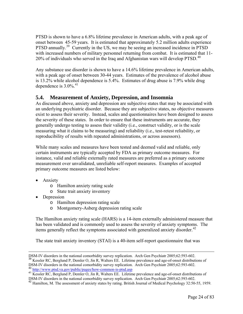PTSD is shown to have a 6.8% lifetime prevalence in American adults, with a peak age of onset between 45-59 years. It is estimated that approximately 5.2 million adults experience PTSD annually.<sup>[39](#page-23-1)</sup> Currently in the US, we may be seeing an increased incidence in PTSD with increased numbers of military personnel returning from combat. It is estimated that 11- $20\%$  of individuals who served in the Iraq and Afghanistan wars will develop PTSD.<sup>[40](#page-23-2)</sup>

Any substance use disorder is shown to have a 14.6% lifetime prevalence in American adults, with a peak age of onset between 30-44 years. Estimates of the prevalence of alcohol abuse is 13.2% while alcohol dependence is 5.4%. Estimates of drug abuse is 7.9% while drug dependence is  $3.0\%$ <sup>[41](#page-23-3)</sup>

# <span id="page-23-0"></span>**5.4. Measurement of Anxiety, Depression, and Insomnia**

As discussed above, anxiety and depression are subjective states that may be associated with an underlying psychiatric disorder. Because they are subjective states, no objective measures exist to assess their severity. Instead, scales and questionnaires have been designed to assess the severity of these states. In order to ensure that these instruments are accurate, they generally undergo testing to assess their validity (i.e., construct validity, or is the scale measuring what it claims to be measuring) and reliability (i.e., test-retest reliability, or reproducibility of results with repeated administrations, or across assessors).

While many scales and measures have been tested and deemed valid and reliable, only certain instruments are typically accepted by FDA as primary outcome measures. For instance, valid and reliable externally rated measures are preferred as a primary outcome measurement over unvalidated, unreliable self-report measures. Examples of accepted primary outcome measures are listed below:

- Anxiety
	- o Hamilton anxiety rating scale
	- o State trait anxiety inventory
- Depression

 $\overline{a}$ 

- o Hamilton depression rating scale
- o Montgomery-Asberg depression rating scale

The Hamilton anxiety rating scale (HARS) is a 14-item externally administered measure that has been validated and is commonly used to assess the severity of anxiety symptoms. The items generally reflect the symptoms associated with generalized anxiety disorder.<sup>[42](#page-23-4)</sup>

The state trait anxiety inventory (STAI) is a 40-item self-report questionnaire that was

<span id="page-23-1"></span>DSM-IV disorders in the national comorbidity survey replication. Arch Gen Psychiatr 2005;62:593-602. <sup>39</sup> Kessler RC, Berglund P, Demler O, Jin R, Walters EE. Lifetime prevalence and age-of-onset distributions of DSM-IV disorders in the national comorbidity survey replication. Arch Gen Psychiatr 2005;62:593-602.<br><sup>40</sup> http://www.ptsd.va.gov/public/pages/how-common-is-ptsd.asp

<span id="page-23-3"></span><span id="page-23-2"></span><sup>&</sup>lt;sup>41</sup> Kessler RC, Berglund P, Demler O, Jin R, Walters EE. Lifetime prevalence and age-of-onset distributions of DSM-IV disorders in the national comorbidity survey replication. Arch Gen Psychiatr 2005;62:593-602.

<span id="page-23-4"></span><sup>&</sup>lt;sup>42</sup> Hamilton, M. The assessment of anxiety states by rating. British Journal of Medical Psychology 32:50-55, 1959.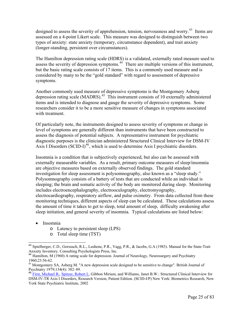designed to assess the severity of apprehension, tension, nervousness and worry.<sup>[43](#page-24-0)</sup> Items are assessed on a 4-point Likert scale. This measure was designed to distinguish between two types of anxiety: state anxiety (temporary, circumstance dependent), and trait anxiety (longer-standing, persistent over circumstances).

The Hamilton depression rating scale (HDRS) is a validated, externally rated measure used to assess the severity of depression symptoms.<sup>[44](#page-24-1)</sup> There are multiple versions of this instrument, but the basic rating scale consists of 17 items. This is a commonly used measure and is considered by many to be the "gold standard" with regard to assessment of depressive symptoms.

Another commonly used measure of depressive symptoms is the Montgomery Asberg depression rating scale (MADRS).<sup>[45](#page-24-2)</sup> This instrument consists of 10 externally administered items and is intended to diagnose and gauge the severity of depressive symptoms. Some researchers consider it to be a more sensitive measure of changes in symptoms associated with treatment.

Of particularly note, the instruments designed to assess severity of symptoms or change in level of symptoms are generally different than instruments that have been constructed to assess the diagnosis of potential subjects. A representative instrument for psychiatric diagnostic purposes is the clinician administered Structured Clinical Interview for DSM-IV Axis I Disorders  $(SCID-I)^{46}$  $(SCID-I)^{46}$  $(SCID-I)^{46}$ , which is used to determine Axis I psychiatric disorders.

Insomnia is a condition that is subjectively experienced, but also can be assessed with externally measurable variables. As a result, primary outcome measures of sleep/insomnia are objective measures based on externally observed findings. The gold standard investigation for sleep assessment is polysomnography, also known as a "sleep study." Polysomnography consists of a battery of tests that are conducted while an individual is sleeping; the brain and somatic activity of the body are monitored during sleep. Monitoring includes electroencephalography, electrooculography, electromyography, electrocardiography, respiratory airflow, and pulse oximetry. From data collected from these monitoring techniques, different aspects of sleep can be calculated. These calculations assess the amount of time it takes to get to sleep, total amount of sleep, difficulty awakening after sleep initiation, and general severity of insomnia. Typical calculations are listed below:

• Insomnia

 $\overline{a}$ 

- o Latency to persistent sleep (LPS)
- o Total sleep time (TST)

<span id="page-24-0"></span><sup>&</sup>lt;sup>43</sup> Spielberger, C.D., Gorssuch, R.L., Lushene, P.R., Vagg, P.R., & Jacobs, G.A (1983). Manual for the State-Trait Anxiety Inventory. Consulting Psychologists Press, Inc.

<span id="page-24-1"></span><sup>&</sup>lt;sup>44</sup> Hamilton, M (1960) A rating scale for depression. Journal of Neurology, Neurosurgery and Psychiatry 1960;23:56-62.

<span id="page-24-2"></span><sup>&</sup>lt;sup>45</sup> Montgomery SA, Asberg M. "A new depression scale designed to be sensitive to change". British Journal of Psychiatry 1979;134(4): 382–89.

<span id="page-24-3"></span><sup>&</sup>lt;sup>46</sup> [First, Michael B.,](http://en.wikipedia.org/wiki/Michael_First) [Spitzer, Robert L,](http://en.wikipedia.org/wiki/Robert_Spitzer_(psychiatrist)) Gibbon Miriam, and Williams, Janet B.W.: Structured Clinical Interview for DSM-IV-TR Axis I Disorders, Research Version, Patient Edition. (SCID-I/P) New York: Biometrics Research, New York State Psychiatric Institute, 2002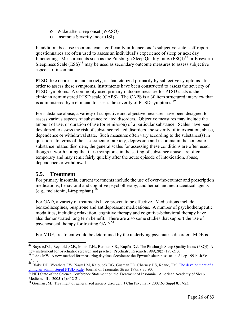- o Wake after sleep onset (WASO)
- o Insomnia Severity Index (ISI)

In addition, because insomnia can significantly influence one's subjective state, self-report questionnaires are often used to assess an individual's experience of sleep or next day functioning. Measurements such as the Pittsburgh Sleep Quality Intex  $(PSQI)^{47}$  $(PSQI)^{47}$  $(PSQI)^{47}$  or Epsworth Sleepiness Scale  $(ESS)^{48}$  $(ESS)^{48}$  $(ESS)^{48}$  may be used as secondary outcome measures to assess subjective aspects of insomnia.

PTSD, like depression and anxiety, is characterized primarily by subjective symptoms. In order to assess these symptoms, instruments have been constructed to assess the severity of PTSD symptoms. A commonly used primary outcome measure for PTSD trials is the clinician administered PTSD scale (CAPS). The CAPS is a 30 item structured interview that is administered by a clinician to assess the severity of PTSD symptoms.<sup>[49](#page-25-3)</sup>

For substance abuse, a variety of subjective and objective measures have been designed to assess various aspects of substance related disorders. Objective measures may include the amount of use, or duration of use (or remission) of a particular substance. Scales have been developed to assess the risk of substance related disorders, the severity of intoxication, abuse, dependence or withdrawal state. Such measures often vary according to the substance(s) in question. In terms of the assessment of anxiety, depression and insomnia in the context of substance related disorders, the general scales for assessing these conditions are often used, though it worth noting that these symptoms in the setting of substance abuse, are often temporary and may remit fairly quickly after the acute episode of intoxication, abuse, dependence or withdrawal.

# <span id="page-25-0"></span>**5.5. Treatment**

 $\overline{a}$ 

For primary insomnia, current treatments include the use of over-the-counter and prescription medications, behavioral and cognitive psychotherapy, and herbal and neutraceutical agents (e.g., melatonin, l-tryptophan). $50$ 

For GAD, a variety of treatments have proven to be effective. Medications include benzodiazepines, buspirone and antidepressant medications. A number of psychotherapeutic modalities, including relaxation, cognitive therapy and cognitive-behavioral therapy have also demonstrated long term benefit. There are also some studies that support the use of psychosocial therapy for treating  $GAD$ .<sup>[51](#page-25-5)</sup>

For MDE, treatment would be determined by the underlying psychiatric disorder. MDE is

<span id="page-25-1"></span><sup>&</sup>lt;sup>47</sup> Buysse, D.J., Reynolds, C.F., Monk, T.H., Berman, S.R., Kupfer, D.J. The Pittsburgh Sleep Quality Index (PSQI): A new instrument for psychiatric research and practice. Psychiatry Research 1989;28(2):193-213.<br><sup>48</sup> Johns MW. A new method for measuring daytime sleepiness: the Epworth sleepiness scale. Sleep 1991:14(6):

<span id="page-25-2"></span><sup>540–5.</sup> 

<span id="page-25-3"></span><sup>&</sup>lt;sup>49</sup> Blake DD, Weathers FW, Nagy LM, Kaloupek DG, Gusman FD, Charney DS, Keane, TM. **The development of a** [clinician-administered PTSD scale.](http://www.ptsd.va.gov/professional/articles/article-pdf/id12317.pdf) Journal of Traumatic Stress 1995;8:75-90.<br><sup>50</sup> NIH State of the Science Conference Statement on the Treatment of Insomnia. American Academy of Sleep

<span id="page-25-4"></span>Medicine, IL. 20051(4):412-21.

<span id="page-25-5"></span><sup>&</sup>lt;sup>51</sup> Gorman JM. Treatment of generalized anxiety disorder. J Clin Psychiatry 2002:63 Suppl 8:17-23.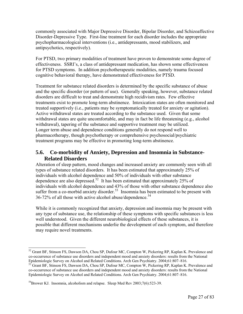commonly associated with Major Depressive Disorder, Bipolar Disorder, and Schizoaffective Disorder-Depressive Type. First-line treatment for each disorder includes the appropriate psychopharmacological interventions (i.e., antidepressants, mood stabilizers, and antipsychotics, respectively).

For PTSD, two primary modalities of treatment have proven to demonstrate some degree of effectiveness. SSRI's, a class of antidepressant medication, has shown some effectiveness for PTSD symptoms. In addition psychotherapeutic modalities, namely trauma focused cognitive behavioral therapy, have demonstrated effectiveness for PTSD.

Treatment for substance related disorders is determined by the specific substance of abuse and the specific disorder (or pattern of use). Generally speaking, however, substance related disorders are difficult to treat and demonstrate high recidivism rates. Few effective treatments exist to promote long-term abstinence. Intoxication states are often monitored and treated supportively (i.e., patients may be symptomatically treated for anxiety or agitation). Active withdrawal states are treated according to the substance used. Given that some withdrawal states are quite uncomfortable, and may in fact be life threatening (e.g., alcohol withdrawal), tapering of the substance and supportive treatment may be utilized. Longer term abuse and dependence conditions generally do not respond well to pharmacotherapy, though psychotherapy or comprehensive psychosocial/psychiatric treatment programs may be effective in promoting long-term abstinence.

# <span id="page-26-0"></span>**5.6. Co-morbidity of Anxiety, Depression and Insomnia in Substance-Related Disorders**

Alteration of sleep pattern, mood changes and increased anxiety are commonly seen with all types of substance related disorders. It has been estimated that approximately 25% of individuals with alcohol dependence and 50% of individuals with other substance dependence are also depressed.<sup>[52](#page-26-1)</sup> It has been estimated that approximately 25% of individuals with alcohol dependence and 43% of those with other substance dependence also suffer from a co-morbid anxiety disorder.<sup>[53](#page-26-2)</sup> Insomnia has been estimated to be present with  $36-72\%$  of all those with active alcohol abuse/dependence.<sup>[54](#page-26-3)</sup>

While it is commonly recognized that anxiety, depression and insomnia may be present with any type of substance use, the relationship of these symptoms with specific substances is less well understood. Given the different neurobiological effects of these substances, it is possible that different mechanisms underlie the development of each symptom, and therefore may require novel treatments.

 $\overline{a}$ 

<span id="page-26-1"></span> $52$  Grant BF, Stinson FS, Dawson DA, Chou SP, Dufour MC, Compton W, Pickering RP, Kaplan K. Prevalence and co-occurrence of substance use disorders and independent mood and anxiety disorders: results from the National

<span id="page-26-2"></span>Epidemiologic Survey on Alcohol and Related Conditions*.* Arch Gen Psychiatry. 2004;61:807–816. 53 Grant BF, Stinson FS, Dawson DA, Chou SP, Dufour MC, Compton W, Pickering RP, Kaplan K. Prevalence and co-occurrence of substance use disorders and independent mood and anxiety disorders: results from the National Epidemiologic Survey on Alcohol and Related Conditions*.* Arch Gen Psychiatry. 2004;61:807–816.

<span id="page-26-3"></span><sup>&</sup>lt;sup>54</sup>Brower KJ. Insomnia, alcoholism and relapse. Sleep Med Rev 2003;7(6):523-39.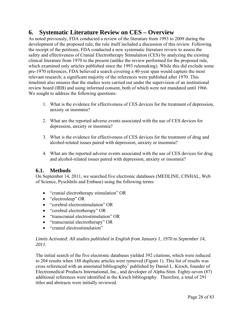# <span id="page-27-0"></span>**6. Systematic Literature Review on CES – Overview**

As noted previously, FDA conducted a review of the literature from 1993 to 2009 during the development of the proposed rule; the rule itself included a discussion of this review. Following the receipt of the petitions, FDA conducted a new systematic literature review to assess the safety and effectiveness of Cranial Electrotherapy Stimulation (CES) by analyzing the existing clinical literature from 1970 to the present (unlike the review performed for the proposed rule, which examined only articles published since the 1993 rulemaking). While this did exclude some pre-1970 references, FDA believed a search covering a 40-year span would capture the most relevant research; a significant majority of the references were published after 1970. This timelimit also ensures that the studies were carried out under the supervision of an institutional review board (IRB) and using informed consent, both of which were not mandated until 1966. We sought to address the following questions:

- 1. What is the evidence for effectiveness of CES devices for the treatment of depression, anxiety or insomnia?
- 2. What are the reported adverse events associated with the use of CES devices for depression, anxiety or insomnia?
- 3. What is the evidence for effectiveness of CES devices for the treatment of drug and alcohol-related issues paired with depression, anxiety or insomnia?
- 4. What are the reported adverse events associated with the use of CES devices for drug and alcohol-related issues paired with depression, anxiety or insomnia?

# <span id="page-27-1"></span>**6.1. Methods**

On September 14, 2011, we searched five electronic databases (MEDLINE, CINHAL, Web of Science, PyschInfo and Embase) using the following terms:

- "cranial electrotherapy stimulation" OR
- "electrosleep" OR
- "cerebral electrostimulation" OR
- "cerebral electrotherapy" OR
- "transcranial electrostimulation" OR
- "transcranial electrotherapy" OR
- "cranial electrostimulation"

#### *Limits Activated: All studies published in English from January 1, 1970 to September 14, 2011.*

The initial search of the five electronic databases yielded 392 citations, which were reduced to 204 results when 188 duplicate articles were removed ([Figure 1](#page-39-1) ). This list of results was cross referenced with an annotated bibliography<sup>[1](#page-39-1)</sup> published by Daniel L. Kirsch, founder of [Electromedical Products International, Inc., and developer of Alpha-Stim. Eighty-seven \(87\)](#page-39-1)  [additional references were identified in the Kirsch bibliography. Therefore, a total of 291](#page-39-1)  [titles and abstracts were initially reviewed.](#page-39-1)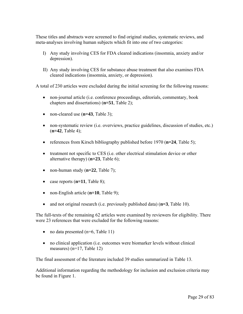These titles and abstracts were screened to find original studies, systematic reviews, and meta-analyses involving human subjects which fit into one of two categories:

- I) Any study involving CES for FDA cleared indications (insomnia, anxiety and/or depression).
- II) Any study involving CES for substance abuse treatment that also examines FDA cleared indications (insomnia, anxiety, or depression).

A total of 230 articles were excluded during the initial screening for the following reasons:

- non-journal article (i.e. conference proceedings, editorials, commentary, book [c](#page-41-0)hapters and dissertations) (**n=51**, Table [2\);](#page-41-0)
- non-cleared use (**n=43**, [Table 3\)](#page-44-0);
- non-systematic review (i.e. overviews, practice guidelines, discussion of studies, etc.) (**n=42**, [Table 4\)](#page-47-0);
- references from Kirsch bibliography published before 1970 (**n=24**, [Table 5](#page-49-0));
- treatment not specific to CES (i.e. other electrical stimulation device or other alternative therapy) (**n=23**, [Table 6\)](#page-51-0);
- non-human study (**n**=22, [Table 7\)](#page-53-0);
- case reports  $(n=11, Table 8)$  $(n=11, Table 8)$ ;
- non-English article (**n=10**, [Table 9\)](#page-56-0);
- and not original research (i.e. previously published data) (**n=3**, [Table 10\)](#page-56-1).

The full-texts of the remaining 62 articles were examined by reviewers for eligibility. There were 23 references that were excluded for the following reasons:

- no data presented  $(n=6, Table 11)$  $(n=6, Table 11)$
- no clinical application (i.e. outcomes were biomarker levels without clinical measures) (n=17, [Table 12\)](#page-58-0)

The final assessment of the literature included 39 studies summarized in [Table 13.](#page-59-0)

Additional information regarding the methodology for inclusion and exclusion criteria may be found in [Figure 1.](#page-39-1)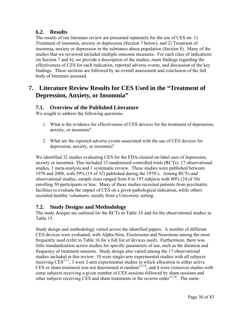# <span id="page-29-0"></span>**6.2. Results**

The results of our literature review are presented separately for the use of CES on: 1) Treatment of insomnia, anxiety or depression (Section 7 below); and 2) Treatment of insomnia, anxiety or depression in the substance abuse population (Section 8). Many of the studies that we reviewed included multiple outcome measures. For each class of indications (in Section 7 and 8), we provide a description of the studies, main findings regarding the effectiveness of CES for each indication, reported adverse events, and discussion of the key findings. These sections are followed by an overall assessment and conclusion of the full body of literature assessed.

# <span id="page-29-2"></span><span id="page-29-1"></span>**7. Literature Review Results for CES Used in the "Treatment of Depression, Anxiety, or Insomnia"**

### **7.1. Overview of the Published Literature**

We sought to address the following questions:

- 1. What is the evidence for effectiveness of CES devices for the treatment of depression, anxiety, or insomnia?
- 2. What are the reported adverse events associated with the use of CES devices for depression, anxiety, or insomnia?

We identified 32 studies evaluating CES for the FDA-cleared on-label uses of depression, anxiety or insomnia. This included 13 randomized controlled trials (RCTs), 17 observational studies, 1 meta-analysis and 1 systematic review. These studies were published between 1970 and 2008, with 59% (19 of 32) published during the 1970's. Among RCTs and observational studies, sample sizes ranged from 8 to 197 subjects with 80% (24 of 30) enrolling 50 participants or less. Many of these studies recruited patients from psychiatric facilities to evaluate the impact of CES on a given pathological indication, while others recruited healthy volunteers, mostly from a University setting.

# <span id="page-29-3"></span>**7.2. Study Designs and Methodology**

The study designs are outlined for the RCTs in [Table 14](#page-60-0) and for the observational studies in [Table 15](#page-61-0).

Study design and methodology varied across the identified papers. A number of different CES devices were evaluated, with Alpha-Stim, Electrosone and Neurotone among the most frequently used (refer to [Table 16](#page-62-0) for a full list of devices used). Furthermore, there was receiving  $CES^{2-11}$  $CES^{2-11}$  $CES^{2-11}$ ; 3 were 2-arm experimental studies in which allocation to either active [CES or sham treatment was not determined at random](#page-62-0)<sup>[12-14](#page-62-0)</sup>; and 4 were crossover studies with [some subjects receiving a given number of CES sessions followed by sham sessions and](#page-62-0)  other subjects receiving  $\overline{CES}$  and sham treatments in the reverse order<sup>15-18</sup>[. The meta](#page-62-0)little standardization across studies for specific parameters of use, such as the duration and frequency of treatment sessions. Study design also varied among the 17 observational studies included in this review: 10 were single-arm experimental studies with all subjects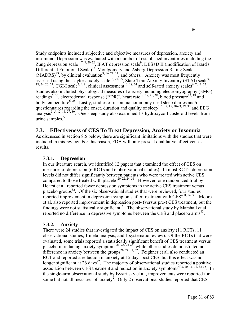Study endpoints included subjective and objective measures of depression, anxiety and insomnia. Depression was evaluated with a number of established inventories including the Zung depression scale<sup>4, 7, 8, 20-22</sup>, IPAT depression scale<sup>9</sup>, DES+D II (modification of Izard's Differential Emotional Scale)<sup>13</sup>, Montgomery and Asberg Depression Rating Scale  $(MADRS)^{23}$ , by clinical evaluation<sup>8, 16, 21, 24</sup>, and others.. Anxiety was most frequently assessed using the Taylor anxiety scale<sup>16, 20, 25</sup>, State-Trait Anxiety Inventory (STAI) scale<sup>9,</sup>  $18, 24, 26, 27, \text{CGI-I scale}^{2, 4, 8}, \text{ clinical assessment}^{16, 18, 24} \text{ and self-rated anxiety scales}^{6, 7, 11, 22}.$ Studies also included physiological measures of anxiety including electromyography (EMG) readings<sup>6, 26</sup>, electrodermal response  $(EDR)^6$ , heart rate<sup>13, 18, 21, 28</sup>, blood pressure<sup>13, 18</sup> and body temperature<sup>6, 28</sup>. Lastly, studies of insomnia commonly used sleep diaries and/or questionnaires regarding the onset, duration and quality of sleep<sup>3, 5, 12, 15, 20-23, 29, 30</sup> and EEG analysis<sup>3, 5, 12, 15, 29, 30</sup>. One sleep study also examined 17-hydroxycorticosteroid levels from urine samples. $5$ 

#### <span id="page-30-0"></span>**7.3. Effectiveness of CES To Treat Depression, Anxiety or Insomnia**

<span id="page-30-1"></span>As discussed in section 8.5 below, there are significant limitations with the studies that were included in this review. For this reason, FDA will only present qualitative effectiveness results.

#### **7.3.1. Depression**

In our literature search, we identified 12 papers that examined the effect of CES on measures of depression (6 RCTs and 6 observational studies). In most RCTs, depression levels did not differ significantly between patients who were treated with active CES compared to those treated with placebo<sup>20-22</sup>, <sup>24, 31</sup>. However, one randomized trial by Hearst et al. reported fewer depression symptoms in the active CES treatment versus placebo groups<sup>32</sup>. Of the six observational studies that were reviewed, four studies reported improvement in depression symptoms after treatment with  $\text{CES}^{4, 8, 14, 33}$ . Moore et al. also reported improvement in depression post- (versus pre-) CES treatment, but the findings were not statistically significant<sup>16</sup>. The observational study by Marshall et al. reported no difference in depressive symptoms between the CES and placebo arms<sup>13</sup>.

#### <span id="page-30-2"></span>**7.3.2. Anxiety**

There were 24 studies that investigated the impact of CES on anxiety (11 RCTs, 11 observational studies, 1 meta-analysis, and 1 systematic review). Of the RCTs that were evaluated, some trials reported a statistically significant benefit of CES treatment versus placebo in reducing anxiety symptoms<sup>21, 23, 25-28</sup>, while other studies demonstrated no difference in anxiety between the groups<sup>20, 24, 31, 32</sup>. Feighner et al. also conducted an RCT and reported a reduction in anxiety at 15 days post CES, but this effect was no longer significant at 26 days<sup>22</sup>. The majority of observational studies reported a positive association between CES treatment and reduction in anxiety symptoms<sup>4, 8, 10, 11, 14, 33-35</sup>. In the single-arm observational study by Bystritsky et al., improvements were reported for some but not all measures of anxiety<sup>2</sup>. Only 2 observational studies reported that CES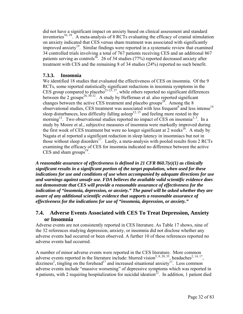did not have a significant impact on anxiety based on clinical assessment and standard inventories<sup>16, 18</sup>. A meta-analysis of 8 RCTs evaluating the efficacy of cranial stimulation on anxiety indicated that CES versus sham treatment was associated with significantly improved anxiety<sup>19</sup>. Similar findings were reported in a systematic review that examined 34 controlled trials involving a total of 767 patients receiving CES and an additional 867 patients serving as controls<sup>36</sup>. 26 of 34 studies (77%) reported decreased anxiety after treatment with CES and the remaining 8 of 34 studies (24%) reported no such benefit.

#### <span id="page-31-0"></span>**7.3.3. Insomnia**

We identified 18 studies that evaluated the effectiveness of CES on insomnia. Of the 9 RCTs, some reported statistically significant reductions in insomnia symptoms in the CES group compared to placebo<sup>21-23, 37</sup>, while others reported no significant differences between the 2 groups<sup>20, 30-32</sup>. A study by Heffernan et al. also reported significant changes between the active CES treatment and placebo groups<sup>28</sup>. Among the 8 observational studies, CES treatment was associated with less frequent<sup>8</sup> and less intense<sup>14</sup> sleep disturbances, less difficulty falling asleep<sup>12, 15</sup> and feeling more rested in the morning<sup>12</sup>. Two observational studies reported no impact of CES on insomnia<sup>3,5</sup>. In a study by Moore et al., subjective measures of insomnia were markedly improved during the first week of CES treatment but were no longer significant at 2 weeks<sup>16</sup>. A study by Nagata et al reported a significant reduction in sleep latency in insomniacs but not in those without sleep disorders<sup>17</sup>. Lastly, a meta-analysis with pooled results from  $2$  RCTs examining the efficacy of CES for insomnia indicated no difference between the active CES and sham groups $^{19}$ .

*A reasonable assurance of effectiveness is defined in 21 CFR 860.7(e)(1) as clinically significant results in a significant portion of the target population, when used for these indications for use and conditions of use when accompanied by adequate directions for use and warnings against unsafe use. FDA believes the available valid scientific evidence does not demonstrate that CES will provide a reasonable assurance of effectiveness for the indication of "insomnia, depression, or anxiety." The panel will be asked whether they are aware of any additional scientific evidence that supports a reasonable assurance of effectiveness for the indications for use of "insomnia, depression, or anxiety."* 

# <span id="page-31-1"></span>**7.4. Adverse Events Associated with CES To Treat Depression, Anxiety or Insomnia**

Adverse events are not consistently reported in CES literature. As Table 1[7 shows, nine of](#page-63-0)  [the 32 references studying depression, anxiety, or insomnia did not disclose whether any](#page-63-0)  [adverse events had occurred or been observed. A further 10 of these references reported no](#page-63-0)  [adverse events had occurred.](#page-63-0) 

A number of minor adverse events were reported in the CES literature. More common adverse events reported in the literature include: blurred vision<sup>5, 8, 20, 35</sup>, headaches<sup>2, 14, 17</sup>, dizziness<sup>2</sup>, tingling on the forehead<sup>17</sup> and increased situational anxiety<sup>11</sup>. Less common adverse events include "massive worsening" of depressive symptoms which was reported in 4 patients, with 2 requiring hospitalization for suicidal ideation<sup>22</sup>. In addition, 1 patient died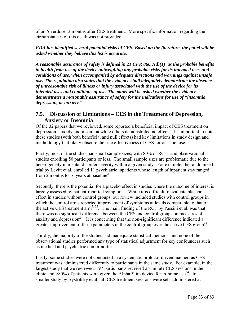of an 'overdose' 3 months after CES treatment.<sup>4</sup> More specific information regarding the circumstances of this death was not provided.

#### *FDA has identified several potential risks of CES. Based on the literature, the panel will be asked whether they believe this list is accurate.*

*A reasonable assurance of safety is defined in 21 CFR 860.7(d)(1) as the probable benefits to health from use of the device outweighing any probable risks for its intended uses and conditions of use, when accompanied by adequate directions and warnings against unsafe use. The regulation also states that the evidence shall adequately demonstrate the absence of unreasonable risk of illness or injury associated with the use of the device for its intended uses and conditions of use. The panel will be asked whether the evidence demonstrates a reasonable assurance of safety for the indications for use of "insomnia, depression, or anxiety."* 

# <span id="page-32-0"></span>**7.5. Discussion of Limitations – CES in the Treatment of Depression, Anxiety or Insomnia**

Of the 32 papers that we reviewed, some reported a beneficial impact of CES treatment on depression, anxiety and insomnia while others demonstrated no effect. It is important to note these studies (with both beneficial and null effects) had key limitations in study design and methodology that likely obscure the true effectiveness of CES for on-label use.

Firstly, most of the studies had small sample sizes, with 80% of RCTs and observational studies enrolling 50 participants or less. The small sample sizes are problematic due to the heterogeneity in mental disorder severity within a given study. For example, the randomized trial by Levitt et al. enrolled 11 psychiatric inpatients whose length of inpatient stay ranged from 2 months to 16 years at baseline<sup>20</sup>.

Secondly, there is the potential for a placebo effect in studies where the outcome of interest is largely assessed by patient-reported symptoms. While it is difficult to evaluate placebo effect in studies without control groups, our review included studies with control groups in which the control arms reported improvement of symptoms at levels comparable to that of the active CES treatment  $\lim_{n \to \infty} 3^{3}$ . The main finding of the RCT by Passini et al. was that there was no significant difference between the CES and control groups on measures of anxiety and depression<sup>24</sup>. It is concerning that the non-significant difference indicated a greater improvement of these parameters in the control group over the active CES group<sup>24</sup>.

Thirdly, the majority of the studies had inadequate statistical methods, and none of the observational studies performed any type of statistical adjustment for key confounders such as medical and psychiatric comorbidities.

Lastly, some studies were not conducted in a systematic protocol-driven manner, as CES treatment was administered differently to participants in the same study. For example, in the largest study that we reviewed, 197 participants received 25-minute CES sessions in the clinic and  $>80\%$  of patients were given the Alpha-Stim device for in-home use<sup>34</sup>. In a smaller study by Bystritsky et al., all CES treatment sessions were self-administered at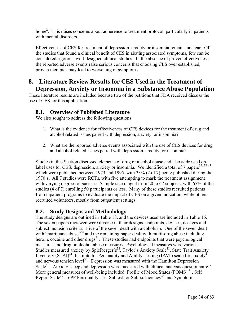home<sup>2</sup>. This raises concerns about adherence to treatment protocol, particularly in patients with mental disorders.

Effectiveness of CES for treatment of depression, anxiety or insomnia remains unclear. Of the studies that found a clinical benefit of CES in abating associated symptoms, few can be considered rigorous, well-designed clinical studies. In the absence of proven effectiveness, the reported adverse events raise serious concerns that choosing CES over established, proven therapies may lead to worsening of symptoms.

# <span id="page-33-0"></span>**8. Literature Review Results for CES Used in the Treatment of Depression, Anxiety or Insomnia in a Substance Abuse Population**

<span id="page-33-1"></span>These literature results are included because two of the petitions that FDA received discuss the use of CES for this application.

# **8.1. Overview of Published Literature**

We also sought to address the following questions:

- 1. What is the evidence for effectiveness of CES devices for the treatment of drug and alcohol related issues paired with depression, anxiety, or insomnia?
- 2. What are the reported adverse events associated with the use of CES devices for drug and alcohol related issues paired with depression, anxiety, or insomnia?

Studies in this Section discussed elements of drug or alcohol abuse and also addressed onlabel uses for CES: depression, anxiety or insomnia. We identified a total of 7 papers<sup>34, 38-43</sup> which were published between 1973 and 1995, with 33% (2 of 7) being published during the 1970's. All 7 studies were RCTs, with five attempting to mask the treatment assignment with varying degrees of success. Sample size ranged from 20 to 67 subjects, with 67% of the studies (4 of 7) enrolling 50 participants or less. Many of these studies recruited patients from inpatient programs to evaluate the impact of CES on a given indication, while others recruited volunteers, mostly from outpatient settings.

# <span id="page-33-2"></span>**8.2. Study Designs and Methodology**

The study designs are outlined in Table 1[8, and the devices used are included in T](#page-65-0)able 16[.](#page-62-0)  [The seven papers reviewed were diverse in their designs, endpoints, devices, dosages and](#page-62-0)  [subject inclusion criteria. Five of the seven dealt with alcoholism. One of the seven dealt](#page-62-0)  [with "marijuana abuse"](#page-62-0)<sup>34</sup> and the remaining paper dealt with multi-drug abuse including heroin, cocaine and other drugs<sup>41</sup>. These studies had endpoints that were psychological measures and drug or alcohol abuse measures. Psychological measures were various. Studies measured anxiety by Spielberger's<sup>38</sup>, Taylor's Anxiety Scale<sup>38</sup>, State Trait Anxiety Inventory  $(STAI)^{41}$ , Institute for Personality and Ability Testing (IPAT) scale for anxiety<sup>41</sup> and nervous tension level<sup>34</sup>. Depression was measured with the Hamilton Depression Scale<sup>40</sup>. Anxiety, sleep and depression were measured with clinical analysis questionnaire<sup>39</sup>. More general measures of well-being included: Profile of Mood States (POMS)<sup>41</sup>, Self Report Scale<sup>39</sup>, 16PF Personality Test Subtest for Self-sufficiency<sup>34</sup> and Symptom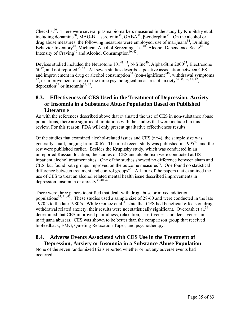Checklist<sup>40</sup>. There were several plasma biomarkers measured in the study by Krupitsky et al. including dopamine<sup>38</sup>, MAO-B<sup>38</sup>, serotonin<sup>38</sup>, GABA<sup>38</sup>, β-endorphin<sup>38</sup>. On the alcohol or drug abuse measures, the following measures were employed: use of marijuana<sup>34</sup>, Drinking Behavior Inventory<sup>40</sup>, Michigan Alcohol Screening Test<sup>40</sup>, Alcohol Dependence Scale<sup>40</sup>, Intensity of Craving<sup>40</sup> and Alcohol Consumption<sup>40, 42</sup>.

Devices studied included the Neurotone  $101^{41,42}$ , N-S Inc<sup>40</sup>, Alpha-Stim 2000<sup>34</sup>, Electrosone  $50<sup>39</sup>$ , and not reported<sup>38, 43</sup>. All seven studies describe a positive association between CES and improvement in drug or alcohol consumption<sup>34</sup> (non-significant)<sup>40</sup>, withdrawal symptoms  $42$ , or improvement on one of the three psychological measures of anxiety<sup>34, 38, 39, 41, 42</sup>, depression<sup>39</sup> or insomnia<sup>39, 42</sup>.

# <span id="page-34-0"></span>**8.3. Effectiveness of CES Used in the Treatment of Depression, Anxiety or Insomnia in a Substance Abuse Population Based on Published Literature**

As with the references described above that evaluated the use of CES in non-substance abuse populations, there are significant limitations with the studies that were included in this review. For this reason, FDA will only present qualitative effectiveness results.

Of the studies that examined alcohol-related issues and CES  $(n=4)$ , the sample size was generally small, ranging from 20-67. The most recent study was published in 1995<sup>40</sup>, and the rest were published earlier. Besides the Krupitsky study, which was conducted in an unreported Russian location, the studies on CES and alcoholism were conducted at US inpatient alcohol treatment sites. One of the studies showed no difference between sham and  $CES$ , but found both groups improved on the outcome measures<sup>40</sup>. One found no statistical difference between treatment and control groups<sup> $43$ </sup>. All four of the papers that examined the use of CES to treat an alcohol related mental health issue described improvements in depression, insomnia or anxiety<sup>38-40, 42</sup>.

There were three papers identified that dealt with drug abuse or mixed addiction populations<sup>34, 41, 43</sup>. These studies used a sample size of 28-60 and were conducted in the late  $1970$ 's to the late 1980's. While Gomez et al.<sup>43</sup> state that CES had beneficial effects on drug withdrawal related anxiety, their results were not statistically significant. Overcash et al.<sup>34</sup> determined that CES improved planfulness, relaxation, assertiveness and decisiveness in marijuana abusers. CES was shown to be better than the comparison group that received biofeedback, EMG, Quieting Relaxation Tapes, and psychotherapy.

# <span id="page-34-1"></span>**8.4. Adverse Events Associated with CES Use in the Treatment of Depression, Anxiety or Insomnia in a Substance Abuse Population**

None of the seven randomized trials reported whether or not any adverse events had occurred.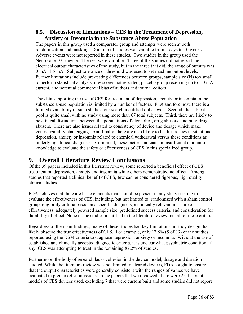# <span id="page-35-0"></span>**8.5. Discussion of Limitations – CES in the Treatment of Depression, Anxiety or Insomnia in the Substance Abuse Population**

The papers in this group used a comparator group and attempts were seen at both randomization and masking. Duration of studies was variable from 5 days to 10 weeks. Adverse events were not reported in these studies. Two studies in the group used the Neurotone 101 device. The rest were variable. Three of the studies did not report the electrical output characteristics of the study, but in the three that did, the range of outputs was 0 mA- 1.5 mA. Subject tolerance or threshold was used to set machine output levels. Further limitations include pre-testing differences between groups, sample size (N) too small to perform statistical analysis, raw scores not reported, placebo group receiving up to 1.0 mA current, and potential commercial bias of authors and journal editors.

The data supporting the use of CES for treatment of depression, anxiety or insomnia in the substance abuse population is limited by a number of factors. First and foremost, there is a limited availability of such studies; our search identified only seven. Second, the subject pool is quite small with no study using more than 67 total subjects. Third, there are likely to be clinical distinctions between the populations of alcoholics, drug abusers, and poly-drug abusers. There are also issues related to consistency of device and dosage which make generalizability challenging. And finally, there are also likely to be differences in situational depression, anxiety or insomnia related to chemical withdrawal versus these conditions as underlying clinical diagnoses. Combined, these factors indicate an insufficient amount of knowledge to evaluate the safety or effectiveness of CES in this specialized group.

# <span id="page-35-1"></span>**9. Overall Literature Review Conclusions**

Of the 39 papers included in this literature review, some reported a beneficial effect of CES treatment on depression, anxiety and insomnia while others demonstrated no effect. Among studies that reported a clinical benefit of CES, few can be considered rigorous, high quality clinical studies.

FDA believes that there are basic elements that should be present in any study seeking to evaluate the effectiveness of CES, including, but not limited to: randomized with a sham control group, eligibility criteria based on a specific diagnosis, a clinically relevant measure of effectiveness, adequately powered sample size, predefined success criteria, and consideration for durability of effect. None of the studies identified in the literature review met all of these criteria.

Regardless of the main findings, many of these studies had key limitations in study design that likely obscure the true effectiveness of CES. For example, only 12.8% (5 of 39) of the studies reported using the DSM criteria to diagnose depression, anxiety or insomnia. Without the use of established and clinically accepted diagnostic criteria, it is unclear what psychiatric condition, if any, CES was attempting to treat in the remaining 87.2% of studies.

Furthermore, the body of research lacks cohesion in the device model, dosage and duration studied. While the literature review was not limited to cleared devices, FDA sought to ensure that the output characteristics were generally consistent with the ranges of values we have evaluated in premarket submissions. In the papers that we reviewed, there were 25 different models of CES devices used, excluding 7 that were custom built and some studies did not report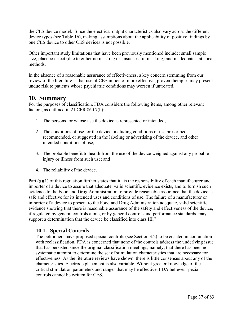the CES device model. Since the electrical output characteristics also vary across the different device types (see Table 1[6\), making assumptions about the applicability of positive findings by](#page-62-0)  [one CES device to other CES devices is not possible.](#page-62-0) 

Other important study limitations that have been previously mentioned include: small sample size, placebo effect (due to either no masking or unsuccessful masking) and inadequate statistical methods.

In the absence of a reasonable assurance of effectiveness, a key concern stemming from our review of the literature is that use of CES in lieu of more effective, proven therapies may present undue risk to patients whose psychiatric conditions may worsen if untreated.

## **10. Summary**

For the purposes of classification, FDA considers the following items, among other relevant factors, as outlined in 21 CFR 860.7(b):

- 1. The persons for whose use the device is represented or intended;
- 2. The conditions of use for the device, including conditions of use prescribed, recommended, or suggested in the labeling or advertising of the device, and other intended conditions of use;
- 3. The probable benefit to health from the use of the device weighed against any probable injury or illness from such use; and
- 4. The reliability of the device.

Part  $(g)(1)$  of this regulation further states that it "is the responsibility of each manufacturer and importer of a device to assure that adequate, valid scientific evidence exists, and to furnish such evidence to the Food and Drug Administration to provide reasonable assurance that the device is safe and effective for its intended uses and conditions of use. The failure of a manufacturer or importer of a device to present to the Food and Drug Administration adequate, valid scientific evidence showing that there is reasonable assurance of the safety and effectiveness of the device, if regulated by general controls alone, or by general controls and performance standards, may support a determination that the device be classified into class III."

## **10.1. Special Controls**

The petitioners have proposed special controls (see Section 3.2) to be enacted in conjunction with reclassification. FDA is concerned that none of the controls address the underlying issue that has persisted since the original classification meetings; namely, that there has been no systematic attempt to determine the set of stimulation characteristics that are necessary for effectiveness. As the literature reviews have shown, there is little consensus about any of the characteristics. Electrode placement is also variable. Without greater knowledge of the critical stimulation parameters and ranges that may be effective, FDA believes special controls cannot be written for CES.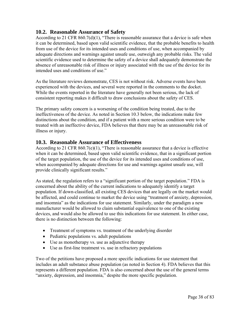## **10.2. Reasonable Assurance of Safety**

According to 21 CFR 860.7(d)(1), "There is reasonable assurance that a device is safe when it can be determined, based upon valid scientific evidence, that the probable benefits to health from use of the device for its intended uses and conditions of use, when accompanied by adequate directions and warnings against unsafe use, outweigh any probable risks. The valid scientific evidence used to determine the safety of a device shall adequately demonstrate the absence of unreasonable risk of illness or injury associated with the use of the device for its intended uses and conditions of use."

As the literature reviews demonstrate, CES is not without risk. Adverse events have been experienced with the devices, and several were reported in the comments to the docket. While the events reported in the literature have generally not been serious, the lack of consistent reporting makes it difficult to draw conclusions about the safety of CES.

The primary safety concern is a worsening of the condition being treated, due to the ineffectiveness of the device. As noted in Section [10.3](#page-37-0) below, the indications make few distinctions about the condition, and if a patient with a more serious condition were to be treated with an ineffective device, FDA believes that there may be an unreasonable risk of illness or injury.

### <span id="page-37-0"></span>**10.3. Reasonable Assurance of Effectiveness**

According to 21 CFR 860.7(e)(1), "There is reasonable assurance that a device is effective when it can be determined, based upon valid scientific evidence, that in a significant portion of the target population, the use of the device for its intended uses and conditions of use, when accompanied by adequate directions for use and warnings against unsafe use, will provide clinically significant results."

As stated, the regulation refers to a "significant portion of the target population." FDA is concerned about the ability of the current indications to adequately identify a target population. If down-classified, all existing CES devices that are legally on the market would be affected, and could continue to market the device using "treatment of anxiety, depression, and insomnia" as the indications for use statement. Similarly, under the paradigm a new manufacturer would be allowed to claim substantial equivalence to one of the existing devices, and would also be allowed to use this indications for use statement. In either case, there is no distinction between the following:

- Treatment of symptoms vs. treatment of the underlying disorder
- Pediatric populations vs. adult populations
- Use as monotherapy vs. use as adjunctive therapy
- Use as first-line treatment vs. use in refractory populations

Two of the petitions have proposed a more specific indications for use statement that includes an adult substance abuse population (as noted in Section 4). FDA believes that this represents a different population. FDA is also concerned about the use of the general terms "anxiety, depression, and insomnia," despite the more specific population.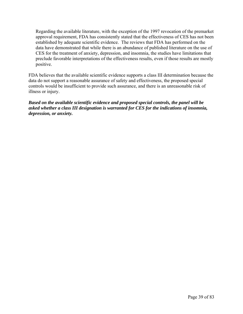Regarding the available literature, with the exception of the 1997 revocation of the premarket approval requirement, FDA has consistently stated that the effectiveness of CES has not been established by adequate scientific evidence. The reviews that FDA has performed on the data have demonstrated that while there is an abundance of published literature on the use of CES for the treatment of anxiety, depression, and insomnia, the studies have limitations that preclude favorable interpretations of the effectiveness results, even if those results are mostly positive.

FDA believes that the available scientific evidence supports a class III determination because the data do not support a reasonable assurance of safety and effectiveness, the proposed special controls would be insufficient to provide such assurance, and there is an unreasonable risk of illness or injury.

*Based on the available scientific evidence and proposed special controls, the panel will be asked whether a class III designation is warranted for CES for the indications of insomnia, depression, or anxiety.*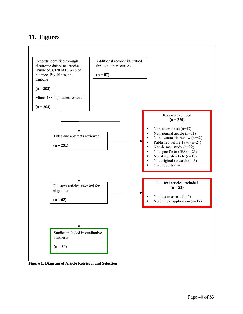## **11. Figures**



**Figure 1: Diagram of Article Retrieval and Selection**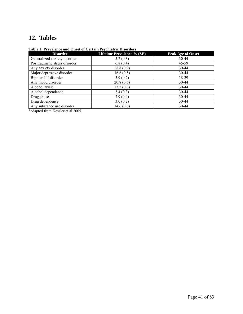# **12. Tables**

### **Table 1: Prevalence and Onset of Certain Psychiatric Disorders**

| <b>Disorder</b>               | <b>Lifetime Prevalence % (SE)</b> | <b>Peak Age of Onset</b> |
|-------------------------------|-----------------------------------|--------------------------|
| Generalized anxiety disorder  | 5.7(0.3)                          | 30-44                    |
| Posttraumatic stress disorder | 6.8(0.4)                          | 45-59                    |
| Any anxiety disorder          | 28.8(0.9)                         | 30-44                    |
| Major depressive disorder     | 16.6(0.5)                         | 30-44                    |
| Bipolar I-II disorder         | 3.9(0.2)                          | 18-29                    |
| Any mood disorder             | 20.8(0.6)                         | 30-44                    |
| Alcohol abuse                 | 13.2(0.6)                         | 30-44                    |
| Alcohol dependence            | 5.4(0.3)                          | 30-44                    |
| Drug abuse                    | 7.9(0.4)                          | 30-44                    |
| Drug dependence               | 3.0(0.2)                          | 30-44                    |
| Any substance use disorder    | 14.6(0.6)                         | 30-44                    |

\*adapted from Kessler et al 2005.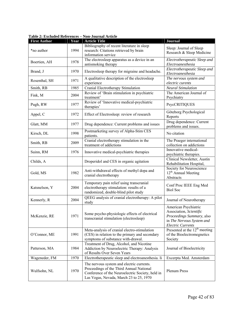| <b>First Author</b> | Year | <b>Article Title</b>                                                                                                                                                                 | <b>Journal</b>                                                                                                                        |
|---------------------|------|--------------------------------------------------------------------------------------------------------------------------------------------------------------------------------------|---------------------------------------------------------------------------------------------------------------------------------------|
| *no author          | 1994 | Bibliography of recent literature in sleep<br>research: Citations retrieved by brain<br>information service                                                                          | Sleep: Journal of Sleep<br>Research & Sleep Medicine                                                                                  |
| Boertien, AH        | 1978 | The electrosleep apparatus as a device in an<br>antismoking therapy                                                                                                                  | Electrotherapeutic Sleep and<br>Electroanesthesia                                                                                     |
| Brand, J            | 1970 | Electrosleep therapy for migraine and headache.                                                                                                                                      | Electrotherapeutic Sleep and<br>Electroanesthesia                                                                                     |
| Rosenthal, SH       | 1971 | A qualitative description of the electrosleep<br>experience                                                                                                                          | The nervous system and<br>electric curents                                                                                            |
| Smith, RB           | 1985 | Cranial Electrotherapy Stimulation                                                                                                                                                   | <b>Neural Stimulation</b>                                                                                                             |
| Fink, M             | 2004 | Review of 'Brain stimulation in psychiatric<br>treatment'                                                                                                                            | The American Journal of<br>Psychiatry                                                                                                 |
| Pugh, RW            | 1977 | Review of 'Innovative medical-psychiatric<br>therapies'                                                                                                                              | PsycCRITIQUES                                                                                                                         |
| Appel, C            | 1972 | Effect of Electrosleep: review of research                                                                                                                                           | Göteborg Psychological<br>Reports                                                                                                     |
| Glatt, MM           | 1977 | Drug dependence: Current problems and issues                                                                                                                                         | Drug dependence: Current<br>problems and issues.                                                                                      |
| Kirsch, DL          | 1998 | Postmarketing survey of Alpha-Stim CES<br>patients.                                                                                                                                  | No citation                                                                                                                           |
| Smith, RB           | 2009 | Cranial electrotherapy stimulation in the<br>treatment of addictions                                                                                                                 | The Praeger international<br>collection on addictions                                                                                 |
| Suinn, RM           | 1976 | Innovative medical-psychiatric therapies                                                                                                                                             | Innovative medical-<br>psychiatric therapies.                                                                                         |
| Childs, A           |      | Droperidol and CES in organic agitation                                                                                                                                              | Clinical Newsletter, Austin<br>Rehabilitation Hospital,                                                                               |
| Gold, MS            | 1982 | Anti-withdrawal effects of methyl dopa and<br>cranial electrotherapy                                                                                                                 | Society for Neuroscience<br>12 <sup>th</sup> Annual Meeting<br>Abstracts                                                              |
| Katsnelson, Y       | 2004 | Temporary pain relief using transcranial<br>electrotherapy stimulation: results of a<br>randomized, double-blind pilot study                                                         | Conf Proc IEEE Eng Med<br><b>Biol Soc</b>                                                                                             |
| Kennerly, R         | 2004 | QEEG analysis of cranial electrotherapy: A pilot<br>study                                                                                                                            | Journal of Neurotherapy                                                                                                               |
| McKenzie, RE        | 1971 | Some psycho-physiologic effects of electrical<br>transcranial stimulation (electrosleep)                                                                                             | American Psychiatric<br>Association, Scientific<br>Proceedings Summary, also<br>in The Nervous System and<br><b>Electric Currents</b> |
| O'Connor, ME        | 1991 | Meta-analysis of cranial electro-stimulation<br>(CES) in relation to the primary and secondary<br>symptoms of substance with-drawal.                                                 | Presented at the $12th$ meeting<br>of the Bioelectromegnetics<br>Society                                                              |
| Patterson, MA       | 1984 | Treatment of Drug, Alcohol, and Nicotine<br>Addiction by Neuroelectric Therapy: Analysis<br>of Results Over Seven Years                                                              | Journal of Bioelectricity                                                                                                             |
| Wageneder, FM       | 1970 | Electrotherapeutic sleep and electroanesthesia. Ii                                                                                                                                   | Excerpta Med. Amsterdam                                                                                                               |
| Wulfsohn, NL        | 1970 | The nervous system and electric currents.<br>Proceedings of the Third Annual National<br>Conference of the Neuroelectric Society, held in<br>Las Vegas, Nevada, March 23 to 25, 1970 | Plenum Press                                                                                                                          |

**Table 2: Excluded References – Non-Journal Article**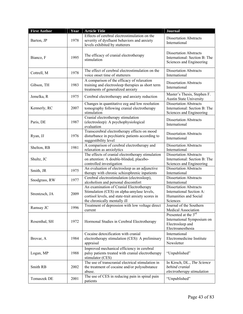| <b>First Author</b> | Year | <b>Article Title</b>                                                                                                                                                         | <b>Journal</b>                                                                                 |
|---------------------|------|------------------------------------------------------------------------------------------------------------------------------------------------------------------------------|------------------------------------------------------------------------------------------------|
| Barton, JP          | 1978 | Effects of cerebral electrostimulation on the<br>severity of dysfluent behaviors and anxiety<br>levels exhibited by stutterers                                               | <b>Dissertation Abstracts</b><br>International                                                 |
| Bianco, F           | 1995 | The efficacy of cranial electrotherapy<br>stimulation                                                                                                                        | <b>Dissertation Abstracts</b><br>International: Section B: The<br>Sciences and Engineering     |
| Cottrell, M         | 1978 | The effect of cerebral electrostimulation on the<br>voice onset time of stutterers                                                                                           | <b>Dissertation Abstracts</b><br>International                                                 |
| Gibson, TH          | 1983 | A comparison of the efficacy of relaxation<br>training and electrosleep therapies as short term<br>treatments of generalized anxiety                                         | <b>Dissertation Abstracts</b><br>International                                                 |
| Jemelka, R          | 1975 | Cerebral electrotherapy and anxiety reduction                                                                                                                                | Master's Thesis, Stephen F.<br><b>Austin State University</b>                                  |
| Kennerly, RC        | 2007 | Changes in quantitative eeg and low resolution<br>tomography following cranial electrotherapy<br>stimulation                                                                 | <b>Dissertation Abstracts</b><br>International: Section B: The<br>Sciences and Engineering     |
| Paris, DE           | 1987 | Cranial electrotherapy stimulation<br>(electrosleep): A psychophysiological<br>evaluation                                                                                    | <b>Dissertation Abstracts</b><br>International                                                 |
| Ryan, JJ            | 1976 | Transcerebral electrotherapy effects on mood<br>disturbance in psychiatric patients according to<br>suggestibility level                                                     | <b>Dissertation Abstracts</b><br>International                                                 |
| Shelton, RB         | 1981 | A comparison of cerebral electrotherapy and<br>relaxation as anxiolytics                                                                                                     | <b>Dissertation Abstracts</b><br>International                                                 |
| Shultz, JC          |      | The effects of cranial electrotherapy stimulation<br>on attention: A double-blinded, placebo-<br>controlled investigation                                                    | <b>Dissertation Abstracts</b><br>International: Section B: The<br>Sciences and Engineering     |
| Smith, JR           | 1975 | An evaluation of electrosleep as an adjunctive<br>therapy with chronic schizophrenic inpatients                                                                              | Dissertation Abstracts<br>International                                                        |
| Snodgrass, RW       | 1977 | Cerebral electrostimulation (electrosleep),<br>alcoholism and personal discomfort                                                                                            | <b>Dissertation Abstracts</b><br>International                                                 |
| Strentzsch, JA      | 2009 | An examination of Cranial Electrotherapy<br>Stimulation (CES) on alpha-amylase levels,<br>cortisol levels, and state-trait anxiety scores in<br>the chronically mentally ill | <b>Dissertation Abstracts</b><br>International Section A:<br>Humanities and Social<br>Sciences |
| Ramsay JC           | 1996 | Treatment of depression with low voltage direct<br>current                                                                                                                   | Journal of the Southern<br>Medical Association                                                 |
| Rosenthal, SH       | 1972 | Hormonal Studies in Cerebral Electrotherapy                                                                                                                                  | Presented at the 3rd<br>International Symposium on<br>Electrosleep and<br>Electroanesthesia    |
| Brovar, A           | 1984 | Cocaine detoxification with cranial<br>electrotherapy stimulation (CES): A preliminary<br>appraisal                                                                          | International<br>Electromedicine Institute<br>Newsletter                                       |
| Logan, MP           | 1988 | Improved mechanical efficiency in cerebral<br>palsy patients treated with cranial electrotherapy<br>stimulator (CES)                                                         | "Unpublished"                                                                                  |
| Smith RB            | 2002 | The use of transcranial electrical stimulation in<br>the treatment of cocaine and/or polysubstance<br>abuse.                                                                 | In Kirsch, DL., The Science<br>behind cranial<br>electrotherapy stimulation                    |
| Tomaszek DE         | 2001 | The use of CES in reducing pain in spinal pain<br>patients                                                                                                                   | "Unpublished"                                                                                  |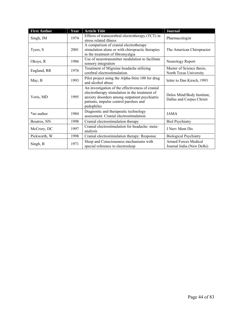| <b>First Author</b> | Year | <b>Article Title</b>                                                                                                                                                                                         | <b>Journal</b>                                          |
|---------------------|------|--------------------------------------------------------------------------------------------------------------------------------------------------------------------------------------------------------------|---------------------------------------------------------|
| Singh, JM           | 1974 | Effects of transcerebral electrotherapy (TCT) in<br>stress related illness                                                                                                                                   | Pharmacologist                                          |
| Tyers, S            | 2001 | A comparison of cranial electrotherapy<br>stimulation alone or with chiropractic therapies<br>in the treatment of fibromyalgia                                                                               | The American Chiropractor                               |
| Okoye, R            | 1986 | Use of neurotransmitter modulation to facilitate<br>sensory integration                                                                                                                                      | Neurology Report                                        |
| England, RR         | 1976 | Treatment of Migraine headache utilizing<br>cerebral electrostimulation.                                                                                                                                     | Master of Science thesis,<br>North Texas University     |
| May, B              | 1993 | Pilot project using the Alpha-Stim 100 for drug<br>and alcohol abuse                                                                                                                                         | letter to Dan Kirsch, 1993                              |
| Voris, MD           | 1995 | An investigation of the effectiveness of cranial<br>electrotherapy stimulation in the treatment of<br>anxiety disorders among outpatient psychiatric<br>patients, impulse control parolees and<br>pedophiles | Delos Mind/Body Institute,<br>Dallas and Corpus Christi |
| *no author          | 1984 | Diagnostic and therapeutic technology<br>assessment. Cranial electrostimulation                                                                                                                              | JAMA                                                    |
| Boutros, NN         | 1998 | Cranial electrostimulation therapy                                                                                                                                                                           | <b>Biol Psychiatry</b>                                  |
| McCrory, DC         | 1997 | Cranial electrostimulation for headache: meta-<br>analysis                                                                                                                                                   | J Nerv Ment Dis                                         |
| Pickworth, W        | 1998 | Cranial electrostimulation therapy: Response                                                                                                                                                                 | <b>Biological Psychiatry</b>                            |
| Singh, B            | 1971 | Sleep and Consciousness mechanisms with<br>special reference to electrosleep                                                                                                                                 | Armed Forces Medical<br>Journal India (New Delhi)       |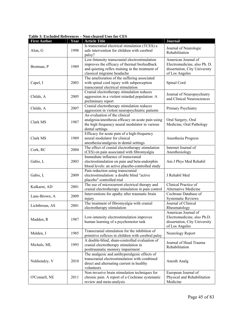| <b>First Author</b> | Year | <b>Article Title</b>                                                                                                                                                             | <b>Journal</b>                                                                                         |
|---------------------|------|----------------------------------------------------------------------------------------------------------------------------------------------------------------------------------|--------------------------------------------------------------------------------------------------------|
| Alon, G             | 1998 | Is transcranial electrical stimulation (TCES) a<br>safe intervention for children with cerebral<br>palsy?                                                                        | Journal of Neurologic<br>Rehabilitation                                                                |
| Brotman, P          | 1989 | Low-Intensity transcranial electrostimulation<br>improves the efficacy of thermal biofeedback<br>and quieting reflex training in the treatment of<br>classical migraine headache | American Journal of<br>Electromedicine, also Ph. D.<br>dissertation, City University<br>of Los Angeles |
| Capel, I            | 2003 | The amelioration of the suffering associated<br>with spinal cord injury with subperception<br>transcranial electrical stimulation                                                | Spinal Cord                                                                                            |
| Childs, A           | 2005 | Cranial electrotherapy stimulation reduces<br>aggression in a violent retarded population: A<br>preliminary report                                                               | Journal of Neuropsychiatry<br>and Clinical Neurosciences                                               |
| Childs, A           | 2007 | Cranial electrotherapy stimulation reduces<br>aggression in violent neuropsychiatric patients                                                                                    | Primary Psychiatry                                                                                     |
| Clark MS            | 1987 | An evaluation of the clinical<br>analgesia/anesthesia efficacy on acute pain using<br>the high frequency neural modulator in various<br>dental settings                          | Oral Surgery, Oral<br>Medicine, Oral Pathology                                                         |
| Clark MS            | 1989 | Efficacy for acute pain of a high-frequency<br>neural modulator for clinical<br>anesthesia/analgesia in dental settings                                                          | Anesthesia Progress                                                                                    |
| Cork, RC            | 2004 | The effect of cranial electrotherapy stimulation<br>(CES) on pain associated with fibromyalgia                                                                                   | Internet Journal of<br>Anesthesiology                                                                  |
| Gabis, L            | 2003 | Immediate influence of transcranial<br>electrostimulation on pain and beta-endorphin<br>blood levels: an active placebo-controlled study                                         | Am J Phys Med Rehabil                                                                                  |
| Gabis, L            | 2009 | Pain reduction using transcranial<br>electrostimulation: a double blind "active<br>placebo" controlled trial                                                                     | J Rehabil Med                                                                                          |
| Kulkarni, AD        | 2001 | The use of microcurrent electrical therapy and<br>cranial electrotherapy stimulation in pain control                                                                             | Clinical Practice of<br>Alternative Medicine                                                           |
| Lane-Brown, A       | 2009 | Interventions for apathy after traumatic brain<br>injury                                                                                                                         | Cochrane Database of<br><b>Systematic Reviews</b>                                                      |
| Lichtbroun, AS      | 2001 | The treatment of fibromyalgia with cranial<br>electrotherapy stimulation                                                                                                         | Journal of Clinical<br>Rheumatology                                                                    |
| Madden, R           | 1987 | Low-intensity electrostimulation improves<br>human learning of a psychomotor task                                                                                                | American Journal of<br>Electromedicine, also Ph.D.<br>dissertation, City University<br>of Los Angeles  |
| Malden, J           | 1985 | Transcranial stimulation for the inhibition of<br>primitive reflexes in children with cerebral palsy                                                                             | Neurology Report                                                                                       |
| Michals, ML         | 1993 | A double-blind, sham-controlled evaluation of<br>cranial electrotherapy stimulation in<br>posttraumatic memory impairment                                                        | Journal of Head Trauma<br>Rehabilitation                                                               |
| Nekhendzy, V        | 2010 | The analgesic and antihyperalgesic effects of<br>transcranial electrostimulation with combined<br>direct and alternating current in healthy<br>volunteers                        | Anesth Analg                                                                                           |
| O'Connell, NE       | 2011 | Non-invasive brain stimulation techniques for<br>chronic pain. A report of a Cochrane systematic<br>review and meta-analysis                                                     | European Journal of<br>Physical and Rehabilitation<br>Medicine                                         |

**Table 3: Excluded References – Non-cleared Uses for CES**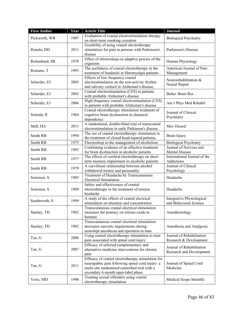| <b>First Author</b> | Year | <b>Article Title</b>                                                                                                                                                                          | <b>Journal</b>                                        |
|---------------------|------|-----------------------------------------------------------------------------------------------------------------------------------------------------------------------------------------------|-------------------------------------------------------|
| Pickworth, WB       | 1997 | Evaluation of cranial electrostimulation therapy<br>on short-term smoking cessation                                                                                                           | <b>Biological Psychiatry</b>                          |
| Rintala, DH         | 2011 | Feasibility of using cranial electrotherapy<br>stimulation for pain in persons with Parkinson's<br>disease                                                                                    | Parkinson's Disease                                   |
| Roitenburd, SR      | 1978 | Effect of electrosleep on adaptive powers of the<br>organism                                                                                                                                  | Human Physiology                                      |
| Romano, T           | 1993 | The usefulness of cranial electrotherapy in the<br>treatment of headache in fibromyalgia patients                                                                                             | American Journal of Pain<br>Management                |
| Scherder, EJ        | 2003 | Effects of low-frequency cranial<br>electrostimulation on the rest-activity rhythm<br>and salivary cortisol in Alzheimer's disease                                                            | Neurorehabilitation &<br>Neural Repair                |
| Scherder, EJ        | 2002 | Cranial electrostimulation (CES) in patients<br>with probable Alzheimer's disease                                                                                                             | <b>Behav Brain Res</b>                                |
| Scherder, EJ        | 2006 | High-frequency cranial electrostimulation (CES)<br>in patients with probable Alzheimer's disease                                                                                              | Am J Phys Med Rehabil                                 |
| Schmitt, R          | 1984 | Cranial electrotherapy stimulation treatment of<br>cognitive brain dysfunction in chemical<br>dependence                                                                                      | Journal of Clinical<br>Psychiatry                     |
| Shill, HA           | 2011 | A randomized, double-blind trial of transcranial<br>electrostimulation in early Parkinson's disease                                                                                           | Mov Disord                                            |
| Smith RB            | 1994 | The use of cranial electrotherapy stimulation in<br>the treatment of closed-head-injured patients                                                                                             | Brain Injury                                          |
| Smith RB            | 1975 | Electrosleep in the management of alcoholism                                                                                                                                                  | <b>Biological Psychiatry</b>                          |
| Smith RB            | 1982 | Confirming evidence of an effective treatment<br>for brain dysfunction in alcoholic patients                                                                                                  | Journal of Nervous and<br>Mental Disease              |
| Smith RB            | 1977 | The effects of cerebral electrotherapy on short-<br>term memory impairment in alcoholic patients                                                                                              | International Journal of the<br>Addictions            |
| Smith RB            | 1979 | A curvilinear relationship between alcohol<br>withdrawal tremor and personality                                                                                                               | Journal of Clinical<br>Psychology                     |
| Solomon, S          | 1985 | Treatment of Headache by Transcutaneous<br><b>Electrical Stimulation</b>                                                                                                                      | Headache                                              |
| Solomon, S          | 1989 | Safety and effectiveness of cranial<br>electrotherapy in the treatment of tension<br>headache                                                                                                 | Headache                                              |
| Southworth, S       | 1999 | A study of the effects of cranial electrical<br>stimulation on attention and concentration                                                                                                    | Integrative Physiological<br>and Behavioral Science   |
| Stanley, TH         | 1982 | Transcutaneous cranial electrical stimulation<br>increases the potency on nitrous oxide in<br>humans                                                                                          | Anesthesiology                                        |
| Stanley, TH         | 1982 | Transcutaneous cranial electrical stimulation<br>decreases narcotic requirements during<br>neurolept anesthesia and operation in man                                                          | Anesthesia and Analgesia                              |
| Tan, G              | 2006 | Using cranial electrotherapy stimulation to treat<br>pain associated with spinal cord injury                                                                                                  | Journal of Rehabilitation<br>Research & Development   |
| Tan, G              | 2007 | Efficacy of selected complementary and<br>alternative medicine interventions for chronic<br>pain                                                                                              | Journal of Rehabilitation<br>Research and Development |
| Tan, G              | 2011 | Efficacy of cranial electrotherapy stimulation for<br>neuropathic pain following spinal cord injury: a<br>multi-site randomized controlled trial with a<br>secondary 6-month open-label phase | Journal of Spinal Cord<br>Medicine                    |
| Voris, MD           | 1996 | Treating sexual offenders using cranial<br>electrotherapy stimulation                                                                                                                         | Medical Scope Monthly                                 |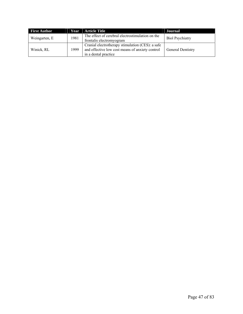| <b>First Author</b> | <b>Year</b> | <b>Article Title</b>                                                                                                        | <b>Journal</b>           |
|---------------------|-------------|-----------------------------------------------------------------------------------------------------------------------------|--------------------------|
| Weingarten, E       | 1981        | The effect of cerebral electrostimulation on the<br>frontalis electromyogram                                                | <b>Biol Psychiatry</b>   |
| Winick, RL          | 1999        | Cranial electrotherapy stimulation (CES): a safe<br>and effective low cost means of anxiety control<br>in a dental practice | <b>General Dentistry</b> |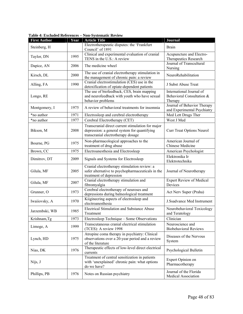| <b>First Author</b> | Year | <b>Article Title</b>                                                                                                                    | <b>Journal</b>                                                   |
|---------------------|------|-----------------------------------------------------------------------------------------------------------------------------------------|------------------------------------------------------------------|
| Steinberg, H        |      | Electrotherapeutic disputes: the 'Frankfurt<br>Council' of 1891                                                                         | <b>Brain</b>                                                     |
| Taylor, DN          | 1995 | Clinical and experimental evaluation of cranial<br>TENS in the U.S.: A review                                                           | Acupuncture and Electro-<br>Therapeutics Research                |
| Dapice, AN          | 2006 | The medicine wheel                                                                                                                      | Journal of Transcultural<br>Nursing                              |
| Kirsch, DL          | 2000 | The use of cranial electrotherapy stimulation in<br>the management of chronic pain: a review                                            | NeuroRehabilitation                                              |
| Alling, FA          | 1990 | Cranial electrostimulation (CES) use in the<br>detoxification of opiate-dependent patients                                              | J Subst Abuse Treat                                              |
| Longo, RE           |      | The use of biofeedback, CES, brain mapping<br>and neurofeedback with youth who have sexual<br>behavior problems                         | International Journal of<br>Behavioral Consultation &<br>Therapy |
| Montgomery, I       | 1975 | A review of behavioral treatments for insomnia                                                                                          | Journal of Behavior Therapy<br>and Experimental Psychiatry       |
| *no author          | 1971 | Electrosleep and cerebral electrotherapy                                                                                                | Med Lett Drugs Ther                                              |
| *no author          | 1977 | Cerebral Electrotherapy (CET)                                                                                                           | West J Med                                                       |
| Bikson, M           | 2008 | Transcranial direct current stimulation for major<br>depression: a general system for quantifying<br>transcranial electrotherapy dosage | Curr Treat Options Neurol                                        |
| Bourne, PG          | 1975 | Non-pharmacological approaches to the<br>treatment of drug abuse                                                                        | American Journal of<br>Chinese Medicine                          |
| Brown, CC           | 1975 | Electroanesthesia and Electrosleep                                                                                                      | American Psychologist                                            |
| Dimitrov, DT        | 2009 | Signals and Systems for Electrosleep                                                                                                    | Elektronika Ir<br>Elektrotechnika                                |
| Gilula, MF          | 2005 | Cranial electrotherapy stimulation review: a<br>safer alternative to psychopharmaceuticals in the<br>treatment of depression            | Journal of Neurotherapy                                          |
| Gilula, MF          | 2007 | Cranial electrotherapy stimulation and<br>fibromyalgia                                                                                  | <b>Expert Review of Medical</b><br>Devices                       |
| Grunner, O          | 1973 | Cerebral electrotherapy of neuroses and<br>depressions during balneological treatment                                                   | Act Nerv Super (Praha)                                           |
| Iwaiiovsky, A       | 1970 | Kiiginecring aspects of electrosleep and<br>electroanesthesia                                                                           | J.Ssadvance Med Instrument                                       |
| Jarzembski, WB      | 1985 | <b>Electrical Stimulation and Substance Abuse</b><br>Treatment                                                                          | Neurobehavioral Toxicology<br>and Teratology                     |
| Krishnam, Tg        | 1973 | Electrosleep Technique – Some Observations                                                                                              | Clinician                                                        |
| Limoge, A           | 1999 | Transcutaneous cranial electrical stimulation<br>(TCES): A review 1998                                                                  | Neuroscience and<br><b>Biobehavioral Reviews</b>                 |
| Lynch, HD           | 1975 | Atropine coma therapy in psychiatry: Clinical<br>observations over a 20-year period and a review<br>of the literature                   | Diseases of the Nervous<br>System                                |
| Nias, DK            | 1976 | Therapeutic effects of low-level direct electrical<br>currents                                                                          | Psychological Bulletin                                           |
| Nijs, J             |      | Treatment of central sensitization in patients<br>with 'unexplained' chronic pain: what options<br>do we have?                          | Expert Opinion on<br>Pharmacotherapy                             |
| Phillips, PB        | 1976 | Notes on Russian psychiatry                                                                                                             | Journal of the Florida<br>Medical Association                    |

**Table 4: Excluded References – Non-Systematic Review**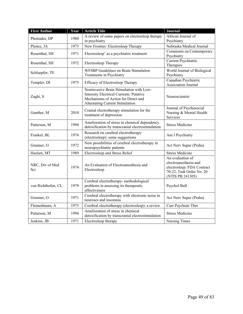| <b>First Author</b>    | Year | <b>Article Title</b>                                                                                                                                                       | <b>Journal</b>                                                                                                          |
|------------------------|------|----------------------------------------------------------------------------------------------------------------------------------------------------------------------------|-------------------------------------------------------------------------------------------------------------------------|
| Photiades, DP          | 1980 | A review of some papers on electrosleep therapy<br>in psychiatry                                                                                                           | African Journal of<br>Psychiatry                                                                                        |
| Pleitez, JA            | 1973 | New Frontier: Electrosleep Therapy                                                                                                                                         | Nebraska Medical Journal                                                                                                |
| Rosenthal, SH          | 1971 | Electrosleep' as a psychiatric treatment                                                                                                                                   | Comments on Contemporary<br>Psychiatry                                                                                  |
| Rosenthal, SH          | 1972 | <b>Electrosleep Therapy</b>                                                                                                                                                | <b>Current Psychiatric</b><br>Therapies                                                                                 |
| Schlaepfer, TE         |      | <b>WFSBP</b> Guidelines on Brain Stimulation<br>Treatments in Psychiatry                                                                                                   | World Journal of Biological<br>Psychiatry                                                                               |
| Templer, DI            | 1975 | Efficacy of Electrosleep Therapy                                                                                                                                           | Canadian Psychiatric<br>Association Journal                                                                             |
| Zaghi, S               |      | Noninvasive Brain Stimulation with Low-<br><b>Intensity Electrical Currents: Putative</b><br>Mechanisms of Action for Direct and<br><b>Alternating Current Stimulation</b> | Neuroscientist                                                                                                          |
| Gunther, M             | 2010 | Cranial electrotherapy stimulation for the<br>treatment of depression                                                                                                      | Journal of Psychosocial<br>Nursing & Mental Health<br>Services                                                          |
| Patterson, M           | 1994 | Amelioration of stress in chemical dependency<br>detoxification by transcranial electrostimulation                                                                         | <b>Stress Medicine</b>                                                                                                  |
| Frankel, BL            | 1974 | Research on cerebral electrotherapy<br>(electrosleep): some suggestions                                                                                                    | Am J Psychiatry                                                                                                         |
| Grunner, O             | 1972 | New possibilities of cerebral electrotherapy in<br>neuropsychiatric patients                                                                                               | Act Nerv Super (Praha)                                                                                                  |
| Haslam, MT             | 1989 | Electrosleep and Stress Relief                                                                                                                                             | <b>Stress Medicine</b>                                                                                                  |
| NRC, Div of Med<br>Sci | 1974 | An Evaluation of Electroanesthesia and<br>Electrosleep                                                                                                                     | An evaluation of<br>electroanesthesia and<br>electrosleep. FDA Contract<br>70-22, Task Order No. 20<br>(NTIS PB 241305) |
| von Richthofen, CL     | 1979 | Cerebral electrotherapy: methodological<br>problems in assessing its therapeutic<br>effectiveness                                                                          | Psychol Bull                                                                                                            |
| Grunner, O             | 1971 | Cerebral electrotherapy with electronic noise in<br>neuroses and insomnia                                                                                                  | Act Nerv Super (Praha)                                                                                                  |
| Flemenbaum, A          | 1975 | Cerebral electrotherapy (electrosleep): a review                                                                                                                           | Curr Psychiatr Ther                                                                                                     |
| Patterson, M           | 1994 | Amelioration of stress in chemical<br>detoxification by transcranial electrostimulation                                                                                    | <b>Stress Medicine</b>                                                                                                  |
| Jenkins, JB            | 1971 | Electrosleep therapy                                                                                                                                                       | <b>Nursing Times</b>                                                                                                    |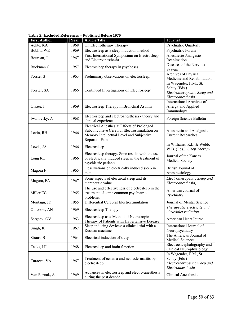| <b>First Author</b> | Year | <b>Article Title</b>                                                   | <b>Journal</b>                                          |
|---------------------|------|------------------------------------------------------------------------|---------------------------------------------------------|
| Achte, KA           | 1968 | On Electrotherapy Therapy                                              | Psychiatric Quarterly                                   |
| Boblitt, WE         | 1969 | Electrosleep as a sleep induction method                               | Psychiatric Forum                                       |
| Boureau, J          | 1967 | First International Symposium on Electrosleep                          | Anesthesie Analgesie                                    |
|                     |      | and Electroanesthesia                                                  | Reanimation                                             |
| Buckman C           | 1957 | Electrosleep therapy in psychoses                                      | Diseases of the Nervous                                 |
|                     |      |                                                                        | System                                                  |
| Forster S           | 1963 | Preliminary observations on electrosleep.                              | Archives of Physical<br>Medicine and Rehabilitation     |
|                     |      |                                                                        | In Wagender, F.M., St.                                  |
| Forster, SA         | 1966 | Continued Investigations of 'Electrosleep'                             | Schuy (Eds.)<br>Electrotherapeutic Sleep and            |
|                     |      |                                                                        | Electroanesthesia                                       |
|                     |      |                                                                        | International Archives of                               |
| Glazer, I           | 1969 | Electrosleep Therapy in Bronchial Asthma                               | Allergy and Applied                                     |
|                     |      |                                                                        | Immunology                                              |
| Iwanovsky, A        | 1968 | Electrosleep and electroanesthesia - theory and<br>clinical experience | Foreign Science Bulletin                                |
|                     |      | Electrical Anesthesia: Effects of Prolonged                            |                                                         |
| Levin, RH           | 1966 | Subconvulsive Cerebral Electrostimulation on                           | Anesthesia and Analgesia                                |
|                     |      | Memory Intellectual Level and Subjective                               | <b>Current Researches</b>                               |
|                     |      | Report of Pain                                                         |                                                         |
| Lewis, JA           | 1966 | Electrosleep                                                           | In Williams, R.L. & Webb,<br>W.B. (Eds.), Sleep Therapy |
|                     |      | Electrosleep therapy. Sone results with the use                        |                                                         |
| Long RC             | 1966 | of electrically induced sleep in the treatment of                      | Journal of the Kansas                                   |
|                     |      | psychiatric patients                                                   | Medical Society                                         |
|                     | 1965 | Observations on electrically induced sleep in                          | British Journal of                                      |
| Magora F            |      | man                                                                    | Anesthesiology                                          |
| Magora, FA          | 1967 | Some aspects of electrical sleep and its                               | Electrotherapeutic Sleep and                            |
|                     |      | therapeutic value                                                      | Electroanesthesia,                                      |
|                     |      | The use and effectiveness of electrosleep in the                       | American Journal of                                     |
| Miller EC           | 1965 | treatment of some common psychiatric                                   | Psychiatry                                              |
|                     | 1955 | problems.<br>Differential Cerebral Electrostimulation                  | Journal of Mental Science                               |
| Montagu, JD         |      |                                                                        | Therapeutic electricity and                             |
| Obrosow, AN         | 1969 | Electrosleep Therapy                                                   | ultraviolet radiation                                   |
|                     |      | Electrosleep as a Method of Neurotropic                                |                                                         |
| Sergeev, GV         | 1963 | Therapy of Patients with Hypertensive Disease                          | American Heart Journal                                  |
| Singh, K            | 1967 | Sleep inducing devices: a clinical trial with a                        | International Journal of                                |
|                     |      | Russian machine                                                        | Neuropsychiatry                                         |
| Straus, B           | 1964 | Electrical induction of sleep                                          | The American Journal of                                 |
|                     |      |                                                                        | Medical Sciences                                        |
| Taaks, HJ           | 1968 | Electrosleep and brain function                                        | Electroencephalography and<br>Clinical Neurophysiology  |
|                     |      |                                                                        | In Wagender, F.M., St.                                  |
|                     |      | Treatment of eczema and neurodermatitis by                             | Schuy (Eds.)                                            |
| Turaeva, VA         | 1967 | electrosleep                                                           | Electrotherapeutic Sleep and                            |
|                     |      |                                                                        | Electroanesthesia                                       |
| Van Poznak, A       | 1969 | Advances in electrosleep and electro-anesthesia                        | Clinical Anesthesia                                     |
|                     |      | during the past decade                                                 |                                                         |

**Table 5: Excluded References – Published Before 1970**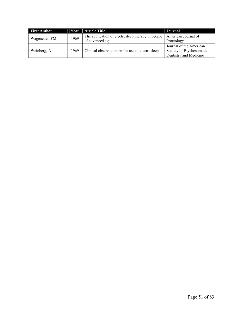| <b>First Author</b> | Year | <b>Article Title</b>                              | Journal                  |
|---------------------|------|---------------------------------------------------|--------------------------|
| Wageneder, FM       | 1969 | The application of electrosleep therapy in people | American Journal of      |
|                     |      | of advanced age                                   | Proctology               |
|                     |      |                                                   | Journal of the American  |
| Weinberg, A         | 1969 | Clinical observations in the use of electrosleep  | Society of Psychosomatic |
|                     |      |                                                   | Dentistry and Medicine   |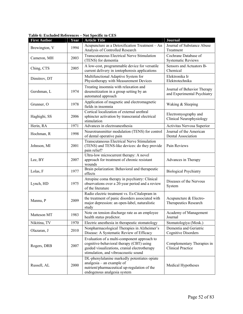| Lable 0. Excluded Kelefences – Fort Specific to CES<br><b>First Author</b> | Year | <b>Article Title</b>                                                                                                                                                             | <b>Journal</b>                                             |
|----------------------------------------------------------------------------|------|----------------------------------------------------------------------------------------------------------------------------------------------------------------------------------|------------------------------------------------------------|
| Brewington, V                                                              | 1994 | Acupuncture as a Detoxification Treatment - An<br>Analysis of Controlled Research                                                                                                | Journal of Substance Abuse<br>Treatment                    |
| Cameron, MH                                                                | 2003 | Transcutaneous Electrical Nerve Stimulation<br>(TENS) for dementia                                                                                                               | Cochrane Database of<br><b>Systematic Reviews</b>          |
| Ching, CTS                                                                 | 2005 | A low-cost, programmable device for versatile<br>current delivery in iontophoresis applications                                                                                  | Sensors and Actuators B-<br>Chemical                       |
| Dimitrov, DT                                                               |      | Multifunctional Adaptive System for<br>Physiotherapy with Measurement Devices                                                                                                    | Elektronika Ir<br>Elektrotechnika                          |
| Gershman, L                                                                | 1974 | Treating insomnia with relaxation and<br>desensitization in a group setting by an<br>automated approach                                                                          | Journal of Behavior Therapy<br>and Experimental Psychiatry |
| Grunner, O                                                                 | 1978 | Application of magnetic and electromagnetic<br>fields in insomnia                                                                                                                | Waking & Sleeping                                          |
| Haghighi, SS                                                               | 2006 | Cortical localization of external urethral<br>sphincter activation by transcranial electrical<br>stimulation                                                                     | Electromyography and<br>Clinical Neurophysiology           |
| Herin, RA                                                                  | 1971 | Advances in electroanesthesia                                                                                                                                                    | Activitas Nervosa Superior                                 |
| Hochman, R                                                                 | 1998 | Neurotransmitter modulation (TENS) for control<br>of dental operative pain                                                                                                       | Journal of the American<br>Dental Association              |
| Johnson, MI                                                                | 2001 | <b>Transcutaneous Electrical Nerve Stimulation</b><br>(TENS) and TENS-like devices: do they provide<br>pain relief?                                                              | Pain Reviews                                               |
| Lee, BY                                                                    | 2007 | Ultra-low microcurrent therapy: A novel<br>approach for treatment of chronic resistant<br>wounds                                                                                 | Advances in Therapy                                        |
| Lolas, F                                                                   | 1977 | Brain polarization: Behavioral and therapeutic<br>effects                                                                                                                        | <b>Biological Psychiatry</b>                               |
| Lynch, HD                                                                  | 1975 | Atropine coma therapy in psychiatry: Clinical<br>observations over a 20-year period and a review<br>of the literature                                                            | Diseases of the Nervous<br>System                          |
| Mannu, P                                                                   | 2009 | Radio electric treatment vs. Es-Citalopram in<br>the treatment of panic disorders associated with<br>major depression: an open-label, naturalistic<br>study                      | Acupuncture & Electro-<br>Therapeutics Research            |
| Matteson MT                                                                | 1983 | Note on tension discharge rate as an employee<br>health status predictor.                                                                                                        | Academy of Management<br>Journal                           |
| Nikitina, TV                                                               | 1970 | Electric anesthesia in therapeutic stomatology                                                                                                                                   | Stomatologiya (Mosk.)                                      |
| Olazaran, J                                                                | 2010 | Nonpharmacological Therapies in Alzheimer's<br>Disease: A Systematic Review of Efficacy                                                                                          | Dementia and Geriatric<br><b>Cognitive Disorders</b>       |
| Rogers, DRB                                                                | 2007 | Evaluation of a multi-component approach to<br>cognitive-behavioral therapy (CBT) using<br>guided visualizations, cranial electrotherapy<br>stimulation, and vibroacoustic sound | Complementary Therapies in<br><b>Clinical Practice</b>     |
| Russell, AL                                                                | 2000 | DL-phenylalanine markedly potentiates opiate<br>analgesia $-$ an example of<br>nutrient/pharmaceutical up-regulation of the<br>endogenous analgesia system                       | Medical Hypotheses                                         |

### **Table 6: Excluded References – Not Specific to CES**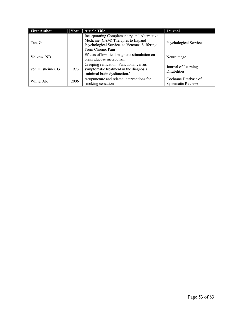| <b>First Author</b> | Year | <b>Article Title</b>                                                                                                                                   | <b>Journal</b>                                    |  |
|---------------------|------|--------------------------------------------------------------------------------------------------------------------------------------------------------|---------------------------------------------------|--|
| Tan, G              |      | Incorporating Complementary and Alternative<br>Medicine (CAM) Therapies to Expand<br>Psychological Services to Veterans Suffering<br>From Chronic Pain | <b>Psychological Services</b>                     |  |
| Volkow, ND          |      | Effects of low-field magnetic stimulation on<br>brain glucose metabolism                                                                               | Neuroimage                                        |  |
| von Hilsheimer, G   | 1973 | Creeping reification: Functional versus<br>symptomatic treatment in the diagnosis<br>'minimal brain dysfunction.'                                      | Journal of Learning<br><b>Disabilities</b>        |  |
| 2006<br>White, AR   |      | Acupuncture and related interventions for<br>smoking cessation                                                                                         | Cochrane Database of<br><b>Systematic Reviews</b> |  |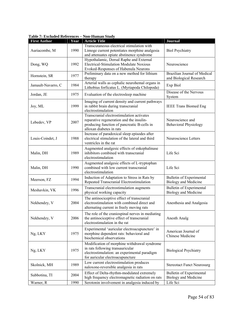| <b>First Author</b> | Year | <b>Article Title</b>                                                                                                                                                 | <b>Journal</b>                                          |  |  |  |
|---------------------|------|----------------------------------------------------------------------------------------------------------------------------------------------------------------------|---------------------------------------------------------|--|--|--|
| Auriacombe, M       | 1990 | Transcutaneous electrical stimulation with<br>Limoge current potentiates morphine analgesia<br>and attenuates opiate abstinence syndrome                             | <b>Biol Psychiatry</b>                                  |  |  |  |
| Dong, WQ            | 1992 | Hypothalamic, Dorsal Raphe and External<br><b>Electrical-Stimulation Modulate Noxious</b><br>Evoked-Responses of Habenula Neurons                                    | Neuroscience                                            |  |  |  |
| Hornstein, SR       | 1977 | Preliminary data on a new method for lithium<br>therapy                                                                                                              | Brazilian Journal of Medical<br>and Biological Research |  |  |  |
| Jamault-Navarro, C  | 1984 | Arterial walls as cephalic neurohemal organs in<br>Lithobius forficatus L. (Myriapoda Chilopoda)                                                                     | Exp Biol                                                |  |  |  |
| Jordan, JE          | 1975 | Evaluation of the electrosleep machine                                                                                                                               | Disease of the Nervous<br>System                        |  |  |  |
| Joy, ML             | 1999 | Imaging of current density and current pathways<br>in rabbit brain during transcranial<br>electrostimulation                                                         | <b>IEEE Trans Biomed Eng</b>                            |  |  |  |
| Lebedev, VP         | 2007 | Transcranial electrostimulation activates<br>reparative regeneration and the insulin-<br>producing function of pancreatic B-cells in<br>alloxan diabetes in rats     | Neuroscience and<br><b>Behavioral Physiology</b>        |  |  |  |
| Louis-Coindet, J    | 1988 | Increase of paradoxical sleep episodes after<br>electrical stimulation of the lateral and third<br>ventricles in the rat                                             | Neuroscience Letters                                    |  |  |  |
| Malin, DH           | 1989 | Augmented analgesic effects of enkephalinase<br>inhibitors combined with transcranial<br>electrostimulation                                                          | Life Sci                                                |  |  |  |
| Malin, DH           | 1990 | Augmented analgesic effects of L-tryptophan<br>combined with low current transcranial<br>electrostimulation                                                          | Life Sci                                                |  |  |  |
| Meerson, FZ         | 1994 | Induction of Adaptation to Stress in Rats by<br>Repeated Transcranial Electrostimulation                                                                             | Bulletin of Experimental<br><b>Biology and Medicine</b> |  |  |  |
| Meshavkin, VK       | 1996 | Transcranial electrostimulation augments<br>physical working capacity                                                                                                | Bulletin of Experimental<br><b>Biology and Medicine</b> |  |  |  |
| Nekhendzy, V        | 2004 | The antinociceptive effect of transcranial<br>electrostimulation with combined direct and<br>alternating current in freely moving rats                               | Anesthesia and Analgesia                                |  |  |  |
| Nekhendzy, V        | 2006 | The role of the craniospinal nerves in mediating<br>the antinociceptive effect of transcranial<br>electrostimulation in the rat                                      | Anesth Analg                                            |  |  |  |
| Ng, LKY             | 1975 | Experimental 'auricular electroacupuncture' in<br>morphine dependent rats: behavioral and<br>biochemical observations                                                | American Journal of<br>Chinese Medicine                 |  |  |  |
| Ng, LKY             | 1975 | Modification of morphine withdrawal syndrome<br>in rats following transauricular<br>electrostimulation: an experimental paradigm<br>for auricular electroacupuncture | <b>Biological Psychiatry</b>                            |  |  |  |
| Skolnick, MH        | 1989 | Low current electrostimulation produces<br>naloxone-reversible analgesia in rats                                                                                     | <b>Stereotact Funct Neurosurg</b>                       |  |  |  |
| Subbotina, TI       | 2004 | Effect of Delta-rhythm-modulated extremely<br>high frequency electromagnetic radiation on rats                                                                       | Bulletin of Experimental<br>Biology and Medicine        |  |  |  |
| Warner, R           | 1990 | Serotonin involvement in analgesia induced by                                                                                                                        | Life Sci                                                |  |  |  |

**Table 7: Excluded References – Non-Human Study**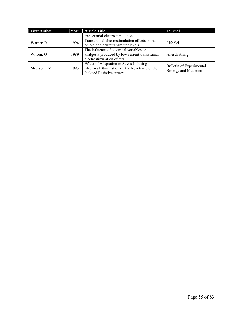| <b>First Author</b> | Year | <b>Article Title</b>                                                                                                           | <b>Journal</b>                                   |
|---------------------|------|--------------------------------------------------------------------------------------------------------------------------------|--------------------------------------------------|
|                     |      | transcranial electrostimulation                                                                                                |                                                  |
| Warner, R           | 1994 | Transcranial electrostimulation effects on rat<br>opioid and neurotransmitter levels                                           | Life Sci                                         |
| Wilson, O           | 1989 | The influence of electrical variables on<br>analgesia produced by low current transcranial<br>electrostimulation of rats       | Anesth Analg                                     |
| Meerson, FZ         | 1993 | Effect of Adaptation to Stress-Inducing<br>Electrical Stimulation on the Reactivity of the<br><b>Isolated Resistive Artery</b> | Bulletin of Experimental<br>Biology and Medicine |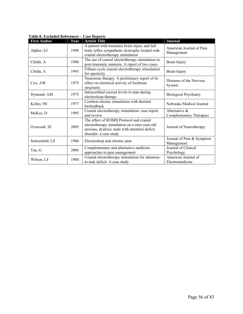| on o. Exchange Kenenenees |      | Case Ineports                                                                                                                                                        |                                             |  |  |  |  |  |
|---------------------------|------|----------------------------------------------------------------------------------------------------------------------------------------------------------------------|---------------------------------------------|--|--|--|--|--|
| <b>First Author</b>       | Year | <b>Article Title</b>                                                                                                                                                 | <b>Journal</b>                              |  |  |  |  |  |
| Alpher, EJ                | 1998 | A patient with traumatic brain injury and full<br>body reflex sympathetic dystrophy treated with<br>cranial electrotherapy stimulation                               | American Journal of Pain<br>Management      |  |  |  |  |  |
| Childs, A                 | 1988 | The use of cranial electrotherapy stimulation in<br>post-traumatic amnesia: A report of two cases                                                                    | Brain Injury                                |  |  |  |  |  |
| Childs, A                 | 1993 | Fifteen-cycle cranial electrotherapy stimulation<br>for spasticity                                                                                                   | <b>Brain Injury</b>                         |  |  |  |  |  |
| Cox, AW                   | 1975 | Neurotone therapy: A preliminary report of its<br>effect on electrical activity of forebrain<br>structures                                                           | Diseases of the Nervous<br>System           |  |  |  |  |  |
| Dymond, AM                | 1975 | Intracerebral current levels in man during<br>electrosleep therapy                                                                                                   | <b>Biological Psychiatry</b>                |  |  |  |  |  |
| Kelley JW                 | 1977 | Cerebral electric stimulation with thermal<br>biofeedback                                                                                                            | Nebraska Medical Journal                    |  |  |  |  |  |
| McKee, D                  | 1995 | Cranial electrotherapy stimulation: case report<br>and review                                                                                                        | Alternative $\&$<br>Complementary Therapies |  |  |  |  |  |
| Overcash, SJ              | 2005 | The effect of ROSHI Protocol and cranial<br>electrotherapy stimulation on a nine-year-old<br>anxious, dyslexic male with attention deficit<br>disorder: a case study | Journal of Neurotherapy                     |  |  |  |  |  |
| Schoenfeld, LS            | 1986 | Electrosleep and chronic pain                                                                                                                                        | Journal of Pain & Symptom<br>Management     |  |  |  |  |  |
| Tan, G                    | 2006 | Complementary and alternative medicine<br>approaches to pain management                                                                                              | Journal of Clinical<br>Psychology           |  |  |  |  |  |
| Wilson, LF                | 1988 | Cranial electrotherapy stimulation for attention-<br>to-task deficit: A case study                                                                                   | American Journal of<br>Electromedicine      |  |  |  |  |  |

**Table 8: Excluded References – Case Reports**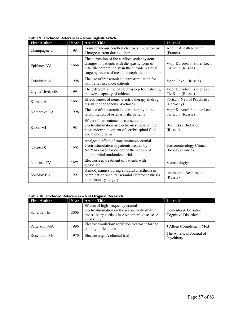| <b>First Author</b> | Year | Ton Engineer there<br><b>Article Title</b>                                                                                                                                                       | <b>Journal</b>                                       |
|---------------------|------|--------------------------------------------------------------------------------------------------------------------------------------------------------------------------------------------------|------------------------------------------------------|
| Champagne C         | 1984 | Transcutaneous cerebral electric stimulation by<br>Limoge current during labor                                                                                                                   | Ann Fr Anesth Reanim.<br>(France)                    |
| Epifanov VA         | 1999 | The correction of the cardiovascular system<br>changes in patients with the spastic form of<br>infantile cerebral palsy in the chronic residual<br>stage by means of mesodiencephalic modulation | Vopr Kurortol Fizioter Lech<br>Fiz Kult. (Russia)    |
| Evtiukhin AI        | 1998 | The use of transcranial electrostimulation for<br>pain relief in cancer patients                                                                                                                 | Vopr Onkol. (Russia)                                 |
| Gigineishvili GR    | 1994 | The differential use of electrosleep for restoring<br>the work capacity of athletes.                                                                                                             | Vopr Kurortol Fizioter Lech<br>Fiz Kult. (Russia)    |
| Klimke A            | 1991 | Effectiveness of neuro-electric therapy in drug<br>resistant endogenous psychoses                                                                                                                | Fortschr Neurol Psychiatry<br>(Germany)              |
| Komarova LA         | 1998 | The use of transcranial electrotherapy in the<br>rehabilitation of osteoarthritis patients                                                                                                       | Vopr Kurortol Fizioter Lech<br>Fiz Kult. (Russia)    |
| Kuzin MI            | 1984 | Effect of transcutaneous transcerebral<br>electrostimulation as electroanes the sia on the<br>beta-endorphin content of cerebrospinal fluid<br>and blood plasma.                                 | Biull Eksp Biol Med<br>(Russia)                      |
| Naveau S            | 1992 | Analgesic effect of transcutaneous cranial<br>electrostimulation in patients treated by<br>Nd:YAG laser for cancer of the rectum. A<br>double-blind randomized trial.                            | <b>Gastroenterology Clinical</b><br>Biology (France) |
| Nikitina, TV        | 1971 | Electrosleep treatment of patients with<br>glossalgia                                                                                                                                            | Stomatologiya                                        |
| Sokolov EA          | 1991 | Hemodynamics during epidural anesthesia in<br>combination with transcranial electroanesthesia<br>in pulmonary surgery                                                                            | Anesteziol Reanimatol<br>(Russia)                    |

**Table 9: Excluded References – Non-English Article** 

#### **Table 10: Excluded References – Not Original Research**

| <b>First Author</b> | Year | <b>Article Title</b>                                                                                                                                  | <b>Journal</b>                              |
|---------------------|------|-------------------------------------------------------------------------------------------------------------------------------------------------------|---------------------------------------------|
| Scherder, EJ        | 2006 | Effects of high-frequency cranial<br>electrostimulation on the rest-activity rhythm<br>and salivary cortisol in Alzheimer's disease. A<br>pilot study | Dementia & Geriatric<br>Cognitive Disorders |
| Patterson, MA       | 1996 | Electrostimulation: addiction treatment for the<br>coming millennium                                                                                  | J Altern Complement Med                     |
| Rosenthal, SH       | 1970 | Electrosleep: A clinical trial                                                                                                                        | The American Journal of<br>Psychiatry       |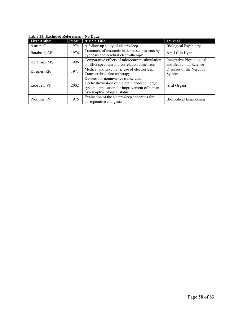| <b>First Author</b> | Year | <b>Article Title</b>                                                                                                                                                  | <b>Journal</b>                                      |
|---------------------|------|-----------------------------------------------------------------------------------------------------------------------------------------------------------------------|-----------------------------------------------------|
| Astrup, $C$         | 1974 | A follow-up study of electrosleep                                                                                                                                     | <b>Biological Psychiatry</b>                        |
| Barabasz, AF        | 1976 | Treatment of insomnia in depressed patients by<br>hypnosis and cerebral electrotherapy                                                                                | Am J Clin Hypn                                      |
| Heffernan MS        | 1996 | Comparative effects of microcurrent stimulation<br>on EEG spectrum and correlation dimension                                                                          | Integrative Physiological<br>and Behavioral Science |
| Koegler, RR         | 1971 | Medical and psychiatric use of electrosleep:<br>Transcerebral electrotherapy                                                                                          | Diseases of the Nervous<br>System                   |
| Lebedev, VP         | 2002 | Devices for noninvasive transcranial<br>electrostimulation of the brain endorphinergic<br>system: application for improvement of human<br>psycho-physiological status | Artif Organs                                        |
| Proshina, IV        | 1975 | Evaluation of the electrosleep apparatus for<br>postoperative analgesia                                                                                               | <b>Biomedical Engineering</b>                       |

### **Table 11: Excluded References – No Data**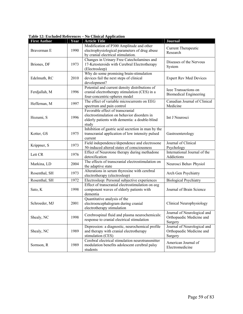| <b>First Author</b> | Year | Two cuments pphendium<br><b>Article Title</b>                                                                                              | <b>Journal</b>                                                     |  |
|---------------------|------|--------------------------------------------------------------------------------------------------------------------------------------------|--------------------------------------------------------------------|--|
| Braverman E         | 1990 | Modification of P300 Amplitude and other<br>electrophysiological parameters of drug abuse<br>by cranial electrical stimulation.            | Current Therapeutic<br>Research                                    |  |
| Briones, DF         | 1973 | Changes in Urinary Free Catecholamines and<br>17-Ketosteroids with Cerebral Electrotherapy<br>(Electrosleep)                               | Diseases of the Nervous<br>System                                  |  |
| Edelmuth, RC        | 2010 | Why do some promising brain-stimulation<br>devices fail the next steps of clinical<br>development?                                         | <b>Expert Rev Med Devices</b>                                      |  |
| Ferdjallah, M       | 1996 | Potential and current density distributions of<br>cranial electrotherapy stimulation (CES) in a<br>four-concentric-spheres model           | <b>Ieee Transactions on</b><br><b>Biomedical Engineering</b>       |  |
| Heffernan, M        | 1997 | The effect of variable microcurrents on EEG<br>spectrum and pain control                                                                   | Canadian Journal of Clinical<br>Medicine                           |  |
| Hozumi, S           | 1996 | Favorable effect of transcranial<br>electrostimulation on behavior disorders in<br>elderly patients with dementia: a double-blind<br>study | Int J Neurosci                                                     |  |
| Kotter, GS          | 1975 | Inhibition of gastric acid secretion in man by the<br>transcranial application of low intensity pulsed<br>current                          | Gastroenterology                                                   |  |
| Krippner, S         | 1973 | Field independence/dependence and electrosone<br>50-induced altered states of consciousness                                                | Journal of Clinical<br>Psychology                                  |  |
| Lett CR             | 1976 | Effect of Neurotone therapy during methadone<br>detoxification                                                                             | International Journal of the<br>Addictions                         |  |
| Markina, LD         | 2004 | The effects of transcranial electrostimulation on<br>the adaptive state                                                                    | Neurosci Behav Physiol                                             |  |
| Rosenthal, SH       | 1973 | Alterations in serum thyroxine with cerebral<br>electrotherapy (electrosleep)                                                              | Arch Gen Psychiatry                                                |  |
| Rosenthal, SH       | 1972 | Electrosleep: Personal subjective experiences                                                                                              | <b>Biological Psychiatry</b>                                       |  |
| Sato, K             | 1998 | Effect of transcranial electrostimulation on eeg<br>component waves of elderly patients with<br>dementia                                   | Journal of Brain Science                                           |  |
| Schroeder, MJ       | 2001 | Quantitative analysis of the<br>electroencephalogram during cranial<br>electrotherapy stimulation                                          | Clinical Neurophysiology                                           |  |
| Shealy, NC          | 1998 | Cerebrospinal fluid and plasma neurochemicals:<br>response to cranial electrical stimulation                                               | Journal of Neurological and<br>Orthopaedic Medicine and<br>Surgery |  |
| Shealy, NC          | 1989 | Depression: a diagnostic, neurochemical profile<br>and therapy with cranial electrotherapy<br>stimulation (CES)                            | Journal of Neurological and<br>Orthopaedic Medicine and<br>Surgery |  |
| Sornson, R          | 1989 | Cerebral electrical stimulation neurotransmitter<br>modulation benefits adolescent cerebral palsy<br>students                              | American Journal of<br>Electromedicine                             |  |

**Table 12: Excluded References – No Clinical Application**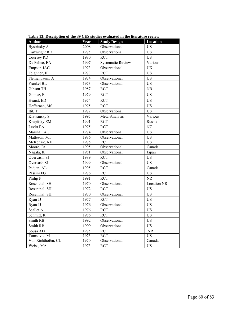| rabic 10. Description of the |      | cs cyanauca in the nicrature review |                    |
|------------------------------|------|-------------------------------------|--------------------|
| <b>Author</b>                | Year | <b>Study Design</b>                 | Location           |
| <b>Bystritsky A</b>          | 2008 | Observational                       | <b>US</b>          |
| Cartwright RD                | 1975 | Observational                       | <b>US</b>          |
| <b>Coursey RD</b>            | 1980 | <b>RCT</b>                          | <b>US</b>          |
| De Felice, EA                | 1997 | <b>Systematic Review</b>            | Various            |
| Empson JAC                   | 1973 | Observational                       | UK                 |
| Feighner, JP                 | 1973 | <b>RCT</b>                          | $\mathbf{US}$      |
| Flemenbaum, A                | 1974 | Observational                       | <b>US</b>          |
| Frankel BL                   | 1973 | Observational                       | <b>US</b>          |
| Gibson TH                    | 1987 | <b>RCT</b>                          | <b>NR</b>          |
| Gomez, E                     | 1979 | <b>RCT</b>                          | <b>US</b>          |
| Hearst, ED                   | 1974 | <b>RCT</b>                          | <b>US</b>          |
| Heffernan, MS                | 1975 | <b>RCT</b>                          | <b>US</b>          |
| Itil, T                      | 1972 | Observational                       | <b>US</b>          |
| Klawansky S                  | 1995 | Meta-Analysis                       | Various            |
| Krupitsky EM                 | 1991 | <b>RCT</b>                          | Russia             |
| Levitt EA                    | 1975 | <b>RCT</b>                          | $\rm{NZ}$          |
| Marshall AG                  | 1974 | Observational                       | <b>US</b>          |
| Matteson, MT                 | 1986 | Observational                       | <b>US</b>          |
| McKenzie, RE                 | 1975 | <b>RCT</b>                          | <b>US</b>          |
| Moore, JA                    | 1995 | Observational                       | Canada             |
| Nagata, K                    | 1981 | Observational                       | Japan              |
| Overcash, SJ                 | 1989 | <b>RCT</b>                          | <b>US</b>          |
| Overcash SJ                  | 1999 | Observational                       | <b>US</b>          |
| Padjen, AL                   | 1995 | <b>RCT</b>                          | Canada             |
| Passini FG                   | 1976 | <b>RCT</b>                          | <b>US</b>          |
| Philip P                     | 1991 | <b>RCT</b>                          | <b>NR</b>          |
| Rosenthal, SH                | 1970 | Observational                       | <b>Location NR</b> |
| Rosenthal, SH                | 1972 | <b>RCT</b>                          | <b>US</b>          |
| Rosenthal, SH                | 1970 | Observational                       | <b>US</b>          |
| Ryan JJ                      | 1977 | <b>RCT</b>                          | <b>US</b>          |
| Ryan JJ                      | 1976 | Observational                       | <b>US</b>          |
| Scallet A                    | 1976 | <b>RCT</b>                          | <b>US</b>          |
| Schmitt, R                   | 1986 | RCT                                 | $\mathbf{US}$      |
| Smith RB                     | 1992 | Observational                       | US                 |
| Smith RB                     | 1999 | Observational                       | <b>US</b>          |
| Sousa AD                     | 1975 | <b>RCT</b>                          | <b>NR</b>          |
| Tomsovic, M                  | 1973 | <b>RCT</b>                          | <b>US</b>          |
| Von Richthofen, CL           | 1970 | Observational                       | Canada             |
| Weiss, MA                    | 1973 | <b>RCT</b>                          | <b>US</b>          |

**Table 13: Description of the 39 CES studies evaluated in the literature review**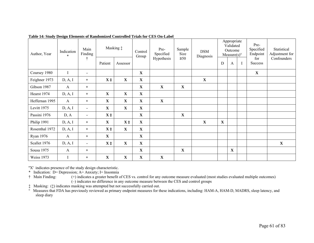| Indication<br>Author, Year<br>$\ast$ | Main<br>Finding | Masking $\ddagger$ |                | Pre-<br>Control<br>Specified<br>Group |             | Sample<br>Size | <b>DSM</b><br>Diagnosis |             | Appropriate<br>Validated<br>Outcome<br>Measure $(s)^\circ$ |              | Pre-<br>Specified<br>Endpoint | Statistical<br>Adjustment for |             |
|--------------------------------------|-----------------|--------------------|----------------|---------------------------------------|-------------|----------------|-------------------------|-------------|------------------------------------------------------------|--------------|-------------------------------|-------------------------------|-------------|
|                                      |                 | ÷                  | Patient        | Assessor                              |             | Hypothesis     | $\geq 50$               |             | D                                                          | $\mathbf{A}$ | I                             | for<br>Success                | Confounders |
| Coursey 1980                         | $\mathbf{I}$    | ٠                  |                |                                       | $\mathbf X$ |                |                         |             |                                                            |              |                               | $\mathbf X$                   |             |
| Feighner 1973                        | D, A, I         | $+$                | $X$ $\ddagger$ | $\mathbf X$                           | $\mathbf X$ |                |                         | $\mathbf X$ |                                                            |              |                               |                               |             |
| Gibson 1987                          | A               | $+$                |                |                                       | $\mathbf X$ | $\mathbf X$    | $\mathbf{X}$            |             |                                                            |              |                               |                               |             |
| Hearst 1974                          | D, A, I         | $+$                | $\mathbf X$    | $\mathbf{X}$                          | $\mathbf X$ |                |                         |             |                                                            |              |                               |                               |             |
| Heffernan 1995                       | $\mathbf{A}$    | $+$                | $\mathbf X$    | $\mathbf{X}$                          | $\mathbf X$ | $\mathbf X$    |                         |             |                                                            |              |                               |                               |             |
| Levitt 1975                          | D, A, I         | $\blacksquare$     | $\mathbf X$    | $\mathbf{X}$                          | $\mathbf X$ |                |                         |             |                                                            |              |                               |                               |             |
| Passini 1976                         | D, A            | $\blacksquare$     | $X \ddagger$   |                                       | $\mathbf X$ |                | $\mathbf{X}$            |             |                                                            |              |                               |                               |             |
| Philip 1991                          | D, A, I         | $+$                | $\mathbf X$    | $X \ddagger$                          | $\mathbf X$ |                |                         | $\mathbf X$ | $\mathbf X$                                                |              |                               |                               |             |
| Rosenthal 1972                       | D, A, I         | $+$                | $X \ddagger$   | $\mathbf X$                           | $\mathbf X$ |                |                         |             |                                                            |              |                               |                               |             |
| <b>Ryan 1976</b>                     | A               | $+$                | $\mathbf X$    |                                       | $\mathbf X$ |                |                         |             |                                                            |              |                               |                               |             |
| Scallet 1976                         | D, A, I         | $\blacksquare$     | $X$ $\ddagger$ | $\mathbf X$                           | $\mathbf X$ |                |                         |             |                                                            |              |                               |                               | $\mathbf X$ |
| Sousa 1975                           | A               | $+$                |                |                                       | $\mathbf X$ |                | $\mathbf X$             |             |                                                            | $\mathbf X$  |                               |                               |             |
| <b>Weiss 1973</b>                    | I               | $+$                | $\mathbf X$    | $\mathbf X$                           | $\mathbf X$ | $\mathbf X$    |                         |             |                                                            |              |                               |                               |             |

**Table 14: Study Design Elements of Randomized Controlled Trials for CES On-Label** 

''X' indicates presence of the study design characteristic.

\* Indication: D= Depression; A= Anxiety; I= Insomnia<br>
† Main Finding: (+) indicates a greater benefit

 $(+)$  indicates a greater benefit of CES vs. control for any outcome measure evaluated (most studies evaluated multiple outcomes) (–) indicates no difference in any outcome measure between the CES and control groups

‡ Masking: (‡) indicates masking was attempted but not successfully carried out.

° Measures that FDA has previously reviewed as primary endpoint measures for these indications, including: HAM-A, HAM-D, MADRS, sleep latency, and sleep diary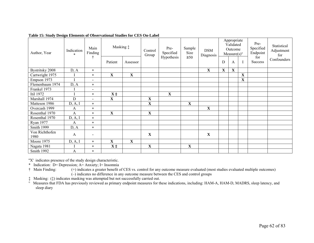| Author, Year           | Indication<br>$\ast$ | Main<br>Finding | Masking $\ddagger$ |             | Control<br>Group        | Pre-<br>Specified | Sample<br>Size<br>$\geq 50$ | <b>DSM</b><br>Diagnosis | Appropriate<br>Validated<br>Outcome<br>Measure $(s)^\circ$ |              | Pre-<br>Specified<br>Endpoint | Statistical<br>Adjustment<br>for |             |
|------------------------|----------------------|-----------------|--------------------|-------------|-------------------------|-------------------|-----------------------------|-------------------------|------------------------------------------------------------|--------------|-------------------------------|----------------------------------|-------------|
|                        |                      | ÷               | Patient            | Assessor    |                         | Hypothesis        |                             |                         | D                                                          | A            |                               | for<br>Success                   | Confounders |
| Bystritsky 2008        | D, A                 | $\ddot{}$       |                    |             |                         |                   |                             | $\mathbf X$             | $\mathbf X$                                                | $\mathbf{X}$ |                               |                                  |             |
| Cartwright 1975        |                      | $\ddot{}$       | $\mathbf X$        | $\mathbf X$ |                         |                   |                             |                         |                                                            |              | $\mathbf X$                   |                                  |             |
| Empson 1973            |                      | $\blacksquare$  |                    |             |                         |                   |                             |                         |                                                            |              | $\mathbf X$                   |                                  |             |
| Flemenbaum 1974        | D, A                 | $+$             |                    |             |                         |                   |                             |                         |                                                            |              |                               |                                  |             |
| Frankel 1973           |                      | $\blacksquare$  |                    |             |                         |                   |                             |                         |                                                            |              |                               |                                  |             |
| Itil 1972              |                      | $+$             | $X$ $\ddagger$     |             |                         | $\mathbf{X}$      |                             |                         |                                                            |              |                               |                                  |             |
| Marshall 1974          | D                    | $\blacksquare$  | $\mathbf X$        |             | $\mathbf X$             |                   |                             |                         |                                                            |              |                               |                                  |             |
| Matteson 1986          | D, A, I              | $+$             |                    |             | $\overline{\mathbf{X}}$ |                   | X                           |                         |                                                            |              |                               |                                  |             |
| Overcash 1999          | A                    | $\ddot{}$       |                    |             |                         |                   |                             | $\mathbf X$             |                                                            |              |                               |                                  |             |
| Rosenthal 1970         | A                    | $+$             | $\mathbf X$        |             | $\mathbf X$             |                   |                             |                         |                                                            |              |                               |                                  |             |
| Rosenthal 1970         | D, A, I              | $+$             |                    |             |                         |                   |                             |                         |                                                            |              |                               |                                  |             |
| Ryan 1977              | A                    | $\ddot{}$       |                    |             |                         |                   |                             |                         |                                                            |              |                               |                                  |             |
| Smith 1999             | D, A                 | $\ddot{}$       |                    |             |                         |                   |                             |                         |                                                            |              |                               |                                  |             |
| Von Richthofen<br>1980 | $\mathbf{A}$         | $\blacksquare$  |                    |             | X                       |                   |                             | $\mathbf{X}$            |                                                            |              |                               |                                  |             |
| Moore 1975             | D, A, I              | $+$             | $\mathbf X$        | $\mathbf X$ |                         |                   |                             |                         |                                                            |              |                               |                                  |             |
| Nagata 1981            |                      | $+$             | $X$ $\ddagger$     |             | $\mathbf X$             |                   | $\mathbf X$                 |                         |                                                            |              |                               |                                  |             |
| Smith 1992             | A                    | $+$             |                    |             |                         |                   |                             |                         |                                                            |              |                               |                                  |             |

**Table 15: Study Design Elements of Observational Studies for CES On-Label** 

''X' indicates presence of the study design characteristic.

\* Indication: D= Depression; A= Anxiety; I= Insomnia<br>
† Main Finding: (+) indicates a greater benefit

† Main Finding: (+) indicates a greater benefit of CES vs. control for any outcome measure evaluated (most studies evaluated multiple outcomes) (–) indicates no difference in any outcome measure between the CES and control groups

‡ Masking: (‡) indicates masking was attempted but not successfully carried out.

° Measures that FDA has previously reviewed as primary endpoint measures for these indications, including: HAM-A, HAM-D, MADRS, sleep latency, and sleep diary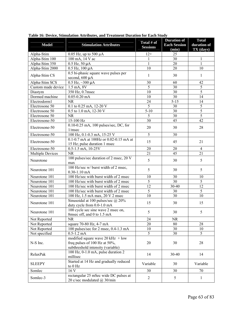| <b>Model</b>       | <b>Stimulation Attributes</b>                                                                             | Total # of<br><b>Sessions</b> | <b>Duration of</b><br><b>Each Session</b><br>(min) | <b>Total</b><br>duration of<br>TX (days) |
|--------------------|-----------------------------------------------------------------------------------------------------------|-------------------------------|----------------------------------------------------|------------------------------------------|
| Alpha-Stim         | $0.05$ Hz, up to 500 $\mu$ A                                                                              | $12+$                         | 25                                                 |                                          |
| Alpha-Stim 100     | 100 mA, 14 V ac                                                                                           |                               | 30                                                 |                                          |
| Alpha-Stim 350     | $0.5$ Hz, $50$ µA                                                                                         | $\mathbf{1}$                  | 20                                                 | $\mathbf{1}$                             |
| Alpha-Stim 2000    | $0.5$ Hz, $100$ $\mu$ A                                                                                   | 10                            | 20                                                 | 10                                       |
| Alpha-Stim CS      | 0.5 bi-phasic square wave pulses per<br>second, 600 µA                                                    | $\mathbf{1}$                  | 30                                                 | $\mathbf{1}$                             |
| Alpha-Stim SCS     | $0.5$ Hz, $\sim$ 300 µA                                                                                   | 30                            | 60                                                 | 42                                       |
| Custom made device | 1.5 mA, 8V                                                                                                | $\overline{5}$                | 30                                                 | $\overline{5}$                           |
| Diastym            | 350 Hz, 0.7msec                                                                                           | 10                            | 30                                                 | $\overline{5}$                           |
| Dormed machine     | $0.05 - 0.20$ mA                                                                                          | 10                            | 30                                                 | 14                                       |
| Electrodorm1       | <b>NR</b>                                                                                                 | 24                            | $5 - 15$                                           | 14                                       |
| Electrosone 50     | 0.1 to 0.25 mA, 12-20 V                                                                                   | $\overline{5}$                | 30                                                 | $\overline{5}$                           |
| Electrosone 50     | 0.5 to 1.0 mA, 12-30 V                                                                                    | $5 - 10$                      | 30                                                 | 5                                        |
| Electrosone 50     | NR                                                                                                        | 5                             | 30                                                 | $\overline{5}$                           |
| Electrosone-50     | 15-100 Hz                                                                                                 | 30                            | $\overline{45}$                                    | 42                                       |
| Electrosone-50     | 0.10-0.25 mA, 100 pulses/sec, DC, for<br>1/msec                                                           | 20                            | 30                                                 | 28                                       |
| Electrosone-50     | 100 Hz, 0.1-0.3 mA, 15-25 V                                                                               | 5                             | 30                                                 |                                          |
| Electrosone-50     | 0.1-0.7 mA at 100Hz or 0.02-0.15 mA at<br>15 Hz; pulse duration 1 msec                                    | 15                            | 45                                                 | 21                                       |
| Electrosone-50     | 0.5-1.5 mA, 10-25V                                                                                        | 20                            | 20                                                 | $\overline{4}$                           |
| Multiple Devices   | <b>NR</b>                                                                                                 | 21                            | $\overline{45}$                                    | $\overline{21}$                          |
| Neurotone          | 100 pulses/sec duration of 2 msec, 20 V<br>max                                                            | 5                             | 30                                                 | 5                                        |
| Neurotone 101      | 100 Hz/sec w/ burst width of 2 msec,<br>$0.30 - 1.10$ mA                                                  | 5                             | 30                                                 | 5                                        |
| Neurotone 101      | 100 Hz/sec with burst width of 2 msec                                                                     | 10                            | 30                                                 | 10                                       |
| Neurotone 101      | 100 Hz/sec with burst width of 2 msec                                                                     | 5                             | 30                                                 | 5                                        |
| Neurotone 101      | 100 Hz/sec with burst width of 2 msec                                                                     | 12                            | 30-40                                              | 12                                       |
| Neurotone 101      | 100 Hz/sec with burst width of 2 msec                                                                     | 5                             | 30                                                 | 5                                        |
| Neurotone 101      | 100 Hz, 1.5 mA max, 20 V 2 msec                                                                           | 10                            | 30                                                 | 10                                       |
| Neurotone 101      | Sinusoidal at 100 pulses/sec $\omega$ 20%<br>duty cycle from 0.0-1.0 mA                                   | 15                            | 30                                                 | 15                                       |
| Neurotone 101      | 100 cycle sec sine wave 2 msec on,<br>8msec off, and 0 to 1.5 mA                                          | 5                             | 30                                                 | 5                                        |
| Not Reported       | NR.                                                                                                       | 24                            | <b>NR</b>                                          |                                          |
| Not Reported       | square 70-80 Hz, 4-7 mA                                                                                   | 20                            | 80                                                 | 28                                       |
| Not Reported       | 100 pulses/sec for 2 msec, 0.4-1.3 mA                                                                     | $10\,$                        | 30                                                 | 10                                       |
| Not specified      | $0.5 - 1.2$ mA                                                                                            | 5                             | 30                                                 | 5                                        |
| N-S Inc.           | modified square wave 20 kHz $+$ low<br>freq pulses of 100 Hz at 50%,<br>subthreshold intensity (variable) | 20                            | 30                                                 | 28                                       |
| RelaxPak           | 100 Hz, 0-1.0 mA, pulse duration 2<br>millisec                                                            | 14                            | 30-40                                              | 14                                       |
| <b>SLEEPY</b>      | Started at 14 Hz and gradually reduced<br>to $0\ \mathrm{Hz}$                                             | Variable                      | 30                                                 | Variable                                 |
| Somlec             | 16 V                                                                                                      | 30                            | 30                                                 | 70                                       |
| Somlec-3           | rectangular 25 mSec wide DC pulses at<br>20 c/sec modulated @ 30/min                                      | $\mathbf{2}$                  | 5                                                  | $\mathbf{1}$                             |

<span id="page-62-0"></span>**Table 16: Device, Stimulation Attributes, and Treatment Duration for Each Study**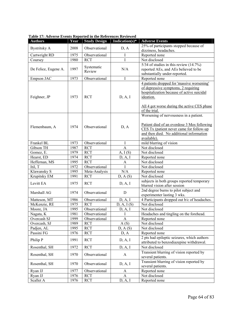| <b>Authors</b>       | Year | <b>Study Design</b>  | Indication(s)*        | <b>Adverse Events</b>                                                                                                                                                                       |  |  |  |  |
|----------------------|------|----------------------|-----------------------|---------------------------------------------------------------------------------------------------------------------------------------------------------------------------------------------|--|--|--|--|
| <b>Bystritsky A</b>  | 2008 | Observational        | D, A                  | 25% of participants stopped because of<br>dizziness, headaches.                                                                                                                             |  |  |  |  |
| Cartwright RD        | 1975 | Observational        | I                     | Reported none                                                                                                                                                                               |  |  |  |  |
| Coursey              | 1980 | <b>RCT</b>           | I                     | Not disclosed                                                                                                                                                                               |  |  |  |  |
|                      | 1997 |                      |                       | $5/34$ of studies in this review $(14.7%)$                                                                                                                                                  |  |  |  |  |
| De Felice, Eugene A. |      | Systematic<br>Review | N/A                   | reported AEs, and AEs believed to be                                                                                                                                                        |  |  |  |  |
|                      |      |                      |                       | substantially under-reported.                                                                                                                                                               |  |  |  |  |
| Empson JAC           | 1973 | Observational        | I                     | Reported none                                                                                                                                                                               |  |  |  |  |
| Feighner, JP         | 1973 | <b>RCT</b>           | D, A, I               | 4 patients dropped for 'massive worsening'<br>of depressive symptoms, 2 requiring<br>hospitalization because of active suicidal<br>ideation.<br>All 4 got worse during the active CES phase |  |  |  |  |
|                      |      |                      |                       | of the trial.                                                                                                                                                                               |  |  |  |  |
|                      |      |                      |                       | Worsening of nervousness in a patient.                                                                                                                                                      |  |  |  |  |
| Flemenbaum, A        | 1974 | Observational        | D, A                  | Patient died of an overdose 3 Mos following<br>CES Tx (patient never came for follow-up<br>and then died. No additional information<br>available).                                          |  |  |  |  |
| Frankel BL           | 1973 | Observational        | T                     | mild blurring of vision                                                                                                                                                                     |  |  |  |  |
| Gibson TH            | 1987 | <b>RCT</b>           | $\overline{A}$        | Not disclosed                                                                                                                                                                               |  |  |  |  |
| Gomez, E.            | 1979 | <b>RCT</b>           | A, I(S)               | Not disclosed                                                                                                                                                                               |  |  |  |  |
| Hearst, ED           | 1974 | <b>RCT</b>           | D, A, I               | Reported none                                                                                                                                                                               |  |  |  |  |
| Heffernan, MS        | 1995 | <b>RCT</b>           | A                     | Not disclosed                                                                                                                                                                               |  |  |  |  |
| Itil, T              | 1972 | Observational        |                       | Not disclosed                                                                                                                                                                               |  |  |  |  |
| Klawansky S          | 1995 | Meta-Analysis        | N/A                   | Reported none                                                                                                                                                                               |  |  |  |  |
| Krupitsky EM         | 1991 | <b>RCT</b>           | D, A(S)               | Not disclosed                                                                                                                                                                               |  |  |  |  |
| Levitt EA            | 1975 | <b>RCT</b>           | D, A, I               | subjects in both groups reported temporary<br>blurred vision after session                                                                                                                  |  |  |  |  |
| Marshall AG          | 1974 | Observational        | D                     | 2nd degree burns to pilot subject and<br>experimenter lasting 3 wks.                                                                                                                        |  |  |  |  |
| Matteson, MT         | 1986 | Observational        | $\overline{D}$ , A, I | 4 Participants dropped out b/c of headaches.                                                                                                                                                |  |  |  |  |
| McKenzie, RE         | 1975 | <b>RCT</b>           | D, A, I(S)            | Not disclosed                                                                                                                                                                               |  |  |  |  |
| Moore, JA            | 1995 | Observational        | D, A, I               | Not disclosed                                                                                                                                                                               |  |  |  |  |
| Nagata, K            | 1981 | Observational        | I                     | Headaches and tingling on the forehead.                                                                                                                                                     |  |  |  |  |
| Overcash SJ          | 1999 | Observational        | A                     | Reported none                                                                                                                                                                               |  |  |  |  |
| Overcash, SJ         | 1989 | <b>RCT</b>           | A(S)                  | Not disclosed                                                                                                                                                                               |  |  |  |  |
| Padjen, AL           | 1995 | <b>RCT</b>           | D, A(S)               | Not disclosed                                                                                                                                                                               |  |  |  |  |
| Passini FG           | 1976 | <b>RCT</b>           | D, A                  | Reported none                                                                                                                                                                               |  |  |  |  |
| Philip P             | 1991 | <b>RCT</b>           | D, A, I               | 2 pts had epileptic seizures, which authors<br>attributed to benzodiazepine withdrawal.                                                                                                     |  |  |  |  |
| Rosenthal, SH        | 1972 | <b>RCT</b>           | D, A, I               | Not disclosed                                                                                                                                                                               |  |  |  |  |
| Rosenthal, SH        | 1970 | Observational        | $\mathbf{A}$          | Transient blurring of vision reported by<br>several patients.                                                                                                                               |  |  |  |  |
| Rosenthal, SH        | 1970 | Observational        | D, A, I               | Transient blurring of vision reported by<br>several patients.                                                                                                                               |  |  |  |  |
| Ryan JJ              | 1977 | Observational        | A                     | Reported none                                                                                                                                                                               |  |  |  |  |
| Ryan JJ              | 1976 | <b>RCT</b>           | A                     | Not disclosed                                                                                                                                                                               |  |  |  |  |
| Scallet A            | 1976 | <b>RCT</b>           | D, A, I               | Reported none                                                                                                                                                                               |  |  |  |  |

**Table 17: Adverse Events Reported in the References Reviewed**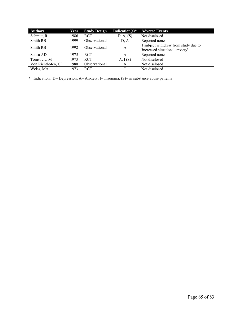| <b>Authors</b>     | Year | <b>Study Design</b> | Indication(s)* | <b>Adverse Events</b>                                                   |
|--------------------|------|---------------------|----------------|-------------------------------------------------------------------------|
| Schmitt, R         | 1986 | <b>RCT</b>          | D, A, (S)      | Not disclosed                                                           |
| Smith RB           | 1999 | Observational       | D, A           | Reported none                                                           |
| Smith RB           | 1992 | Observational       | A              | 1 subject withdrew from study due to<br>'increased situational anxiety' |
| Sousa AD           | 1975 | <b>RCT</b>          | A              | Reported none                                                           |
| Tomsovic, M        | 1973 | <b>RCT</b>          | A, I(S)        | Not disclosed                                                           |
| Von Richthofen, CL | 1980 | Observational       | A              | Not disclosed                                                           |
| Weiss, MA          | 1973 | <b>RCT</b>          |                | Not disclosed                                                           |

\* Indication: D= Depression; A= Anxiety; I= Insomnia; (S)= in substance abuse patients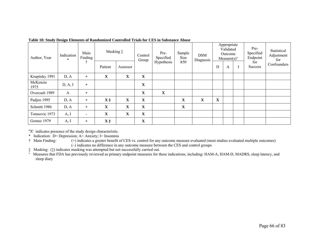| Author, Year     | Indication<br>$\ast$ | Main<br>Finding | Masking $\ddagger$ |             | Control<br>Group | Pre-<br>Specified | Sample<br>Size | <b>DSM</b><br>Diagnosis | Appropriate<br>Validated<br>Outcome<br>Measure $(s)^\circ$ |   |    | Pre-<br>Specified<br>Endpoint | Statistical<br>Adjustment<br>for |
|------------------|----------------------|-----------------|--------------------|-------------|------------------|-------------------|----------------|-------------------------|------------------------------------------------------------|---|----|-------------------------------|----------------------------------|
|                  |                      |                 | Patient            | Assessor    |                  | Hypothesis        | $\geq 50$      |                         | D                                                          | A | -1 | for<br><b>Success</b>         | Confounders                      |
| Krupitsky 1991   | D, A                 | $+$             | $\mathbf X$        | $\mathbf X$ | $\mathbf X$      |                   |                |                         |                                                            |   |    |                               |                                  |
| McKenzie<br>1975 | D, A, I              | $+$             |                    |             | $\mathbf X$      |                   |                |                         |                                                            |   |    |                               |                                  |
| Overcash 1989    | $\mathbf{A}$         | $+$             |                    |             | X                | X                 |                |                         |                                                            |   |    |                               |                                  |
| Padjen 1995      | D, A                 | $+$             | $X$ $\ddagger$     | $\mathbf X$ | $\mathbf X$      |                   | $\mathbf X$    | $\mathbf X$             | $\mathbf X$                                                |   |    |                               |                                  |
| Schmitt 1986     | D, A                 | $+$             | $\mathbf X$        | $\mathbf X$ | $\mathbf X$      |                   | $\mathbf X$    |                         |                                                            |   |    |                               |                                  |
| Tomsovic 1973    | A, I                 | ٠               | $\mathbf X$        | $\mathbf X$ | $\mathbf X$      |                   |                |                         |                                                            |   |    |                               |                                  |
| Gomez 1979       | A, I                 | $+$             | $X$ ‡              |             | $\mathbf X$      |                   |                |                         |                                                            |   |    |                               |                                  |

**Table 18: Study Design Elements of Randomized Controlled Trials for CES in Substance Abuse** 

''X' indicates presence of the study design characteristic.

\* Indication: D= Depression; A= Anxiety; I= Insomnia<br>
† Main Finding: (+) indicates a greater benefit

† Main Finding: (+) indicates a greater benefit of CES vs. control for any outcome measure evaluated (most studies evaluated multiple outcomes) (–) indicates no difference in any outcome measure between the CES and control groups

‡ Masking: (‡) indicates masking was attempted but not successfully carried out.

° Measures that FDA has previously reviewed as primary endpoint measures for these indications, including: HAM-A, HAM-D, MADRS, sleep latency, and sleep diary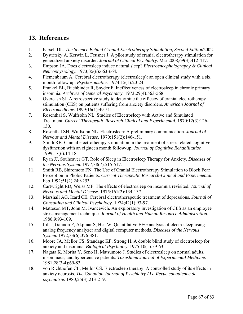# **13. References**

- 1. Kirsch DL. *The Science Behind Cranial Electrotherapy Stimulation, Second Edition*2002.
- 2. Bystritsky A, Kerwin L, Feusner J. A pilot study of cranial electrotherapy stimulation for generalized anxiety disorder. *Journal of Clinical Psychiatry.* Mar 2008;69(3):412-417.
- 3. Empson JA. Does electrosleep induce natural sleep? *Electroencephalography & Clinical Neurophysiology.* 1973;35(6):663-664.
- 4. Flemenbaum A. Cerebral electrotherapy (electrosleep): an open clinical study with a six month follow up. *Psychosomatics.* 1974;15(1):20-24.
- 5. Frankel BL, Buchbinder R, Snyder F. Ineffectiveness of electrosleep in chronic primary insomnia. *Archives of General Psychiatry.* 1973;29(4):563-568.
- 6. Overcash SJ. A retrospective study to determine the efficacy of cranial electrotherapy stimulation (CES) on patients suffering from anxiety disorders. *American Journal of Electromedicine.* 1999;16(1):49-51.
- 7. Rosenthal S, Wulfsohn NL. Studies of Electrosleep with Active and Simulated Treatment. *Current Therapeutic Research-Clinical and Experimental.* 1970;12(3):126- 130.
- 8. Rosenthal SH, Wulfsohn NL. Electrosleep: A preliminary communication. *Journal of Nervous and Mental Disease.* 1970;151(2):146-151.
- 9. Smith RB. Cranial electrotherapy stimulation in the treatment of stress related cognitive dysfunction with an eighteen month follow-up. *Journal of Cognitive Rehabilitation.*  1999;17(6):14-18.
- 10. Ryan JJ, Souheaver GT. Role of Sleep in Electrosleep Therapy for Anxiety. *Diseases of the Nervous System.* 1977;38(7):515-517.
- 11. Smith RB, Shiromoto FN. The Use of Cranial Electrotherapy Stimulation to Block Fear Perception in Phobic Patients. *Current Therapeutic Research-Clinical and Experimental.*  Feb 1992;51(2):249-253.
- 12. Cartwright RD, Weiss MF. The effects of electrosleep on insomnia revisited. *Journal of Nervous and Mental Disease.* 1975;161(2):134-137.
- 13. Marshall AG, Izard CE. Cerebral electrotherapeutic treatment of depressions. *Journal of Consulting and Clinical Psychology.* 1974;42(1):93-97.
- 14. Matteson MT, John M. Ivancevich. An exploratory investigation of CES as an employee stress management technique. *Journal of Health and Human Resource Administration.*  1986;9:93-109.
- 15. Itil T, Gannon P, Akpinar S, Hsu W. Quantitative EEG analysis of electrosleep using analog frequency analyzer and digital computer methods. *Diseases of the Nervous System.* 1972;33(6):376-381.
- 16. Moore JA, Mellor CS, Standage KF, Strong H. A double blind study of electrosleep for anxiety and insomnia. *Biological Psychiatry.* 1975;10(1):59-63.
- 17. Nagata K, Morita Y, Seno H, Matsumoto J. Studies of electrosleep on normal adults, insomniacs, and hypertensive patients. *Tokushima Journal of Experimental Medicine.*  1981;28(3-4):69-83.
- 18. von Richthofen CL, Mellor CS. Electrosleep therapy: A controlled study of its effects in anxiety neurosis. *The Canadian Journal of Psychiatry / La Revue canadienne de psychiatrie.* 1980;25(3):213-219.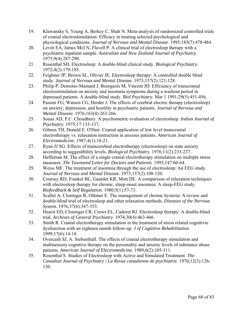- 19. Klawansky S, Yeung A, Berkey C, Shah N. Meta-analysis of randomized controlled trials of cranial electrostimulation: Efficacy in treating selected psychological and physiological conditions. *Journal of Nervous and Mental Disease.* 1995;183(7):478-484.
- 20. Levitt EA, James McI N, Flavell P. A clinical trial of electrosleep therapy with a psychiatric inpatient sample. *Australian and New Zealand Journal of Psychiatry.*  1975;9(4):287-290.
- 21. Rosenthal SH. Electrosleep: A double-blind clinical study. *Biological Psychiatry.*  1972;4(2):179-185.
- 22. Feighner JP, Brown SL, Olivier JE. Electrosleep therapy: A controlled double blind study. *Journal of Nervous and Mental Disease.* 1973;157(2):121-128.
- 23. Philip P, Demotes-Mainard J, Bourgeois M, Vincent JD. Efficiency of transcranial electrostimulation on anxiety and insomnia symptoms during a washout period in depressed patients. A double-blind study. *Biol Psychiatry.* Mar 1 1991;29(5):451-456.
- 24. Passini FG, Watson CG, Herder J. The effects of cerebral electric therapy (electrosleep) on anxiety, depression, and hostility in psychiatric patients. *Journal of Nervous and Mental Disease.* 1976;163(4):263-266.
- 25. Sousa AD, P.C. Choudhury. A psychometric evaluation of electrosleep. *Indian Journal of Psychiatry.* 1975;17:133-137.
- 26. Gibson TH, Donald E. O'Hair. Cranial application of low level transcranial electrotherapy vs. relaxation instruction in anxious patients. *American Journal of Electromedicine.* 1987;4(1):18-21.
- 27. Ryan JJ SG. Effects of transcerebral electrotherapy (electrosleep) on state anxiety according to suggestibility levels. *Biological Psychiatry.* 1976;11(2):233-237.
- 28. Heffernan M. The effect of a single cranial electrotherapy stimulation on multiple stress measures. *The Townsend Letter for Doctors and Patients.* 1995;147:60-64.
- 29. Weiss MF. The treatment of insomnia through the use of electrosleep: An EEG study. *Journal of Nervous and Mental Disease.* 1973;157(2):108-120.
- 30. Coursey RD, Frankel BL, Gaarder KR, Mott DE. A comparison of relaxation techniques with electrosleep therapy for chronic, sleep-onset insomnia: A sleep-EEG study. *Biofeedback & Self Regulation.* 1980;5(1):57-73.
- 31. Scallet A, Cloninger R, Othmer E. The management of chronic hysteria: A review and double-blind trial of electrosleep and other relaxation methods. *Diseases of the Nervous System.* 1976;37(6):347-353.
- 32. Hearst ED, Cloninger CR, Crews EL, Cadoret RJ. Electrosleep therapy: A double-blind trial. *Archives of General Psychiatry.* 1974;30(4):463-466.
- 33. Smith R. Cranial electrotherapy stimulation in the treatment of stress related cognitivie dysfunction with an eighteen month follow-up. *J of Cognitive Rehabilitation.*  1999;17(6):14-18.
- 34. Overcash SJ, A. Siebenthall. The effects of cranial electrotherapy stimulation and multisensory cognitive therapy on the personality and anxiety levels of substance abuse patients. *American Journal of Electromedicine.* 1989;6(2):105-111.
- 35. Rosenthal S. Studies of Electrosleep with Active and Simulated Treatment. *The Canadian Journal of Psychiatry / La Revue canadienne de psychiatrie.* 1970;12(3):126-130.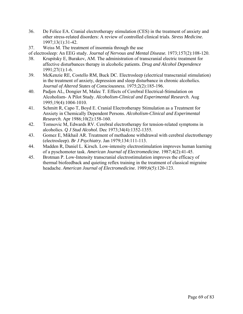- 36. De Felice EA. Cranial electrotherapy stimulation (CES) in the treatment of anxiety and other stress-related disorders: A review of controlled clinical trials. *Stress Medicine.*  1997;13(1):31-42.
- 37. Weiss M. The treatment of insomnia through the use

of electrosleep: An EEG study. *Journal of Nervous and Mental Disease.* 1973;157(2):108-120.

- 38. Krupitsky E, Burakov, AM. The administration of transcranial electric treatment for affective disturbances therapy in alcoholic patients. *Drug and Alcohol Dependence*  1991;27(1):1-6.
- 39. McKenzie RE, Costello RM, Buck DC. Electrosleep (electrical transcranial stimulation) in the treatment of anxiety, depression and sleep disturbance in chronic alcoholics. *Journal of Altered States of Consciousness.* 1975;2(2):185-196.
- 40. Padjen AL, Dongier M, Malec T. Effects of Cerebral Electrical-Stimulation on Alcoholism- A Pilot Study. *Alcoholism-Clinical and Experimental Research.* Aug 1995;19(4):1004-1010.
- 41. Schmitt R, Capo T, Boyd E. Cranial Electrotherapy Stimulation as a Treatment for Anxiety in Chemically Dependent Persons. *Alcoholism-Clinical and Experimental Research.* Apr 1986;10(2):158-160.
- 42. Tomsovic M, Edwards RV. Cerebral electrotherapy for tension-related symptoms in alcoholics. *Q J Stud Alcohol.* Dec 1973;34(4):1352-1355.
- 43. Gomez E, Mikhail AR. Treatment of methadone withdrawal with cerebral electrotherapy (electrosleep). *Br J Psychiatry.* Jan 1979;134:111-113.
- 44. Madden R, Daniel L. Kirsch. Low-intensity electrostimulation improves human learning of a pyschomoter task. *American Journal of Electromedicine.* 1987;4(2):41-45.
- 45. Brotman P. Low-Intensity transcranial electrostimulation improves the efficacy of thermal biofeedback and quieting reflex training in the treatment of classical migraine headache. *American Journal of Electromedicine.* 1989;6(5):120-123.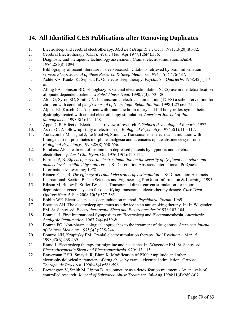# **14. All Identified CES Publications after Removing Duplicates**

- 1. Electrosleep and cerebral electrotherapy. *Med Lett Drugs Ther.* Oct 1 1971;13(20):81-82.
- 2. Cerebral Electrotherapy (CET). *West J Med.* Apr 1977;126(4):336.
- 3. Diagnostic and therapeutic technology assessment. Cranial electrostimulation. *JAMA.*  1984;251(8):1094.
- 4. Bibliography of recent literature in sleep research: Citations retrieved by brain information service. *Sleep: Journal of Sleep Research & Sleep Medicine.* 1994;17(5):476-487.
- 5. Achte KA, Kauko K, Seppala K. On electrosleep therapy. *Psychiatric Quarterly.* 1968;42(1):17- &.
- 6. Alling FA, Johnson BD, Elmoghazy E. Cranial electrostimulation (CES) use in the detoxification of opiate-dependent patients. *J Subst Abuse Treat.* 1990;7(3):173-180.
- 7. Alon G, Syron SC, Smith GV. Is transcranial electrical stimulation (TCES) a safe intervention for children with cerebral palsy? *Journal of Neurologic Rehabilitation.* 1998;12(2):65-71.
- 8. Alpher EJ, Kirsch DL. A patient with traumatic brain injury and full body reflex sympathetic dystrophy treated with cranial electrotherapy stimulation. *American Journal of Pain Management.* 1998;8(4):124-128.
- 9. Appel C-P. Effect of Electrosleep: review of research. *Göteborg Psychological Reports.* 1972.
- 10. Astrup C. A follow-up study of electrosleep. *Biological Psychiatry.* 1974;8(1):115-117.
- 11. Auriacombe M, Tignol J, Le Moal M, Stinus L. Transcutaneous electrical stimulation with Limoge current potentiates morphine analgesia and attenuates opiate abstinence syndrome. *Biological Psychiatry.* 1990;28(8):650-656.
- 12. Barabasz AF. Treatment of insomnia in depressed patients by hypnosis and cerebral electrotherapy. *Am J Clin Hypn.* Oct 1976;19(2):120-122.
- 13. Barton JP, B. *Effects of cerebral electrostimulation on the severity of dysfluent behaviors and anxiety levels exhibited by stutterers*. US: Dissertation Abstracts International, ProQuest Information & Learning; 1978.
- 14. Bianco F, Jr., B. *The efficacy of cranial electrotherapy stimulation*. US: Dissertation Abstracts International: Section B: The Sciences and Engineering, ProQuest Information & Learning; 1995.
- 15. Bikson M, Bulow P, Stiller JW, et al. Transcranial direct current stimulation for major depression: a general system for quantifying transcranial electrotherapy dosage. *Curr Treat Options Neurol.* Sep 2008;10(5):377-385.
- 16. Boblitt WE. Electrosleep as a sleep induction method. *Psychiatric Forum.* 1969.
- 17. Boertien AH. The electrosleep apparatus as a device in an antismoking therapy. In: In Wagender FM, St. Schuy, ed. *Electrotherapeutic Sleep and Electroanesthesia*1978:103-104.
- 18. Boureau J. First International Symposium on Electrosleep and Electroanesthesia. *Anesthesie Analgesie Reanimation.* 1967;24(4):459-&.
- 19. Bourne PG. Non-pharmacological approaches to the treatment of drug abuse. *American Journal of Chinese Medicine.* 1975;3(3):235-244.
- 20. Boutros NN, Krupitsky EM. Cranial electrostimulation therapy. *Biol Psychiatry.* Mar 15 1998;43(6):468-469
- 21. Brand J. Electrosleep therapy for migraine and headache. In: Wagender FM, St. Schuy, ed. *Electrotherapeutic Sleep and Electroanesthesia*1970:113-115.
- 22. Braverman E SR, Smayda R, Blum K. Modification of P300 Amplitude and other electrophysiological parameters of drug abuse by cranial electrical stimulation. *Current Therapeutic Research.* 1990;48(4):586-596.
- 23. Brewington V, Smith M, Lipton D. Acupuncture as a detoxifcation treatment An analysis of controlled research. *Journal of Substance Abuse Treatment.* Jul-Aug 1994;11(4):289-307.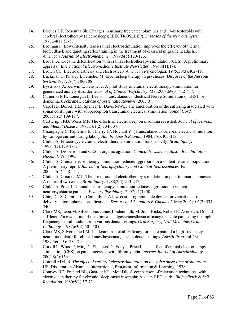- 24. Briones DF, Rosentha.Sh. Changes in urinary free catecholamines and 17-ketosteroids with cerebral electrotherapy (electrosleep)(ELECTROSLEEP). *Diseases of the Nervous System.*  1973;34(1):57-58.
- 25. Brotman P. Low-Intensity transcranial electrostimulation improves the efficacy of thermal biofeedback and quieting reflex training in the treatment of classical migraine headache. *American Journal of Electromedicine.* 1989;6(5):120-123.
- 26. Brovar A. Cocaine detoxification with cranial electrotherapy stimulation (CES): A preliminary appraisal. *International Electromedicine Institute Newsletter.* 1984;4(1):1-4.
- 27. Brown CC. Electroanesthesia and electrosleep. *American Psychologist.* 1975;30(3):402-410.
- 28. Buckman C, Pinsley I, Fenichel M. Electrosleep therapy in psychoses. *Diseases of the Nervous System.* 1957;18(7):106-108.
- 29. Bystritsky A, Kerwin L, Feusner J. A pilot study of cranial electrotherapy stimulation for generalized anxiety disorder. *Journal of Clinical Psychiatry.* Mar 2008;69(3):412-417.
- 30. Cameron MH, Lonergan E, Lee H. Transcutaneous Electrical Nerve Stimulation (TENS) for dementia. *Cochrane Database of Systematic Reviews.* 2003(3).
- 31. Capel ID, Dorrell HM, Spencer E, Davis MWL. The amelioration of the suffering associated with spinal cord injury with subperception transcranial electrical stimulation. *Spinal Cord.*  2003;41(2):109-117.
- 32. Cartwright RD, Weiss MF. The effects of electrosleep on insomnia revisited. *Journal of Nervous and Mental Disease.* 1975;161(2):134-137.
- 33. Champagne C, Papiernik E, Thierry JP, Noviant Y. [Transcutaneous cerebral electric stimulation by Limoge current during labor]. *Ann Fr Anesth Reanim.* 1984;3(6):405-413.
- 34. Childs A. Fifteen-cycle cranial electrotherapy stimulation for spasticity. *Brain Injury.*  1993;7(2):179-181.
- 35. Childs A. Droperidol and CES in organic agitation. *Clinical Newsletter, Austin Rehabilitation Hospital.* Vol 1995.
- 36. Childs A. Cranial electrotherapy stimulation reduces aggression in a violent retarded population: A preliminary report. *Journal of Neuropsychiatry and Clinical Neurosciences.* Fal 2005;17(4):548-551.
- 37. Childs A, Crismon ML. The use of cranial electrotherapy stimulation in post-traumatic amnesia: A report of two cases. *Brain Injury.* 1988;2(3):243-247.
- 38. Childs A, Price L. Cranial electrotherapy stimulation reduces aggression in violent neuropsychiatric patients. *Primary Psychiatry.* 2007;14(3):50.
- 39. Ching CTS, Camilleri I, Connolly P. A low-cost, programmable device for versatile current delivery in iontophoresis applications. *Sensors and Actuators B-Chemical.* May 2005;106(2):534- 540.
- 40. Clark MS, Leon M. Silverstone, James Lindenmuth, M. John Hicks, Robert E. Averbach, Donald J. Kleier. An evaluation of the clinical analgesia/anesthesia efficacy on acute pain using the high frequency neural modulator in various dental settings. *Oral Surgery, Oral Medicine, Oral Pathology.* 1987;63(4):501-505.
- 41. Clark MS, Silverstone LM, Lindenmuth J, et al. Efficacy for acute pain of a high-frequency neural modulator for clinical anesthesia/analgesia in dental settings. *Anesth Prog.* Jul-Oct 1989;36(4-5):178-179.
- 42. Cork RC, Wood P, Ming N, Shepherd C, Eddy J, Price L. The effect of cranial electrotherapy stimulation (CES) on pain associated with fibromyalgia. *Internet Journal of Anesthesiology.*  2004;8(2):15p.
- 43. Cottrell MM, B. *The effect of cerebral electrostimulation on the voice onset time of stutterers*. US: Dissertation Abstracts International, ProQuest Information & Learning; 1978.
- 44. Coursey RD, Frankel BL, Gaarder KR, Mott DE. A comparison of relaxation techniques with electrosleep therapy for chronic, sleep-onset insomnia: A sleep-EEG study. *Biofeedback & Self Regulation.* 1980;5(1):57-73.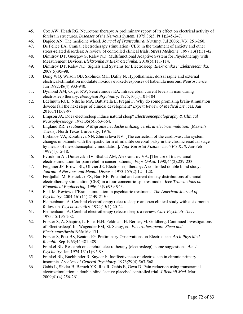- 45. Cox AW, Heath RG. Neurotone therapy: A preliminary report of its effect on electrical activity of forebrain structures. *Diseases of the Nervous System.* 1975;36(5, Pt 1):245-247.
- 46. Dapice AN. The medicine wheel. *Journal of Transcultural Nursing.* Jul 2006;17(3):251-260.
- 47. De Felice EA. Cranial electrotherapy stimulation (CES) in the treatment of anxiety and other stress-related disorders: A review of controlled clinical trials. *Stress Medicine.* 1997;13(1):31-42.
- 48. Dimitrov DT, Guergov S, Ralev ND. Multifunctional Adaptive System for Physiotherapy with Measurement Devices. *Elektronika Ir Elektrotechnika.* 2010(5):111-114.
- 49. Dimitrov DT, Ralev ND. Signals and Systems for Electrosleep. *Elektronika Ir Elektrotechnika.*  2009(5):95-98.
- 50. Dong WQ, Wilson OB, Skolnick MH, Dafny N. Hypothalmaic, dorsal raphe and external electrical-stimulation modulate noxious evoked-responses of habenula neurons. *Neuroscience.*  Jun 1992;48(4):933-940.
- 51. Dymond AM, Coger RW, Serafetinides EA. Intracerebral current levels in man during electrosleep therapy. *Biological Psychiatry.* 1975;10(1):101-104.
- 52. Edelmuth RCL, Nitsche MA, Battistella L, Fregni F. Why do some promising brain-stimulation devices fail the next steps of clinical development? *Expert Review of Medical Devices.* Jan 2010;7(1):67-97.
- 53. Empson JA. Does electrosleep induce natural sleep? *Electroencephalography & Clinical Neurophysiology.* 1973;35(6):663-664.
- 54. England RR. *Treatment of Migraine headache utilizing cerebral electrostimulation.* [Master's Thesis], North Texas University; 1976.
- 55. Epifanov VA, Korableva NN, Zhuravleva NV. [The correction of the cardiovascular system changes in patients with the spastic form of infantile cerebral palsy in the chronic residual stage by means of mesodiencephalic modulation]. *Vopr Kurortol Fizioter Lech Fiz Kult.* Jan-Feb 1999(1):15-18.
- 56. Evtiukhin AI, Dunaevskii IV, Shabut AM, Aleksandrov VA. [The use of transcranial electrostimulation for pain relief in cancer patients]. *Vopr Onkol.* 1998;44(2):229-233.
- 57. Feighner JP, Brown SL, Olivier JE. Electrosleep therapy: A controlled double blind study. *Journal of Nervous and Mental Disease.* 1973;157(2):121-128.
- 58. Ferdjallah M, Bostick Jr FX, Barr RE. Potential and current density distributions of cranial electrotherapy stimulation (CES) in a four-concentric-spheres model. *Ieee Transactions on Biomedical Engineering.* 1996;43(9):939-943.
- 59. Fink M. Review of 'Brain stimulation in psychiatric treatment'. *The American Journal of Psychiatry.* 2004;161(11):2149-2150.
- 60. Flemenbaum A. Cerebral electrotherapy (electrosleep): an open clinical study with a six month follow up. *Psychosomatics.* 1974;15(1):20-24.
- 61. Flemenbaum A. Cerebral electrotherapy (electrosleep): a review. *Curr Psychiatr Ther.*  1975;15:195-202.
- 62. Forster S, A. Shapiro, L. Fine, H.H. Feldman, H. Berner, M. Goldberg. Continued Investigations of 'Electrosleep'. In: Wagender FM, St. Schuy, ed. *Electrotherapeutic Sleep and Electroanesthesia*1966:169-171.
- 63. Forster S, Post BS, Benton JG. Preliminary Observations on Electrosleep. *Arch Phys Med Rehabil.* Sep 1963;44:481-489.
- 64. Frankel BL. Research on cerebral electrotherapy (electrosleep): some suggestions. *Am J Psychiatry.* Jan 1974;131(1):95-98.
- 65. Frankel BL, Buchbinder R, Snyder F. Ineffectiveness of electrosleep in chronic primary insomnia. *Archives of General Psychiatry.* 1973;29(4):563-568.
- 66. Gabis L, Shklar B, Baruch YK, Raz R, Gabis E, Geva D. Pain reduction using transcranial electrostimulation: a double blind "active placebo" controlled trial. *J Rehabil Med.* Mar 2009;41(4):256-261.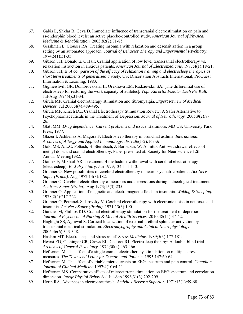- 67. Gabis L, Shklar B, Geva D. Immediate influence of transcranial electrostimulation on pain and ss-endorphin blood levels: an active placebo-controlled study. *American Journal of Physical Medicine & Rehabilitation.* 2003;82(2):81-85.
- 68. Gershman L, Clouser RA. Treating insomnia with relaxation and desensitization in a group setting by an automated approach. *Journal of Behavior Therapy and Experimental Psychiatry.*  1974;5(1):31-35.
- 69. Gibson TH, Donald E. O'Hair. Cranial application of low level transcranial electrotherapy vs. relaxation instruction in anxious patients. *American Journal of Electromedicine.* 1987;4(1):18-21.
- 70. Gibson TH, B. *A comparison of the efficacy of relaxation training and electrosleep therapies as short term treatments of generalized anxiety*. US: Dissertation Abstracts International, ProQuest Information & Learning; 1983.
- 71. Gigineishvili GR, Dombrovskaia, II, Orekhova EM, Radzievskii SA. [The differential use of electrosleep for restoring the work capacity of athletes]. *Vopr Kurortol Fizioter Lech Fiz Kult.*  Jul-Aug 1994(4):31-34.
- 72. Gilula MF. Cranial electrotherapy stimulation and fibromyalgia. *Expert Review of Medical Devices.* Jul 2007;4(4):489-495.
- 73. Gilula MF, Kirsch DL. Cranial Electrotherapy Stimulation Review: A Safer Alternative to Psychopharmaceuticals in the Treatment of Depression. *Journal of Neurotherapy.* 2005;9(2):7- 26.
- 74. Glatt MM. *Drug dependence: Current problems and issues*. Baltimore, MD US: University Park Press; 1977.
- 75. Glazer I, Ashkenaz.A, Magora F. Electrosleep therapy in bronchial asthma. *International Archives of Allergy and Applied Immunology.* 1969;36(1-2):163-&.
- 76. Gold MS, A.L.C. Pottash, H. Sternbach, J. Barbaban, W. Annitto. Anti-withdrawal effects of methyl dopa and cranial electrotherapy. Paper presented at: Society for Neuroscience 12th Annual Meeting1982.
- 77. Gomez E, Mikhail AR. Treatment of methadone withdrawal with cerebral electrotherapy (electrosleep). *Br J Psychiatry.* Jan 1979;134:111-113.
- 78. Grunner O. New possibilities of cerebral electrotherapy in neuropsychiatric patients. *Act Nerv Super (Praha).* Aug 1972;14(3):182.
- 79. Grunner O. Cerebral electrotherapy of neuroses and depressions during balneological treatment. *Act Nerv Super (Praha).* Aug 1973;15(3):235.
- 80. Grunner O. Application of magnetic and electromagnetic fields in insomnia. *Waking & Sleeping.*  1978;2(4):217-222.
- 81. Grunner O, Petranek S, Jirovsky V. Cerebral electrotherapy with electronic noise in neuroses and insomnia. *Act Nerv Super (Praha).* 1971;13(3):190.
- 82. Gunther M, Phillips KD. Cranial electrotherapy stimulation for the treatment of depression. *Journal of Psychosocial Nursing & Mental Health Services.* 2010;48(11):37-42.
- 83. Haghighi SS, Agrawal S. Cortical localization of external urethral sphincter activation by transcranial electrical stimulation. *Electromyography and Clinical Neurophysiology.*  2006;46(6):343-348.
- 84. Haslam MT. Electrosleep and stress relief. *Stress Medicine.* 1989;5(3):177-181.
- 85. Hearst ED, Cloninger CR, Crews EL, Cadoret RJ. Electrosleep therapy: A double-blind trial. *Archives of General Psychiatry.* 1974;30(4):463-466.
- 86. Heffernan M. The effect of a single cranial electrotherapy stimulation on multiple stress measures. *The Townsend Letter for Doctors and Patients.* 1995;147:60-64.
- 87. Heffernan M. The effect of variable microcurrents on EEG spectrum and pain control. *Canadian Journal of Clinical Medicine* 1997;4(10):4-11.
- 88. Heffernan MS. Comparative effects of microcurrent stimulation on EEG spectrum and correlation dimension. *Integr Physiol Behav Sci*. Jul-Sep 1996;31(3):202-209.
- 89. Herin RA. Advances in electroanesthesia. *Activitas Nervosa Superior.* 1971;13(1):59-68.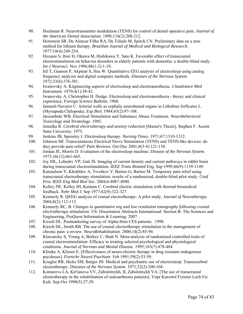- 90. Hochman R. Neurotransmitter modulation (TENS) for control of dental operative pain. *Journal of the American Dental Association.* 1998;116(2):208-212.
- 91. Hornstein SR, De Alencar Filho RA, De Toledo M, Spirck CN. Preliminary data on a new method for lithium therapy. *Brazilian Journal of Medical and Biological Research.*  1977;10(4):249-254.
- 92. Hozumi S, Hori H, Okawa M, Hishikawa Y, Sato K. Favorable effect of transcranial electrostimulation on behavior disorders in elderly patients with dementia: a double-blind study. *Int J Neurosci.* Nov 1996;88(1-2):1-10.
- 93. Itil T, Gannon P, Akpinar S, Hsu W. Quantitative EEG analysis of electrosleep using analog frequency analyzer and digital computer methods. *Diseases of the Nervous System.*  1972;33(6):376-381.
- 94. Iwaiiovsky A. Kiiginecring aspects of electrosleep and electroanesthesia. *J.Ssadvance Med Instrument.* 1970;4(1):38-42.
- 95. Iwanovsky A, Christopher H. Dodge. Electrosleep and electroanesthesia theory and clinical experience. *Foreign Science Bulletin.* 1968.
- 96. Jamault-Navarro C. Arterial walls as cephalic neurohemal organs in Lithobius forficatus L. (Myriapoda Chilopoda). *Exp Biol.* 1984;43(2):97-108.
- 97. Jarzembski WB. Electrical Stimulation and Substance Abuse Treatment. *Neurobehavioral Toxicology and Teratology.* 1985.
- 98. Jemelka R. *Cerebral electrotherapy and anxiety reduction* [Master's Thesis], Stephen F. Austin State University; 1975.
- 99. Jenkins JB, Spensley J. Electrosleep therapy. *Nursing Times.* 1971;67:1310-1312.
- 100. Johnson MI. Transcutaneous Electrical Nerve Stimulation (TENS) and TENS-like devices: do they provide pain relief? *Pain Reviews.* Oct-Dec 2001;8(3-4):121-158.
- 101. Jordan JE, Morris D. Evaluation of the electrosleep machine. *Disease of the Nervous System.*  1975;36(12):661-665.
- 102. Joy ML, Lebedev VP, Gati JS. Imaging of current density and current pathways in rabbit brain during transcranial electrostimulation. *IEEE Trans Biomed Eng.* Sep 1999;46(9):1139-1149.
- 103. Katsnelson Y, Khokhlov A, Tsvetkov V, Bartoo G, Bartoo M. Temporary pain relief using transcranial electrotherapy stimulation: results of a randomized, double-blind pilot study. *Conf Proc IEEE Eng Med Biol Soc.* 2004;6:4087-4090.
- 104. Kelley JW, Kelley IH, Kaiman C. Cerebral electric stimulation with thermal biomedical feedback. *Nebr Med J.* Sep 1977;62(9):322-327.
- 105. Kennerly R. QEEG analysis of cranial electrotherapy: A pilot study. *Journal of Neurotherapy.*  2004;8(2):112-113.
- 106. Kennerly RC, B. *Changes in quantitative eeg and low resolution tomography following cranial electrotherapy stimulation*. US: Dissertation Abstracts International: Section B: The Sciences and Engineering, ProQuest Information & Learning; 2007.
- 107. Kirsch DL. Postmarketing survey of Alpha-Stim CES patients. 1998.
- 108. Kirsch DL, Smith RB. The use of cranial electrotherapy stimulation in the management of chronic pain: a review. *NeuroRehabilitation.* 2000;14(2):85-94.
- 109. Klawansky S, Yeung A, Berkey C, Shah N. Meta-analysis of randomized controlled trials of cranial electrostimulation: Efficacy in treating selected psychological and physiological conditions. *Journal of Nervous and Mental Disease.* 1995;183(7):478-484.
- 110. Klimke A, Klieser E. [Effectiveness of neuro-electric therapy in drug resistant endogenous psychoses]. *Fortschr Neurol Psychiatr.* Feb 1991;59(2):53-59.
- 111. Koegler RR, Hicks SM, Barger JH. Medical and psychiatric use of electrosleep: Transcerebral electrotherapy. *Diseases of the Nervous System.* 1971;32(2):100-104.
- 112. Komarova LA, Kir'ianova VV, Zabolotnykh, II, Zabolotnykh VA. [The use of transcranial electrotherapy in the rehabilitation of osteoarthrosis patients]. Vopr Kurortol Fizioter Lech Fiz Kult. Sep-Oct 1998(5):27-29.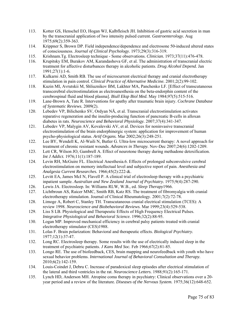- 113. Kotter GS, Henschel EO, Hogan WJ, Kalbfleisch JH. Inhibition of gastric acid secretion in man by the transcranial application of lwo intensity pulsed current. *Gastroenterology.* Aug 1975;69(2):359-363.
- 114. Krippner S, Brown DP. Field independence/dependence and electrosone 50-induced altered states of consciousness. *Journal of Clinical Psychology.* 1973;29(3):316-319.
- 115. Krishnam.Tg. Electrosleep technique Some observations. *Clinician.* 1973;37(11):476-478.
- 116. Krupitsky EM, Burakov AM, Karandashova GF, et al. The administration of transcranial electric treatment for affective disturbances therapy in alcoholic patients. *Drug Alcohol Depend.* Jan 1991;27(1):1-6.
- 117. Kulkarni AD, Smith RB. The use of microcurrent electrical therapy and cranial electrotherapy stimulation in pain control. *Clinical Practice of Alternative Medicine.* 2001;2(2):99-102.
- 118. Kuzin MI, Avrutskii M, Shliuznikov BM, Lakhter MA, Panchenko LF. [Effect of transcutaneous transcerebral electrostimulation as electroanesthesia on the beta-endorphin content of the cerebrospinal fluid and blood plasma]. *Biull Eksp Biol Med.* May 1984;97(5):515-516.
- 119. Lane-Brown A, Tate R. Interventions for apathy after traumatic brain injury. *Cochrane Database of Systematic Reviews.* 2009(2).
- 120. Lebedev VP, Bilichenko SV, Ordyan NÃ, et al. Transcranial electrostimulation activates reparative regeneration and the insulin-producing function of pancreatic B-cells in alloxan diabetes in rats. *Neuroscience and Behavioral Physiology.* 2007;37(4):341-347.
- 121. Lebedev VP, Malygin AV, Kovalevski AV, et al. Devices for noninvasive transcranial electrostimulation of the brain endorphinergic system: application for improvement of human psycho-physiological status. *Artif Organs.* Mar 2002;26(3):248-251.
- 122. Lee BY, Wendell K, Al-Waili N, Butler G. Ultra-low microcurrent therapy: A novel approach for treatment of chronic resistant wounds. *Advances in Therapy.* Nov-Dec 2007;24(6):1202-1209.
- 123. Lett CR, Wilson JO, Gambrell A. Effect of neurotone therapy during methadone detoxification. *Int J Addict.* 1976;11(1):187-189.
- 124. Levin RH, McGuire FL. Electrical Anesthesia.6. Effects of prolonged subconvulsive cerebral electrostimulation on memory intellectual level and subjective report of pain. *Anesthesia and Analgesia Current Researches.* 1966;45(2):222-&.
- 125. Levitt EA, James McI N, Flavell P. A clinical trial of electrosleep therapy with a psychiatric inpatient sample. *Australian and New Zealand Journal of Psychiatry.* 1975;9(4):287-290.
- 126. Lewis JA. Electrosleep. In: Williams RLW, W.B., ed. *Sleep Therapy*1966.
- 127. Lichtbroun AS, Raicer MMC, Smith RB, Katz RS. The treatment of fibromyalgia with cranial electrotherapy stimulation. Journal of Clinical Rheumatology. 2001;7(2):72-78.
- 128. Limoge A, Robert C, Stanley TH. Transcutaneous cranial electrical stimulation (TCES): A review 1998. *Neuroscience and Biobehavioral Reviews.* Mar 1999;23(4):529-538.
- 129. Liss S LB. Physiological and Therapeutic Effects of High Frequency Electrical Pulses. *Integrative Physiological and Behavioral Science.* 1996;32(2):88-95.
- 130. Logan MP. Improved mechanical efficiency in cerebral palsy patients treated with cranial electrotherapy stimulator (CES)1988.
- 131. Lolas F. Brain polarization: Behavioral and therapeutic effects. *Biological Psychiatry.*  1977;12(1):37-47.
- 132. Long RC. Electrosleep therapy. Some results with the use of electrically induced sleep in the treatment of psychiatric patients. *J Kans Med Soc.* Feb 1966;67(2):81-85.
- 133. Longo RE. The use of biofeedback, CES, brain mapping and neurofeedback with youth who have sexual behavior problems. *International Journal of Behavioral Consultation and Therapy.*  2010;6(2):142-159.
- 134. Louis-Coindet J, Debru C. Increase of paradoxical sleep episodes after electrical stimulation of the lateral and third ventricles in the rat. *Neuroscience Letters.* 1988;91(2):165-171.
- 135. Lynch HD, Anderson MH. Atropine coma therapy in psychiatry: Clinical observations over a 20 year period and a review of the literature. *Diseases of the Nervous System.* 1975;36(12):648-652.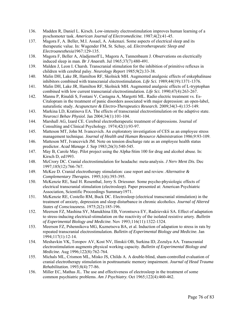- 136. Madden R, Daniel L. Kirsch. Low-intensity electrostimulation improves human learning of a pyschomoter task. *American Journal of Electromedicine.* 1987;4(2):41-45.
- 137. Magora F, A. Beller, M.I. Assael, A. Askenazi. Some aspects of electrical sleep and its therapeutic value. In: Wagender FM, St. Schuy, ed. *Electrotherapeutic Sleep and Electroanesthesia*1967:129-135.
- 138. Magora F, Beller A, Aladjemoff L, Magora A, Tannenbaum J. Observations on electrically induced sleep in man. *Br J Anaesth.* Jul 1965;37(7):480-491.
- 139. Malden J, Leon I. Charsh. Transcranial stimulation for the inhibition of primitive reflexes in children with cerebral palsy. *Neurology Report* 1985;9(2):33-38.
- 140. Malin DH, Lake JR, Hamilton RF, Skolnick MH. Augmented analgesic effects of enkephalinase inhibitors combined with transcranial electrostimulation. *Life Sci.* 1989;44(19):1371-1376.
- 141. Malin DH, Lake JR, Hamilton RF, Skolnick MH. Augmented analgesic effects of L-tryptophan combined with low current transcranial electrostimulation. *Life Sci.* 1990;47(4):263-267.
- 142. Mannu P, Rinaldi S, Fontani V, Castagna A, Margotti ML. Radio electric treatment vs. Es-Citalopram in the treatment of panic disorders associated with major depression: an open-label, naturalistic study. *Acupuncture & Electro-Therapeutics Research.* 2009;34(3-4):135-149.
- 143. Markina LD, Kratinova EA. The effects of transcranial electrostimulation on the adaptive state. *Neurosci Behav Physiol.* Jan 2004;34(1):101-104.
- 144. Marshall AG, Izard CE. Cerebral electrotherapeutic treatment of depressions. Journal of Consulting and Clinical Psychology. 1974;42(1):93-97.
- 145. Matteson MT, John M. Ivancevich. An exploratory investigation of CES as an employee stress management technique. *Journal of Health and Human Resource Administration* 1986;9:93-109.
- 146. Matteson MT, Ivancevich JM. Note on tension discharge rate as an employee health status predictor. *Acad Manage J.* Sep 1983;26(3):540-545.
- 147. May B, Carole May. Pilot project using the Alpha-Stim 100 for drug and alcohol abuse. In: Kirsch D, ed1993.
- 148. McCrory DC. Cranial electrostimulation for headache: meta-analysis. *J Nerv Ment Dis.* Dec 1997;185(12):766-767.
- 149. McKee D. Cranial electrotherapy stimulation: case report and review. *Alternative & Complementary Therapies.* 1995;1(6):393-395.
- 150. McKenzie RE, Saul H. Rosenthal, Jerry S. Driessner. Some psycho-physiologic effects of electrical transcranial stimulation (electrosleep). Paper presented at: American Psychiatric Association, Scientific Proceedings Summary1971.
- 151. McKenzie RE, Costello RM, Buck DC. Electrosleep (electrical transcranial stimulation) in the treatment of anxiety, depression and sleep disturbance in chronic alcoholics. *Journal of Altered States of Consciousness.* 1975;2(2):185-196.
- 152. Meerson FZ, Mashina SY, Manukhina EB, Vorontsova EY, Radzievskii SA. Effect of adaptation to stress-inducing electrical-stimulation on the reactivity of the isolated resistive artery. *Bulletin of Experimental Biology and Medicine.* Nov 1993;116(11):1322-1324.
- 153. Meerson FZ, Pshennikova MG, Kuznetsova BA, et al. Induction of adapation to stress in rats by repeated transcranial electrostimulation. *Bulletin of Experimental Biology and Medicine.* Jan 1994;117(1):12-14.
- 154. Meshavkin VK, Toropov AV, Kost NV, Ilinskii OB, Surkina ID, Zozulya AA. Transcranial electrostimulation augments physical working capacity. *Bulletin of Experimental Biology and Medicine.* Aug 1996;122(8):762-764.
- 155. Michals ML, Crismon ML, Misko JS, Childs A. A double-blind, sham-controlled evaluation of cranial electrotherapy stimulation in posttraumatic memory impairment. *Journal of Head Trauma Rehabilitation.* 1993;8(4):77-86.
- 156. Miller EC, Mathas JL. The use and effectiveness of electrosleep in the treatment of some common psychiatric problems. *Am J Psychiatry.* Oct 1965;122(4):460-462.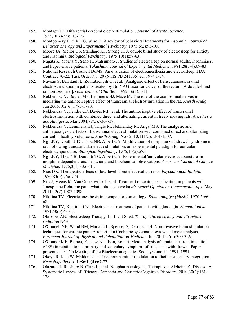- 157. Montagu JD. Differential cerebral electrostimulation. *Journal of Mental Science.*  1955;101(422):110-122.
- 158. Montgomery I, Perkin G, Wise D. A review of behavioral treatments for insomnia. *Journal of Behavior Therapy and Experimental Psychiatry.* 1975;6(2):93-100.
- 159. Moore JA, Mellor CS, Standage KF, Strong H. A double blind study of electrosleep for anxiety and insomnia. *Biological Psychiatry.* 1975;10(1):59-63.
- 160. Nagata K, Morita Y, Seno H, Matsumoto J. Studies of electrosleep on normal adults, insomniacs, and hypertensive patients. *Tokushima Journal of Experimental Medicine.* 1981;28(3-4):69-83.
- 161. National Research Council DoMS. An evaluation of electroanesthesia and electrosleep. FDA Contract 70-22, Task Order No. 20 (NTIS PB 241305) ed. 1974:1-54.
- 162. Naveau S, Barritault L, Zourabichvili O, et al. [Analgesic effect of transcutaneous cranial electrostimulation in patients treated by Nd:YAG laser for cancer of the rectum. A double-blind randomized trial]. *Gastroenterol Clin Biol.* 1992;16(1):8-11.
- 163. Nekhendzy V, Davies MF, Lemmens HJ, Maze M. The role of the craniospinal nerves in mediating the antinociceptive effect of transcranial electrostimulation in the rat. *Anesth Analg.*  Jun 2006;102(6):1775-1780.
- 164. Nekhendzy V, Fender CP, Davies MF, et al. The antinociceptive effect of transcranial electrostimulation with combined direct and alternating current in freely moving rats. *Anesthesia and Analgesia.* Mar 2004;98(3):730-737.
- 165. Nekhendzy V, Lemmens HJ, Tingle M, Nekhendzy M, Angst MS. The analgesic and antihyperalgesic effects of transcranial electrostimulation with combined direct and alternating current in healthy volunteers. *Anesth Analg.* Nov 2010;111(5):1301-1307.
- 166. Ng LKY, Douthitt TC, Thoa NB, Albert CA. Modification of morphine withdrawal syndrome in rats following transauricular electrostimulation: an experimental paradigm for auricular electroacupuncture. *Biological Psychiatry.* 1975;10(5):575.
- 167. Ng LKY, Thoa NB, Douthitt TC, Albert CA. Experimental 'auricular electroacupuncture' in morphine dependent rats: behavioral and biochemical observations. *American Journal of Chinese Medicine.* 1975;3(4):335-341.
- 168. Nias DK. Therapeutic effects of low-level direct electrical currents. *Psychological Bulletin.*  1976;83(5):766-773.
- 169. Nijs J, Meeus M, Van Oosterwijck J, et al. Treatment of central sensitization in patients with 'unexplained' chronic pain: what options do we have? *Expert Opinion on Pharmacotherapy.* May 2011;12(7):1087-1098.
- 170. Nikitina TV. Electric anesthesia in therapeutic stomatology. *Stomatologiya (Mosk.).* 1970;5:66- 68.
- 171. Nikitina TV, Khartulari NI. Electrosleep treatment of patients with glossalgia. *Stomatologiya.*  1971;50(5):63-65.
- 172. Obrosow AN. Electrosleep Therapy. In: Licht S, ed. *Therapeutic electricity and ultraviolet radiation*1969.
- 173. O'Connell NE, Wand BM, Marston L, Spencer S, Desouza LH. Non-invasive brain stimulation techniques for chronic pain. A report of a Cochrane systematic review and meta-analysis. *European Journal of Physical and Rehabilitation Medicine.* Jun 2011;47(2):309-326.
- 174. O'Connor ME, Bianco, Faust & Nicolson, Robert. Meta-analysis of cranial electro-stimulation (CES) in relation to the primary and secondary symptoms of substance with-drawal. Paper presented at: 12th Meeting of the Bioelectromegnetics Society; June 14, 1991, 1991.
- 175. Okoye R, Joan W. Malden. Use of neurotransmitter modulation to facilitate sensory integration. *Neurology Report.* 1986;10(4):67-72.
- 176. Olazaran J, Reisberg B, Clare L, et al. Nonpharmacological Therapies in Alzheimer's Disease: A Systematic Review of Efficacy. Dementia and Geriatric Cognitive Disorders. 2010;30(2):161- 178.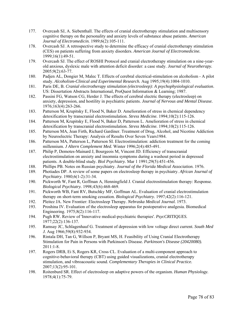- 177. Overcash SJ, A. Siebenthall. The effects of cranial electrotherapy stimulation and multisensory cognitive therapy on the personality and anxiety levels of substance abuse patients. *American Journal of Electromedicin.* 1989;6(2):105-111.
- 178. Overcash SJ. A retrospective study to determine the efficacy of cranial electrotherapy stimulation (CES) on patients suffering from anxiety disorders. *American Journal of Electromedicine.* 1999;16(1):49-51.
- 179. Overcash SJ. The effect of ROSHI Protocol and cranial electrotherapy stimulation on a nine-yearold anxious, dyslexic male with attention deficit disorder: a case study. *Journal of Neurotherapy.*  2005;9(2):63-77.
- 180. Padjen AL, Dongier M, Malec T. Effects of cerebral electrical-stimulation on alcoholism A pilot study. *Alcoholism-Clinical and Experimental Research.* Aug 1995;19(4):1004-1010.
- 181. Paris DE, B. *Cranial electrotherapy stimulation (electrosleep): A psychophysiological evaluation*. US: Dissertation Abstracts International, ProQuest Information & Learning; 1987.
- 182. Passini FG, Watson CG, Herder J. The effects of cerebral electric therapy (electrosleep) on anxiety, depression, and hostility in psychiatric patients. *Journal of Nervous and Mental Disease.*  1976;163(4):263-266.
- 183. Patterson M, Krupitsky E, Flood N, Baker D. Amelioration of stress in chemical dependency detoxification by transcranial electrostimulation. *Stress Medicine.* 1994;10(2):115-126.
- 184. Patterson M, Krupitsky E, Flood N, Baker D, Patterson L. Amelioration of stress in chemical detoxification by transcranial electrostimulation. *Stress Medicine.* 1994;10(2):115-126.
- 185. Patterson MA, Jean Firth, Richard Gardiner. Treatment of Drug, Alcohol, and Nicotine Addiction by Neuroelectric Therapy: Analysis of Results Over Seven Years1984.
- 186. Patterson MA, Patterson L, Patterson SI. Electrostimulation: addiction treatment for the coming millennium. *J Altern Complement Med.* Winter 1996;2(4):485-491.
- 187. Philip P, Demotes-Mainard J, Bourgeois M, Vincent JD. Efficiency of transcranial electrostimulation on anxiety and insomnia symptoms during a washout period in depressed patients. A double-blind study. *Biol Psychiatry.* Mar 1 1991;29(5):451-456.
- 188. Phillips PB. Notes on Russian psychiatry. *Journal of the Florida Medical Association.* 1976.
- 189. Photiades DP. A review of some papers on electrosleep therapy in psychiatry. *African Journal of Psychiatry.* 1980;6(1-2):31-34.
- 190. Pickworth W, Fant R, Goffman A, Henningfield J. Cranial electrostimulation therapy: Response. *Biological Psychiatry.* 1998;43(6):468-469.
- 191. Pickworth WB, Fant RV, Butschky MF, Goffman AL. Evaluation of cranial electrostimulation therapy on short-term smoking cessation. *Biological Psychiatry.* 1997;42(2):116-121.
- 192. Pleitez JA. New Frontier: Electrosleep Therapy. *Nebraska Medical Journal.* 1973.
- 193. Proshina IV. Evaluation of the electrosleep apparatus for postoperative analgesia. Biomedical Engineering. 1975;8(2):116-117.
- 194. Pugh RW. Review of 'Innovative medical-psychiatric therapies'. *PsycCRITIQUES.*  1977;22(2):136-137.
- 195. Ramsay JC, Schlagenhauf G. Treatment of depression with low voltage direct current. *South Med J.* Aug 1966;59(8):932-934.
- 196. Rintala DH, Tan G, Willson P, Bryant MS, H. Feasibility of Using Cranial Electrotherapy Stimulation for Pain in Persons with Parkinson's Disease. *Parkinson's Disease (20420080).*  2011:1-8.
- 197. Rogers DRB, Ei S, Rogers KR, Cross CL. Evaluation of a multi-component approach to cognitive-behavioral therapy (CBT) using guided visualizations, cranial electrotherapy stimulation, and vibroacoustic sound. *Complementary Therapies in Clinical Practice.*  2007;13(2):95-101.
- 198. Roitenburd SR. Effect of electrosleep on adaptive powers of the organism. *Human Physiology.*  1978;4(1):75-79.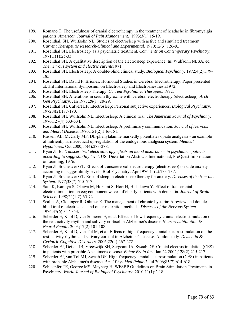- 199. Romano T. The usefulness of cranial electrotherapy in the treatment of headache in fibromyalgia patients. *American Journal of Pain Management*. 1993;3(1):15-19.
- 200. Rosenthal, SH, Wulfsohn NL. Studies of electrosleep with active and simulated treatment. *Current Therapeutic Research-Clinical and Experimental.* 1970;12(3):126-&.
- 201. Rosenthal SH. Electrosleep' as a psychiatric treatment. *Comments on Contemporary Psychiatry.*  1971;1(1):25-33.
- 202. Rosenthal SH. A qualitative description of the electrosleep experience. In: Wulfsohn NLSA, ed. *The nervous system and electric curents*1971.
- 203. Rosenthal SH. Electrosleep: A double-blind clinical study. *Biological Psychiatry.* 1972;4(2):179- 185.
- 204. Rosenthal SH, David F. Briones. Hormonal Studies in Cerebral Electrotherapy. Paper presented at: 3rd International Symposium on Electrosleep and Electroanesthesia1972.
- 205. Rosenthal SH. Electrosleep Therapy. *Current Psychiatric Therapies.* 1972.
- 206. Rosenthal SH. Alterations in serum thyroxine with cerebral electrotherapy (electrosleep). *Arch Gen Psychiatry.* Jan 1973;28(1):28-29.
- 207. Rosenthal SH, Calvert LF. Electrosleep: Personal subjective experiences. *Biological Psychiatry.*  1972;4(2):187-190.
- 208. Rosenthal SH, Wulfsohn NL. Electrosleep: A clinical trial. *The American Journal of Psychiatry.*  1970;127(4):533-534.
- 209. Rosenthal SH, Wulfsohn NL. Electrosleep: A preliminary communication. *Journal of Nervous and Mental Disease.* 1970;151(2):146-151.
- 210. Russell AL, McCarty MF. DL-phenylalanine markedly potentiates opiate analgesia an example of nutrient/pharmaceutical up-regulation of the endogenous analgesia system. *Medical Hypotheses.* Oct 2000;55(4):283-288.
- 211. Ryan JJ, B. *Transcerebral electrotherapy effects on mood disturbance in psychiatric patients according to suggestibility level*. US: Dissertation Abstracts International, ProQuest Information & Learning; 1976.
- 212. Ryan JJ, Souheaver GT. Effects of transcrerebral electrotherapy (electrosleep) on state anxiety according to suggestibility levels. Biol Psychiatry. Apr 1976;11(2):233-237.
- 213. Ryan JJ, Souheaver GT. Role of sleep in electrosleep therapy for anxiety. *Diseases of the Nervous System.* 1977;38(7):515-517.
- 214. Sato K, Kamiya S, Okawa M, Hozumi S, Hori H, Hishikawa Y. Effect of transcranial electrostimulation on eeg component waves of elderly patients with dementia. *Journal of Brain Science.* 1998;24(1-2):65-72.
- 215. Scallet A, Cloninger R, Othmer E. The management of chronic hysteria: A review and doubleblind trial of electrosleep and other relaxation methods. *Diseases of the Nervous System.*  1976;37(6):347-353.
- 216. Scherder E, Knol D, van Someren E, et al. Effects of low-frequency cranial electrostimulation on the rest-activity rhythm and salivary cortisol in Alzheimer's disease. *Neurorehabilitation & Neural Repair.* 2003;17(2):101-108.
- 217. Scherder E, Knol D, van Tol M, et al. Effects of high-frequency cranial electrostimulation on the rest-activity rhythm and salivary cortisol in Alzheimer's disease. A pilot study. *Dementia & Geriatric Cognitive Disorders.* 2006;22(4):267-272.
- 218. Scherder EJ, Deijen JB, Vreeswijk SH, Sergeant JA, Swaab DF. Cranial electrostimulation (CES) in patients with probable Alzheimer's disease. *Behav Brain Res.* Jan 22 2002;128(2):215-217.
- 219. Scherder EJ, van Tol MJ, Swaab DF. High-frequency cranial electrostimulation (CES) in patients with probable Alzheimer's disease. *Am J Phys Med Rehabil.* Jul 2006;85(7):614-618.
- 220. Schlaepfer TE, George MS, Mayberg H. WFSBP Guidelines on Brain Stimulation Treatments in Psychiatry. *World Journal of Biological Psychiatry.* 2010;11(1):2-18.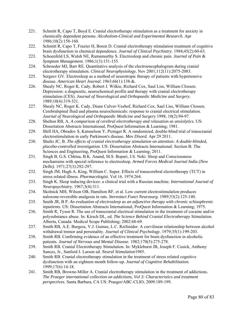- 221. Schmitt R, Capo T, Boyd E. Cranial electrotherapy stimulation as a treatment for anxiety in chemically dependent persons. *Alcoholism-Clinical and Experimental Research.* Apr 1986;10(2):158-160.
- 222. Schmitt R, Capo T, Frazier H, Boren D. Cranial electrotherapy stimulation treatment of cognitive brain dysfunction in chemical dependence. *Journal of Clinical Psychiatry.* 1984;45(2):60-63.
- 223. Schoenfeld LS, Walsh NE, Ramamurthy S. Electrosleep and chronic pain. *Journal of Pain & Symptom Management.* 1986;1(3):151-155.
- 224. Schroeder MJ, Barr RE. Quantitative analysis of the electroencephalogram during cranial electrotherapy stimulation. *Clinical Neurophysiology.* Nov 2001;112(11):2075-2083.
- 225. Sergeev GV. Electrosleep as a method of neurotropic therapy of patients with hypertensive disease. *American Heart Journal.* 1963;66(1):138-&.
- 226. Shealy NC, Roger K. Cady, Robert J. Wilkie, Richard Cox, Saul Liss, William Clossen. Depression: a diagnostic, neurochemical profile and therapy with cranial electrotherapy stimulation (CES). *Journal of Neurological and Orthopaedic Medicine and Surgery.*  1989;10(4):319-321.
- 227. Shealy NC, Roger K. Cady, Diane Culver-Veehof, Richard Cox, Saul Liss, William Clossen. Cerebralspinal fluid and plasma neurochemicals: response to cranial electrical stimulation. *Journal of Neurological and Orthopaedic Medicine and Surgery* 1998; 10(2):94-97.
- 228. Shelton RB, A. *A comparison of cerebral electrotherapy and relaxation as anxiolytics*. US: Dissertation Abstracts International, ProQuest Information & Learning; 1981.
- 229. Shill HA, Obradov S, Katsnelson Y, Pizinger R. A randomized, double-blind trial of transcranial electrostimulation in early Parkinson's disease. *Mov Disord.* Apr 29 2011.
- 230. Shultz JC, B. *The effects of cranial electrotherapy stimulation on attention: A double-blinded, placebo-controlled investigation*. US: Dissertation Abstracts International: Section B: The Sciences and Engineering, ProQuest Information & Learning; 2011.
- 231. Singh B, G.S. Chhina, B.K. Anand, M.S. Bopari, J.S. Neki. Sleep and Consciousness mechanisms with special reference to electrosleep. *Armed Forces Medical Journal India (New Delhi).* 1971;27(3):292-297.
- 232. Singh JM, Hugh A. King, William C. Super. Effects of transcerebral electrotherapy (TCT) in stress related illness. *Pharmacologist.* Vol 16. 1974:264.
- 233. Singh K. Sleep inducing devices: a clinical trial with a Russian machine. *International Journal of Neuropsychiatry.* 1967;3(4):311.
- 234. Skolnick MH, Wilson OB, Hamilton RF, et al. Low current electrostimulation produces naloxone-reversible analgesia in rats. *Stereotact Funct Neurosurg.* 1989;53(2):125-140.
- 235. Smith JR, B P. *An evaluation of electrosleep as an adjunctive therapy with chronic schizophrenic inpatients*. US: Dissertation Abstracts International, ProQuest Information & Learning; 1975.
- 236. Smith R, Tyson R. The use of transcranial electrical stimulation in the treatment of cocaine and/or polysubstance abuse. In: Kirsch DL, ed. *The Science Behind Cranial Electrotherapy Stimulation*. Alberta, Canada: Medical Scope Publishing; 2002:68-69.
- 237. Smith RB, A.E. Burgess, V.J. Guinee, L.C. Reifsnider. A curvilinear relationship between alcohol withdrawal tremor and personality. *Journal of Clinical Psychology.* 1979;35(1):199-203.
- 238. Smith RB. Confirming evidence of an effective treatment for brain dysfunction in alcoholic patients. *Journal of Nervous and Mental Disease.* 1982;170(5):275-278.
- 239. Smith RB. Cranial Electrotherapy Stimulation. In: Mykleburst JB, Joseph F. Cusick, Anthony Sances, Jr., Sanford J. Larson ed. *Neural Stimulation*1985.
- 240. Smith RB. Cranial electrotherapy stimulation in the treatment of stress related cognitive dysfunction with an eighteen month follow-up. *Journal of Cognitive Rehabilitation.*  1999;17(6):14-18.
- 241. Smith RB, Browne-Miller A. Cranial electrotherapy stimulation in the treatment of addictions. *The Praeger international collection on addictions, Vol 3: Characteristics and treatment perspectives.* Santa Barbara, CA US: Praeger/ABC-CLIO; 2009:189-199.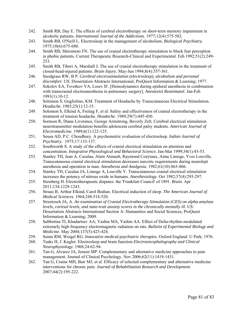- 242. Smith RB, Day E. The effects of cerebral electrotherapy on short-term memory impairment in alcoholic patients. *International Journal of the Addictions.* 1977;12(4):575-582.
- 243. Smith RB, O'Neill L. Electrosleep in the management of alcoholism. *Biological Psychiatry.*  1975;10(6):675-680.
- 244. Smith RB, Shiromoto FN. The use of cranial electrotherapy stimulation to block fear perception in phobic patients. Current Therapeutic Research-Clinical and Experimental. Feb 1992;51(2):249- 253.
- 245. Smith RB, Tiberi A, Marshall J. The use of cranial electrotherapy stimulation in the treatment of closed-head-injured patients. *Brain Injury.* May-Jun 1994;8(4):357-361.
- 246. Snodgrass RW, B P. *Cerebral electrostimulation (electrosleep), alcoholism and personal discomfort*. US: Dissertation Abstracts International, ProQuest Information & Learning; 1977.
- 247. Sokolov EA, Tsvetkov VA, Losev IF. [Hemodynamics during epidural anesthesia in combination with transcranial electroanesthesia in pulmonary surgery]. *Anesteziol Reanimatol.* Jan-Feb 1991(1):10-12.
- 248. Solomon S, Guglielmo, KM. Treatment of Headache by Transcutaneous Electrical Stimulation. *Headache.* 1985;25(1):12-15.
- 249. Solomon S, Elkind A, Freitag F, et al. Safety and effectiveness of cranial electrotherapy in the treatment of tension headache. *Headache.* 1989;29(7):445-450.
- 250. Sornson R, Diane Liverance, George Armstrong, Beverly Zelt. Cerebral electrical stimulation neurotransmitter modulation benefits adolescent cerebral palsy students. *American Journal of Electromedicine.* 1989;6(1):122-125.
- 251. Sousa AD, P.C. Choudhury. A psychometric evaluation of electrosleep. *Indian Journal of Psychiatry.* 1975;17:133-137.
- 252. Southworth S. A study of the effects of cranial electrical stimulation on attention and concentration. *Integrative Physiological and Behavioral Science.* Jan-Mar 1999;34(1):43-53.
- 253. Stanley TH, Jean A. Cazalaa, Alain Atinault, Raymond Coeytaux, Aime Limoge, Yves Louville. Transcutaneous cranial electrical stimulation decreases narcotic requirements during neurolept anesthesia and operation in man. *Anesthesia and Analgesia.* 1982;61(10):863-866.
- 254. Stanley TH, Cazalaa JA, Limoge A, Louville Y. Transcutaneous cranial electrical stimulation increases the potency of nitrous oxide in humans. *Anesthesiology.* Oct 1982;57(4):293-297.
- 255. Steinberg H. Electrotherapeutic disputes: the 'Frankfurt Council' of 1891. *Brain.* Apr 2011;134:1229-1243.
- 256. Straus B, Arthur Elkind, Carol Bodian. Electrical induction of sleep. *The American Journal of Medical Sciences.* 1964;248:514-520.
- 257. Strentzsch JA, A. *An examination of Cranial Electrotherapy Stimulation (CES) on alpha-amylase levels, cortisol levels, and state-trait anxiety scores in the chronically mentally ill*. US: Dissertation Abstracts International Section A: Humanities and Social Sciences, ProQuest Information & Learning; 2009.
- 258. Subbotina TI, Khadartsev AA, Yashin MA, Yashin AA. Effect of Delta-rhythm-modulated extremely high frequency electromagnetic radiation on rats. *Bulletin of Experimental Biology and Medicine.* May 2004;137(5):423-424.
- 259. Suinn RM, Weigel RG. *Innovative medical-psychiatric therapies*. Oxford England: U Park; 1976.
- 260. Taaks H, J. Kugler. Electrosleep and brain function *Electroencephalography and Clinical Neurophysiology.* 1968;24:62-94.
- 261. Tan G, Alvarez JA, Jensen MP. Complementary and alternative medicine approaches to pain management. Journal of Clinical Psychology. Nov 2006;62(11):1419-1431.
- 262. Tan G, Craine MH, Bair MJ, et al. Efficacy of selected complementary and alternative medicine interventions for chronic pain. *Journal of Rehabilitation Research and Development.*  2007;44(2):195-222.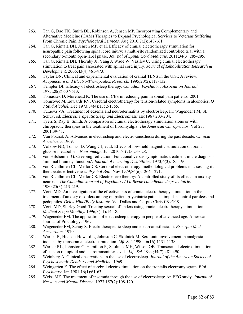- 263. Tan G, Dao TK, Smith DL, Robinson A, Jensen MP. Incorporating Complementary and Alternative Medicine (CAM) Therapies to Expand Psychological Services to Veterans Suffering From Chronic Pain. *Psychological Services.* Aug 2010;7(2):148-161.
- 264. Tan G, Rintala DH, Jensen MP, et al. Efficacy of cranial electrotherapy stimulation for neuropathic pain following spinal cord injury: a multi-site randomized controlled trial with a secondary 6-month open-label phase. *Journal of Spinal Cord Medicine.* 2011;34(3):285-295.
- 265. Tan G, Rintala DH, Thornby JI, Yang J, Wade W, Vasilev C. Using cranial electrotherapy stimulation to treat pain associated with spinal cord injury. *Journal of Rehabilitation Research & Development.* 2006;43(4):461-473.
- 266. Taylor DN. Clinical and experimental evaluation of cranial TENS in the U.S.: A review. *Acupuncture and Electro-Therapeutics Research.* 1995;20(2):117-132.
- 267. Templer DI. Efficacy of electrosleep therapy. *Canadian Psychiatric Association Journal.*  1975;20(8):607-613.
- 268. Tomaszek D, Morehead K. The use of CES in reducing pain in spinal pain patients. 2001.
- 269. Tomsovic M, Edwards RV. Cerebral electrotherapy for tension-related symptoms in alcoholics. *Q J Stud Alcohol.* Dec 1973;34(4):1352-1355.
- 270. Turaeva VA. Treatment of eczema and neurodermatitis by electrosleep. In: Wagender FM, St. Schuy, ed. *Electrotherapeutic Sleep and Electroanesthesia*1967:203-204.
- 271. Tyers S, Ray B. Smith. A comparison of cranial electrotherapy stimulation alone or with chiropractic therapies in the treatment of fibromyalgia. *The American Chiropractor.* Vol 23. 2001:39-41.
- 272. Van Poznak A. Advances in electrosleep and electro-anesthesia during the past decade. *Clinical Anesthesia.* 1969.
- 273. Volkow ND, Tomasi D, Wang GJ, et al. Effects of low-field magnetic stimulation on brain glucose metabolism. *Neuroimage.* Jun 2010;51(2):623-628.
- 274. von Hilsheimer G. Creeping reification: Functional versus symptomatic treatment in the diagnosis 'minimal brain dysfunction.'. *Journal of Learning Disabilities.* 1973;6(3):185-190.
- 275. von Richthofen CL, Mellor CS. Cerebral electrotherapy: methodological problems in assessing its therapeutic effectiveness. *Psychol Bull.* Nov 1979;86(6):1264-1271.
- 276. von Richthofen CL, Mellor CS. Electrosleep therapy: A controlled study of its effects in anxiety neurosis. *The Canadian Journal of Psychiatry / La Revue canadienne de psychiatrie.*  1980;25(3):213-219.
- 277. Voris MD. An investigation of the effectiveness of cranial electrotherapy stimulation in the treatment of anxiety disorders among outpatient psychiatric patients, impulse control parolees and pedophiles. *Delos Mind/Body Institute.* Vol Dallas and Corpus Christi1995:19.
- 278. Voris MD, Shirley Good. Treating sexual offenders using cranial electrotherapy stimulation. *Medical Scope Monthly.* 1996;3(11):14-18.
- 279. Wageneder FM. The application of electrosleep therapy in people of advanced age. American Journal of Proctology. 1969.
- 280. Wageneder FM, Schuy S. Eleclrotherapeutic sleep and electroanesthesia. ii. *Excerpta Med. Amsterdam.* 1970.
- 281. Warner R, Hudson-Howard L, Johnston C, Skolnick M. Serotonin involvement in analgesia induced by transcranial electrostimulation. *Life Sci.* 1990;46(16):1131-1138.
- 282. Warner RL, Johnston C, Hamilton R, Skolnick MH, Wilson OB. Transcranial electrostimulation effects on rat opioid and neurotransmitter levels. *Life Sci.* 1994;54(7):481-490.
- 283. Weinberg A. Clinical observations in the use of electrosleep. *Journal of the American Society of Psychosomatic Dentistry and Medicine.* 1969.
- 284. Weingarten E. The effect of cerebral electrostimulation on the frontalis electromyogram. *Biol Psychiatry.* Jan 1981;16(1):61-63.
- 285. Weiss MF. The treatment of insomnia through the use of electrosleep: An EEG study. *Journal of Nervous and Mental Disease.* 1973;157(2):108-120.